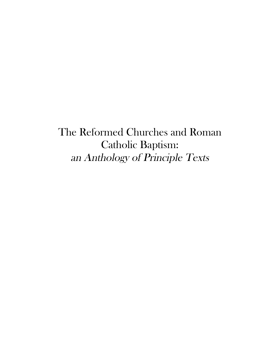The Reformed Churches and Roman Catholic Baptism: an Anthology of Principle Texts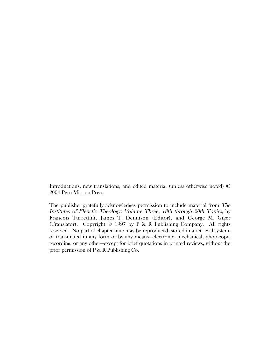Introductions, new translations, and edited material (unless otherwise noted) © 2004 Peru Mission Press.

The publisher gratefully acknowledges permission to include material from The Institutes of Elenctic Theology: Volume Three, 18th through 20th Topics, by Francois Turrettini, James T. Dennison (Editor), and George M. Giger (Translator). Copyright © 1997 by P & R Publishing Company. All rights reserved. No part of chapter nine may be reproduced, stored in a retrieval system, or transmitted in any form or by any means—electronic, mechanical, photocopy, recording, or any other—except for brief quotations in printed reviews, without the prior permission of P & R Publishing Co**.**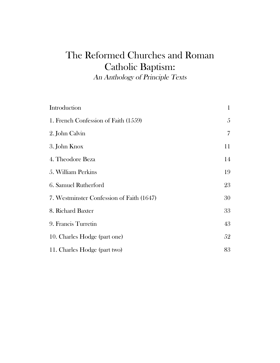# The Reformed Churches and Roman Catholic Baptism:

An Anthology of Principle Texts

| Introduction                              | $\mathbf{1}$   |
|-------------------------------------------|----------------|
| 1. French Confession of Faith (1559)      | 5              |
| 2. John Calvin                            | $\overline{7}$ |
| 3. John Knox                              | 11             |
| 4. Theodore Beza                          | 14             |
| 5. William Perkins                        | 19             |
| 6. Samuel Rutherford                      | 23             |
| 7. Westminster Confession of Faith (1647) | 30             |
| 8. Richard Baxter                         | 33             |
| 9. Francis Turretin                       | 43             |
| 10. Charles Hodge (part one)              | 52             |
| 11. Charles Hodge (part two)              | 83             |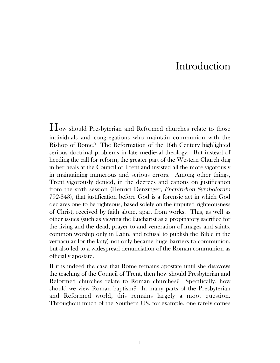# Introduction

How should Presbyterian and Reformed churches relate to those individuals and congregations who maintain communion with the Bishop of Rome? The Reformation of the 16th Century highlighted serious doctrinal problems in late medieval theology. But instead of heeding the call for reform, the greater part of the Western Church dug in her heals at the Council of Trent and insisted all the more vigorously in maintaining numerous and serious errors. Among other things, Trent vigorously denied, in the decrees and canons on justification from the sixth session (Henrici Denzinger, Enchiridion Symbolorum 792-843), that justification before God is a forensic act in which God declares one to be righteous, based solely on the imputed righteousness of Christ, received by faith alone, apart from works. This, as well as other issues (such as viewing the Eucharist as a propitiatory sacrifice for the living and the dead, prayer to and veneration of images and saints, common worship only in Latin, and refusal to publish the Bible in the vernacular for the laity) not only became huge barriers to communion, but also led to a widespread denunciation of the Roman communion as officially apostate.

If it is indeed the case that Rome remains apostate until she disavows the teaching of the Council of Trent, then how should Presbyterian and Reformed churches relate to Roman churches? Specifically, how should we view Roman baptism? In many parts of the Presbyterian and Reformed world, this remains largely a moot question. Throughout much of the Southern US, for example, one rarely comes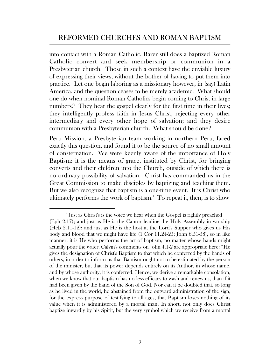### REFORMED CHURCHES AND ROMAN BAPTISM

into contact with a Roman Catholic. Rarer still does a baptized Roman Catholic convert and seek membership or communion in a Presbyterian church. Those in such a context have the enviable luxury of expressing their views, without the bother of having to put them into practice. Let one begin laboring as a missionary however, in (say) Latin America, and the question ceases to be merely academic. What should one do when nominal Roman Catholics begin coming to Christ in large numbers? They hear the gospel clearly for the first time in their lives; they intelligently profess faith in Jesus Christ, rejecting every other intermediary and every other hope of salvation; and they desire communion with a Presbyterian church. What should be done?

Peru Mission, a Presbyterian team working in northern Peru, faced exactly this question, and found it to be the source of no small amount of consternation. We were keenly aware of the importance of Holy Baptism: it is the means of grace, instituted by Christ, for bringing converts and their children into the Church, outside of which there is no ordinary possibility of salvation. Christ has commanded us in the Great Commission to make disciples by baptizing and teaching them. But we also recognize that baptism is a one-time event. It is Christ who ultimately performs the work of baptism.1 To repeat it, then, is to show

 $\overline{a}$ 

<sup>1</sup> Just as Christ's is the voice we hear when the Gospel is rightly preached (Eph 2.17); and just as He is the Cantor leading the Holy Assembly in worship (Heb 2.11-12); and just as He is the host at the Lord's Supper who gives us His body and blood that we might have life (1 Cor 11.24-25; John 6.51-58), so in like manner, it is He who performs the act of baptism, no matter whose hands might actually pour the water. Calvin's comments on John 4.1-2 are appropriate here: "He gives the designation of Christ's Baptism to that which he conferred by the hands of others, in order to inform us that Baptism ought not to be estimated by the person of the minister, but that its power depends entirely on its Author, in whose name, and by whose authority, it is conferred. Hence, we derive a remarkable consolation, when we know that our baptism has no less efficacy to wash and renew us, than if it had been given by the hand of the Son of God. Nor can it be doubted that, so long as he lived in the world, he abstained from the outward administration of the sign, for the express purpose of testifying to all ages, that Baptism loses nothing of its value when it is administered by a mortal man. In short, not only does Christ baptize inwardly by his Spirit, but the very symbol which we receive from a mortal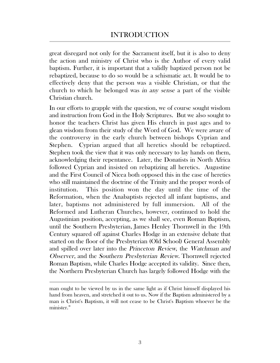great disregard not only for the Sacrament itself, but it is also to deny the action and ministry of Christ who is the Author of every valid baptism. Further, it is important that a validly baptized person not be rebaptized, because to do so would be a schismatic act. It would be to effectively deny that the person was a visible Christian, or that the church to which he belonged was in any sense a part of the visible Christian church.

In our efforts to grapple with the question, we of course sought wisdom and instruction from God in the Holy Scriptures. But we also sought to honor the teachers Christ has given His church in past ages and to glean wisdom from their study of the Word of God. We were aware of the controversy in the early church between bishops Cyprian and Stephen. Cyprian argued that all heretics should be rebaptized. Stephen took the view that it was only necessary to lay hands on them, acknowledging their repentance. Later, the Donatists in North Africa followed Cyprian and insisted on rebaptizing all heretics. Augustine and the First Council of Nicea both opposed this in the case of heretics who still maintained the doctrine of the Trinity and the proper words of institution. This position won the day until the time of the Reformation, when the Anabaptists rejected all infant baptisms, and later, baptisms not administered by full immersion. All of the Reformed and Lutheran Churches, however, continued to hold the Augustinian position, accepting, as we shall see, even Roman Baptism, until the Southern Presbyterian, James Henley Thornwell in the 19th Century squared off against Charles Hodge in an extensive debate that started on the floor of the Presbyterian (Old School) General Assembly and spilled over later into the Princeton Review, the Watchman and Observer, and the Southern Presbyterian Review. Thornwell rejected Roman Baptism, while Charles Hodge accepted its validity. Since then, the Northern Presbyterian Church has largely followed Hodge with the

man ought to be viewed by us in the same light as if Christ himself displayed his hand from heaven, and stretched it out to us. Now if the Baptism administered by a man is Christ's Baptism, it will not cease to be Christ's Baptism whoever be the minister."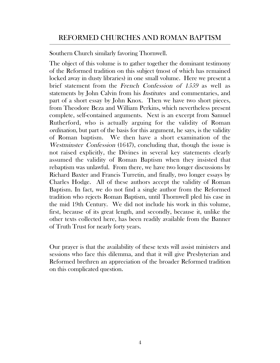## REFORMED CHURCHES AND ROMAN BAPTISM

Southern Church similarly favoring Thornwell.

The object of this volume is to gather together the dominant testimony of the Reformed tradition on this subject (most of which has remained locked away in dusty libraries) in one small volume. Here we present a brief statement from the French Confession of 1559 as well as statements by John Calvin from his Institutes and commentaries, and part of a short essay by John Knox. Then we have two short pieces, from Theodore Beza and William Perkins, which nevertheless present complete, self-contained arguments. Next is an excerpt from Samuel Rutherford, who is actually arguing for the validity of Roman ordination, but part of the basis for this argument, he says, is the validity of Roman baptism. We then have a short examination of the Westminster Confession (1647), concluding that, though the issue is not raised explicitly, the Divines in several key statements clearly assumed the validity of Roman Baptism when they insisted that rebaptism was unlawful. From there, we have two longer discussions by Richard Baxter and Francis Turretin, and finally, two longer essays by Charles Hodge. All of these authors accept the validity of Roman Baptism. In fact, we do not find a single author from the Reformed tradition who rejects Roman Baptism, until Thornwell pled his case in the mid 19th Century. We did not include his work in this volume, first, because of its great length, and secondly, because it, unlike the other texts collected here, has been readily available from the Banner of Truth Trust for nearly forty years.

Our prayer is that the availability of these texts will assist ministers and sessions who face this dilemma, and that it will give Presbyterian and Reformed brethren an appreciation of the broader Reformed tradition on this complicated question.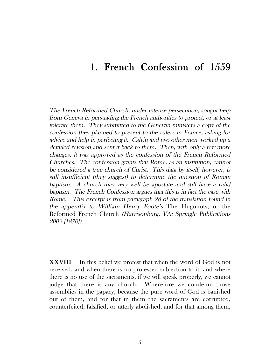# 1. French Confession of 1559

The French Reformed Church, under intense persecution, sought help from Geneva in persuading the French authorities to protect, or at least tolerate them. They submitted to the Genevan ministers a copy of the confession they planned to present to the rulers in France, asking for advice and help in perfecting it. Calvin and two other men worked up a detailed revision and sent it back to them. Then, with only a few more changes, it was approved as the confession of the French Reformed Churches. The confession grants that Rome, as an institution, cannot be considered a true church of Christ. This data by itself, however, is still insufficient (they suggest) to determine the question of Roman baptism. A church may very well be apostate and still have a valid baptism. The French Confession argues that this is in fact the case with Rome. This excerpt is from paragraph 28 of the translation found in the appendix to William Henry Foote's The Hugonots; or the Reformed French Church (Harrisonburg, VA: Springle Publications 2002 [1870]).

XXVIII In this belief we protest that when the word of God is not received, and when there is no professed subjection to it, and where there is no use of the sacraments, if we will speak properly, we cannot judge that there is any church. Wherefore we condemn those assemblies in the papacy, because the pure word of God is banished out of them, and for that in them the sacraments are corrupted, counterfeited, falsified, or utterly abolished, and for that among them,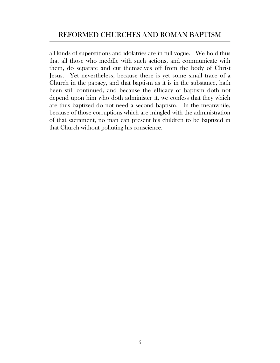### REFORMED CHURCHES AND ROMAN BAPTISM

all kinds of superstitions and idolatries are in full vogue. We hold thus that all those who meddle with such actions, and communicate with them, do separate and cut themselves off from the body of Christ Jesus. Yet nevertheless, because there is yet some small trace of a Church in the papacy, and that baptism as it is in the substance, hath been still continued, and because the efficacy of baptism doth not depend upon him who doth administer it, we confess that they which are thus baptized do not need a second baptism. In the meanwhile, because of those corruptions which are mingled with the administration of that sacrament, no man can present his children to be baptized in that Church without polluting his conscience.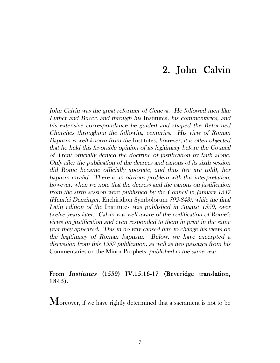# 2. John Calvin

John Calvin was the great reformer of Geneva. He followed men like Luther and Bucer, and through his Institutes, his commentaries, and his extensive correspondance he guided and shaped the Reformed Churches throughout the following centuries. His view of Roman Baptism is well known from the Institutes, however, it is often objected that he held this favorable opinion of its legitimacy before the Council of Trent officially denied the doctrine of justification by faith alone. Only after the publication of the decrees and canons of its sixth session did Rome became officially apostate, and thus (we are told), her baptism invalid. There is an obvious problem with this interpretation, however, when we note that the decress and the canons on justification from the sixth session were published by the Council in January 1547 (Henrici Denzinger, Enchiridion Symbolorum 792-843), while the final Latin edition of the Institutes was published in August 1559, over twelve years later. Calvin was well aware of the codification of Rome's views on justification and even responded to them in print in the same year they appeared. This in no way caused him to change his views on the legitimacy of Roman baptism. Below, we have excerpted a discussion from this 1559 publication, as well as two passages from his Commentaries on the Minor Prophets, published in the same year.

### From Institutes (1559) IV.15.16-17 (Beveridge translation, 1845).

 $\mathbf M$ oreover, if we have rightly determined that a sacrament is not to be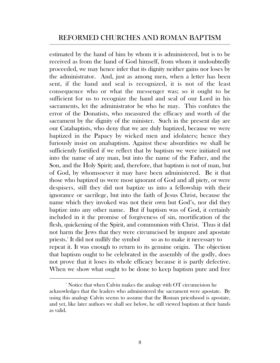### REFORMED CHURCHES AND ROMAN BAPTISM

estimated by the hand of him by whom it is administered, but is to be received as from the hand of God himself, from whom it undoubtedly proceeded, we may hence infer that its dignity neither gains nor loses by the administrator. And, just as among men, when a letter has been sent, if the hand and seal is recognized, it is not of the least consequence who or what the messenger was; so it ought to be sufficient for us to recognize the hand and seal of our Lord in his sacraments, let the administrator be who he may. This confutes the error of the Donatists, who measured the efficacy and worth of the sacrament by the dignity of the minister. Such in the present day are our Catabaptists, who deny that we are duly baptized, because we were baptized in the Papacy by wicked men and idolaters; hence they furiously insist on anabaptism. Against these absurdities we shall be sufficiently fortified if we reflect that by baptism we were initiated not into the name of any man, but into the name of the Father, and the Son, and the Holy Spirit; and, therefore, that baptism is not of man, but of God, by whomsoever it may have been administered. Be it that those who baptized us were most ignorant of God and all piety, or were despisers, still they did not baptize us into a fellowship with their ignorance or sacrilege, but into the faith of Jesus Christ, because the name which they invoked was not their own but God's, nor did they baptize into any other name. But if baptism was of God, it certainly included in it the promise of forgiveness of sin, mortification of the flesh, quickening of the Spirit, and communion with Christ. Thus it did not harm the Jews that they were circumcised by impure and apostate priests.<sup>1</sup> It did not nullify the symbol so as to make it necessary to repeat it. It was enough to return to its genuine origin. The objection that baptism ought to be celebrated in the assembly of the godly, does not prove that it loses its whole efficacy because it is partly defective. When we show what ought to be done to keep baptism pure and free

 $^{\circ}$  Notice that when Calvin makes the analogy with OT circumcision he acknowledges that the leaders who administered the sacrament were apostate. By using this analogy Calvin seems to assume that the Roman priesthood is apostate, and yet, like later authors we shall see below, he still viewed baptism at their hands as valid.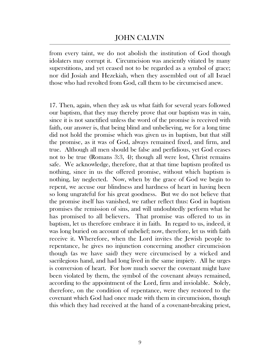### JOHN CALVIN

from every taint, we do not abolish the institution of God though idolaters may corrupt it. Circumcision was anciently vitiated by many superstitions, and yet ceased not to be regarded as a symbol of grace; nor did Josiah and Hezekiah, when they assembled out of all Israel those who had revolted from God, call them to be circumcised anew.

17. Then, again, when they ask us what faith for several years followed our baptism, that they may thereby prove that our baptism was in vain, since it is not sanctified unless the word of the promise is received with faith, our answer is, that being blind and unbelieving, we for a long time did not hold the promise which was given us in baptism, but that still the promise, as it was of God, always remained fixed, and firm, and true. Although all men should be false and perfidious, yet God ceases not to be true (Romans 3:3, 4); though all were lost, Christ remains safe. We acknowledge, therefore, that at that time baptism profited us nothing, since in us the offered promise, without which baptism is nothing, lay neglected. Now, when by the grace of God we begin to repent, we accuse our blindness and hardness of heart in having been so long ungrateful for his great goodness. But we do not believe that the promise itself has vanished, we rather reflect thus: God in baptism promises the remission of sins, and will undoubtedly perform what he has promised to all believers. That promise was offered to us in baptism, let us therefore embrace it in faith. In regard to us, indeed, it was long buried on account of unbelief; now, therefore, let us with faith receive it. Wherefore, when the Lord invites the Jewish people to repentance, he gives no injunction concerning another circumcision though (as we have said) they were circumcised by a wicked and sacrilegious hand, and had long lived in the same impiety. All he urges is conversion of heart. For how much soever the covenant might have been violated by them, the symbol of the covenant always remained, according to the appointment of the Lord, firm and inviolable. Solely, therefore, on the condition of repentance, were they restored to the covenant which God had once made with them in circumcision, though this which they had received at the hand of a covenant-breaking priest,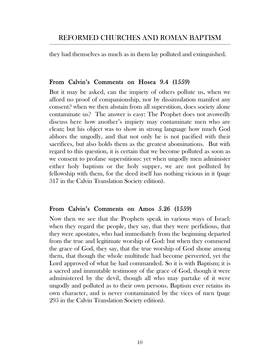### REFORMED CHURCHES AND ROMAN BAPTISM

they had themselves as much as in them lay polluted and extinguished.

#### From Calvin's Comments on Hosea 9.4 (1559)

But it may be asked, can the impiety of others pollute us, when we afford no proof of companionship, nor by dissimulation manifest any consent? when we then abstain from all superstition, does society alone contaminate us? The answer is easy: The Prophet does not avowedly discuss here how another's impiety may contaminate men who are clean; but his object was to show in strong language how much God abhors the ungodly, and that not only he is not pacified with their sacrifices, but also holds them as the greatest abominations. But with regard to this question, it is certain that we become polluted as soon as we consent to profane superstitions: yet when ungodly men administer either holy baptism or the holy supper, we are not polluted by fellowship with them, for the deed itself has nothing vicious in it (page 317 in the Calvin Translation Society edition).

#### From Calvin's Comments on Amos 5.26 (1559)

Now then we see that the Prophets speak in various ways of Israel: when they regard the people, they say, that they were perfidious, that they were apostates, who had immediately from the beginning departed from the true and legitimate worship of God: but when they commend the grace of God, they say, that the true worship of God shone among them, that though the whole multitude had become perverted, yet the Lord approved of what he had commanded. So it is with Baptism; it is a sacred and immutable testimony of the grace of God, though it were administered by the devil, though all who may partake of it were ungodly and polluted as to their own persons. Baptism ever retains its own character, and is never contaminated by the vices of men (page 295 in the Calvin Translation Society edition).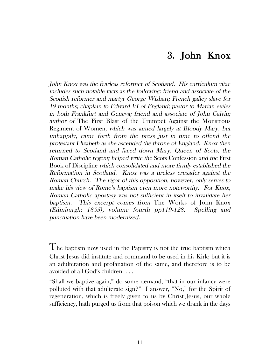# 3. John Knox

John Knox was the fearless reformer of Scotland. His curriculum vitae includes such notable facts as the following: friend and associate of the Scottish reformer and martyr George Wishart; French galley slave for 19 months; chaplain to Edward VI of England; pastor to Marian exiles in both Frankfurt and Geneva; friend and associate of John Calvin; author of The First Blast of the Trumpet Against the Monstrous Regiment of Women, which was aimed largely at Bloody Mary, but unhappily, came forth from the press just in time to offend the protestant Elizabeth as she ascended the throne of England. Knox then returned to Scotland and faced down Mary, Queen of Scots, the Roman Catholic regent; helped write the Scots Confession and the First Book of Discipline which consolidated and more firmly established the Reformation in Scotland. Knox was a tireless crusader against the Roman Church. The vigor of this opposition, however, only serves to make his view of Rome's baptism even more noteworthy. For Knox, Roman Catholic apostasy was not sufficient in itself to invalidate her baptism. This excerpt comes from The Works of John Knox (Edinburgh: 1855), volume fourth pp119-128. Spelling and punctuation have been modernized.

The baptism now used in the Papistry is not the true baptism which Christ Jesus did institute and command to be used in his Kirk; but it is an adulteration and profanation of the same, and therefore is to be avoided of all God's children. . . .

"Shall we baptize again," do some demand, "that in our infancy were polluted with that adulterate sign?" I answer, "No," for the Spirit of regeneration, which is freely given to us by Christ Jesus, our whole sufficiency, hath purged us from that poison which we drank in the days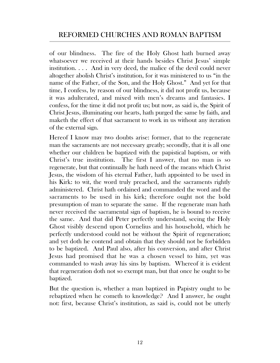of our blindness. The fire of the Holy Ghost hath burned away whatsoever we received at their hands besides Christ Jesus' simple institution. . . . And in very deed, the malice of the devil could never altogether abolish Christ's institution, for it was ministered to us "in the name of the Father, of the Son, and the Holy Ghost." And yet for that time, I confess, by reason of our blindness, it did not profit us, because it was adulterated, and mixed with men's dreams and fantasies. I confess, for the time it did not profit us; but now, as said is, the Spirit of Christ Jesus, illuminating our hearts, hath purged the same by faith, and maketh the effect of that sacrament to work in us without any iteration of the external sign.

Hereof I know may two doubts arise: former, that to the regenerate man the sacraments are not necessary greatly; secondly, that it is all one whether our children be baptized with the papistical baptism, or with Christ's true institution. The first I answer, that no man is so regenerate, but that continually he hath need of the means which Christ Jesus, the wisdom of his eternal Father, hath appointed to be used in his Kirk: to wit, the word truly preached, and the sacraments rightly administered. Christ hath ordained and commanded the word and the sacraments to be used in his kirk; therefore ought not the bold presumption of man to separate the same. If the regenerate man hath never received the sacramental sign of baptism, he is bound to receive the same. And that did Peter perfectly understand, seeing the Holy Ghost visibly descend upon Cornelius and his household, which he perfectly understood could not be without the Spirit of regeneration; and yet doth he contend and obtain that they should not be forbidden to be baptized. And Paul also, after his conversion, and after Christ Jesus had promised that he was a chosen vessel to him, yet was commanded to wash away his sins by baptism. Whereof it is evident that regeneration doth not so exempt man, but that once he ought to be baptized.

But the question is, whether a man baptized in Papistry ought to be rebaptized when he cometh to knowledge? And I answer, he ought not: first, because Christ's institution, as said is, could not be utterly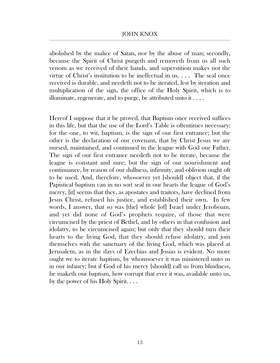#### JOHN KNOX

abolished by the malice of Satan, nor by the abuse of man; secondly, because the Spirit of Christ purgeth and removeth from us all such venom as we received of their hands, and superstition makes not the virtue of Christ's institution to be ineffectual in us. . . . The seal once received is durable, and needeth not to be iterated, lest by iteration and multiplication of the sign, the office of the Holy Spirit, which is to illuminate, regenerate, and to purge, be attributed unto it  $\dots$ .

Hereof I suppose that it be proved, that Baptism once received suffices in this life, but that the use of the Lord's Table is oftentimes necessary: for the one, to wit, baptism, is the sign of our first entrance; but the other is the declaration of our covenant, that by Christ Jesus we are nursed, maintained, and continued in the league with God our Father. The sign of our first entrance needeth not to be iterate, because the league is constant and sure; but the sign of our nourishment and continuance, by reason of our dullness, infirmity, and oblivion ought oft to be used. And, therefore, whosoever yet [should] object that, if the Papistical baptism can in no sort seal in our hearts the league of God's mercy, [it] seems that they, as apostates and traitors, have declined from Jesus Christ, refused his justice, and established their own. In few words, I answer, that so was [the] whole [of] Israel under Jeroboam, and yet did none of God's prophets require, of those that were circumcised by the priest of Bethel, and by others in that confusion and idolatry, to be circumcised again; but only that they should turn their hearts to the living God, that they should refuse idolatry, and join themselves with the sanctuary of the living God, which was placed at Jerusalem, as in the days of Ezechias and Josias is evident. No more ought we to iterate baptism, by whomsoever it was ministered unto us in our infancy; but if God of his mercy [should] call us from blindness, he maketh our baptism, how corrupt that ever it was, available unto us, by the power of his Holy Spirit. . . .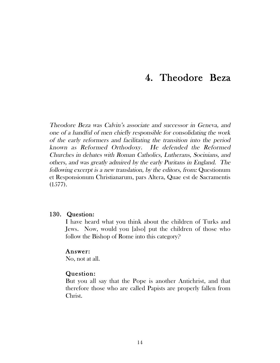# 4. Theodore Beza

Theodore Beza was Calvin's associate and successor in Geneva, and one of a handful of men chiefly responsible for consolidating the work of the early reformers and facilitating the transition into the period known as Reformed Orthodoxy. He defended the Reformed Churches in debates with Roman Catholics, Lutherans, Socinians, and others, and was greatly admired by the early Puritans in England. The following excerpt is a new translation, by the editors, from: Questionum et Responsionum Christianarum, pars Altera, Quae est de Sacramentis (1577).

#### 130. Question:

I have heard what you think about the children of Turks and Jews. Now, would you [also] put the children of those who follow the Bishop of Rome into this category?

#### Answer:

No, not at all.

#### Question:

But you all say that the Pope is another Antichrist, and that therefore those who are called Papists are properly fallen from Christ.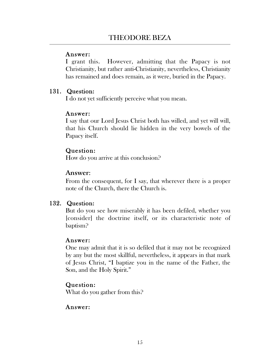#### Answer:

I grant this. However, admitting that the Papacy is not Christianity, but rather anti-Christianity, nevertheless, Christianity has remained and does remain, as it were, buried in the Papacy.

### 131. Question:

I do not yet sufficiently perceive what you mean.

### Answer:

I say that our Lord Jesus Christ both has willed, and yet will will, that his Church should lie hidden in the very bowels of the Papacy itself.

## Question:

How do you arrive at this conclusion?

### **Answer:**

From the consequent, for I say, that wherever there is a proper note of the Church, there the Church is.

## 132. Question:

But do you see how miserably it has been defiled, whether you [consider] the doctrine itself, or its characteristic note of baptism?

## Answer:

One may admit that it is so defiled that it may not be recognized by any but the most skillful, nevertheless, it appears in that mark of Jesus Christ, "I baptize you in the name of the Father, the Son, and the Holy Spirit."

## Question:

What do you gather from this?

### Answer: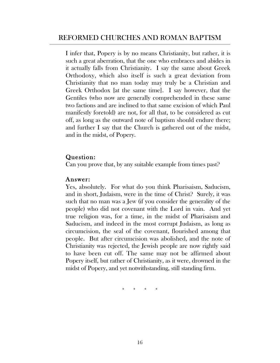I infer that, Popery is by no means Christianity, but rather, it is such a great aberration, that the one who embraces and abides in it actually falls from Christianity. I say the same about Greek Orthodoxy, which also itself is such a great deviation from Christianity that no man today may truly be a Christian and Greek Orthodox [at the same time]. I say however, that the Gentiles (who now are generally comprehended in these same two factions and are inclined to that same excision of which Paul manifestly foretold) are not, for all that, to be considered as cut off, as long as the outward note of baptism should endure there; and further I say that the Church is gathered out of the midst, and in the midst, of Popery.

### Question:

Can you prove that, by any suitable example from times past?

### Answer:

Yes, absolutely. For what do you think Pharisaism, Saducism, and in short, Judaism, were in the time of Christ? Surely, it was such that no man was a Jew (if you consider the generality of the people) who did not covenant with the Lord in vain. And yet true religion was, for a time, in the midst of Pharisaism and Saducism, and indeed in the most corrupt Judaism, as long as circumcision, the seal of the covenant, flourished among that people. But after circumcision was abolished, and the note of Christianity was rejected, the Jewish people are now rightly said to have been cut off. The same may not be affirmed about Popery itself, but rather of Christianity, as it were, drowned in the midst of Popery, and yet notwithstanding, still standing firm.

\* \* \* \*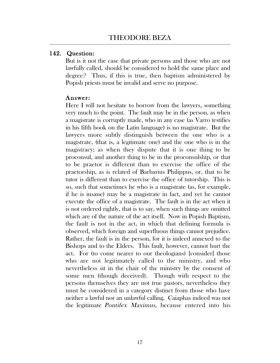#### 142. Question:

But is it not the case that private persons and those who are not lawfully called, should be considered to hold the same place and degree? Thus, if this is true, then baptism administered by Popish priests must be invalid and serve no purpose.

#### Answer:

Here I will not hesitate to borrow from the lawyers, something very much to the point. The fault may be in the person, as when a magistrate is corruptly made, who in any case (as Varro testifies in his fifth book on the Latin language) is no magistrate. But the lawyers more subtly distinguish between the one who is a magistrate, (that is, a legitimate one) and the one who is in the magistracy; as when they dispute that it is one thing to be proconsul, and another thing to be in the proconsulship, or that to be praetor is different than to exercise the office of the praetorship, as is related of Barbarius Philippus, or, that to be tutor is different than to exercise the office of tutorship. This is so, such that sometimes he who is a magistrate (as, for example, if he is insane) may be a magistrate in fact, and yet he cannot execute the office of a magistrate. The fault is in the act when it is not ordered rightly, that is to say, when such things are omitted which are of the nature of the act itself. Now in Popish Baptism, the fault is not in the act, in which that defining formula is observed, which foreign and superfluous things cannot prejudice. Rather, the fault is in the person, for it is indeed annexed to the Bishops and to the Elders. This fault, however, cannot hurt the act. For (to come nearer to our theologians) [consider] those who are not legitimately called to the ministry, and who nevertheless sit in the chair of the ministry by the consent of some men (though deceived). Though with respect to the persons themselves they are not true pastors, nevertheless they must be considered in a category distinct from those who have neither a lawful nor an unlawful calling. Caiaphas indeed was not the legitimate Pontifex Maximus, because entered into his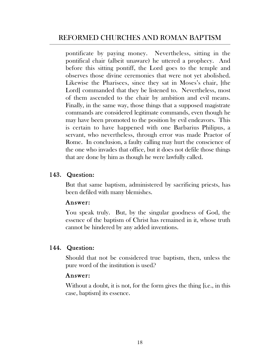pontificate by paying money. Nevertheless, sitting in the pontifical chair (albeit unaware) he uttered a prophecy. And before this sitting pontiff, the Lord goes to the temple and observes those divine ceremonies that were not yet abolished. Likewise the Pharisees, since they sat in Moses's chair, [the Lord] commanded that they be listened to. Nevertheless, most of them ascended to the chair by ambition and evil means. Finally, in the same way, those things that a supposed magistrate commands are considered legitimate commands, even though he may have been promoted to the position by evil endeavors. This is certain to have happened with one Barbarius Philipus, a servant, who nevertheless, through error was made Praetor of Rome. In conclusion, a faulty calling may hurt the conscience of the one who invades that office, but it does not defile those things that are done by him as though he were lawfully called.

## 143. Question:

But that same baptism, administered by sacrificing priests, has been defiled with many blemishes.

# Answer:

You speak truly. But, by the singular goodness of God, the essence of the baptism of Christ has remained in it, whose truth cannot be hindered by any added inventions.

# 144. Question:

Should that not be considered true baptism, then, unless the pure word of the institution is used?

# Answer:

Without a doubt, it is not, for the form gives the thing [i.e., in this case, baptism] its essence.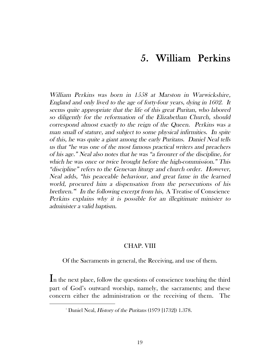# 5. William Perkins

William Perkins was born in 1558 at Marston in Warwickshire, England and only lived to the age of forty-four years, dying in 1602. It seems quite appropriate that the life of this great Puritan, who labored so diligently for the reformation of the Elizabethan Church, should correspond almost exactly to the reign of the Queen. Perkins was a man small of stature, and subject to some physical infirmities. In spite of this, he was quite a giant among the early Puritans. Daniel Neal tells us that "he was one of the most famous practical writers and preachers of his age." Neal also notes that he was "a favourer of the discipline, for which he was once or twice brought before the high-commission." This "discipline" refers to the Genevan liturgy and church order. However, Neal adds, "his peaceable behaviour, and great fame in the learned world, procured him a dispensation from the persecutions of his brethren.<sup>"</sup> In the following excerpt from his, A Treatise of Conscience Perkins explains why it is possible for an illegitimate minister to administer a valid baptism.

#### CHAP. VIII

Of the Sacraments in general, the Receiving, and use of them.

In the next place, follow the questions of conscience touching the third part of God's outward worship, namely, the sacraments; and these concern either the administration or the receiving of them. The

 $\overline{a}$ 

 $^{\circ}$  Daniel Neal, *History of the Puritans* (1979 [1732]) 1.378.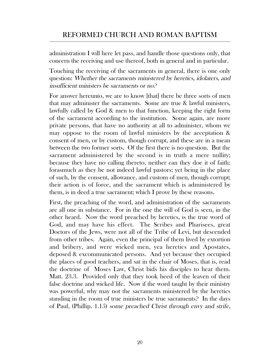administration I will here let pass, and handle those questions only, that concern the receiving and use thereof, both in general and in particular.

Touching the receiving of the sacraments in general, there is one only question: Whether the sacraments ministered by heretics, idolaters, and insufficient ministers be sacraments or no?

For answer hereunto, we are to know [that] there be three sorts of men that may administer the sacraments. Some are true & lawful ministers, lawfully called by God & men to that function, keeping the right form of the sacrament according to the institution. Some again, are more private persons, that have no authority at all to administer, whom we may oppose to the room of lawful ministers by the acceptation & consent of men, or by custom, though corrupt, and these are in a mean between the two former sorts. Of the first there is no question. But the sacrament administered by the second is in truth a mere nullity; because they have no calling thereto, neither can they doe it of faith: forasmuch as they be not indeed lawful pastors; yet being in the place of such, by the consent, allowance, and custom of men, though corrupt; their action is of force, and the sacrament which is administered by them, is in deed a true sacrament; which I prove by these reasons.

First, the preaching of the word, and administration of the sacraments are all one in substance. For in the one the will of God is seen, in the other heard. Now the word preached by heretics, is the true word of God, and may have his effect. The Scribes and Pharisees, great Doctors of the Jews, were not all of the Tribe of Levi, but descended from other tribes. Again, even the principal of them lived by extortion and bribery, and were wicked men, yea heretics and Apostates, deposed & excommunicated persons. And yet because they occupied the places of good teachers, and sat in the chair of Moses, that is, read the doctrine of Moses Law, Christ bids his disciples to hear them. Matt. 23.3. Provided only that they took heed of the leaven of their false doctrine and wicked life. Now if the word taught by their ministry was powerful, why may not the sacraments ministered by the heretics standing in the room of true ministers be true sacraments? In the days of Paul, (Phillip. 1.15) some preached Christ through envy and strife,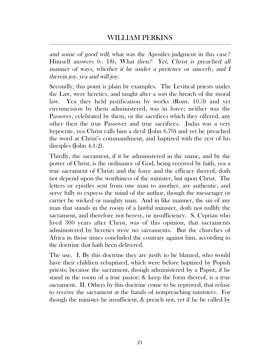# WILLIAM PERKINS

and some of good will; what was the Apostles judgment in this case? Himself answers (v. 18), What then? Yet, Christ is preached all manner of ways, whether it be under a pretence or sincerly, and I therein joy, yea and will joy.

Secondly, this point is plain by examples. The Levitical priests under the Law, were heretics, and taught after a sort the breach of the moral law. Yea they held justification by works (Rom. 10.3) and yet circumcision by them administered, was in force; neither was the Passover, celebrated by them, or the sacrifices which they offered, any other then the true Passover and true sacrifices. Judas was a very hypocrite, yea Christ calls him a devil (John 6.70) and yet he preached the word at Christ's commandment, and baptized with the rest of his disciples (John 4.1-2).

Thirdly, the sacrament, if it be administered in the name, and by the power of Christ, is the ordinance of God, being received by faith, yea a true sacrament of Christ; and the force and the efficacy thereof, doth not depend upon the worthiness of the minister, but upon Christ. The letters or epistles sent from one man to another, are authentic, and serve fully to express the mind of the author, though the messenger or carrier be wicked or naughty man. And in like manner, the sin of any man that stands in the room of a lawful minister, doth not nullify the sacrament, and therefore not heresy, or insufficiency. S. Cyprian who lived 300 years after Christ, was of this opinion, that sacraments administered by heretics were no sacraments. But the churches of Africa in those times concluded the contrary against him, according to the doctrine that hath been delivered.

The use. I. By this doctrine they are justly to be blamed, who would have their children rebaptized, which were before baptized by Popish priests; because the sacrament, though administered by a Papist, if he stand in the room of a true pastor; & keep the form thereof, is a true sacrament. II. Others by this doctrine come to be reproved, that refuse to receive the sacrament at the hands of nonpreaching ministers. For though the minister be insufficient, & preach not, yet if he be called by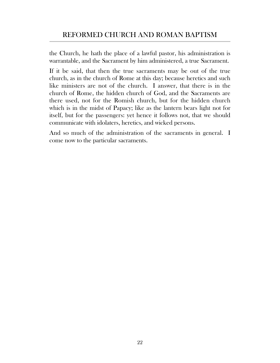# REFORMED CHURCH AND ROMAN BAPTISM

the Church, he hath the place of a lawful pastor, his administration is warrantable, and the Sacrament by him administered, a true Sacrament.

If it be said, that then the true sacraments may be out of the true church, as in the church of Rome at this day; because heretics and such like ministers are not of the church. I answer, that there is in the church of Rome, the hidden church of God, and the Sacraments are there used, not for the Romish church, but for the hidden church which is in the midst of Papacy; like as the lantern bears light not for itself, but for the passengers: yet hence it follows not, that we should communicate with idolaters, heretics, and wicked persons.

And so much of the administration of the sacraments in general. I come now to the particular sacraments.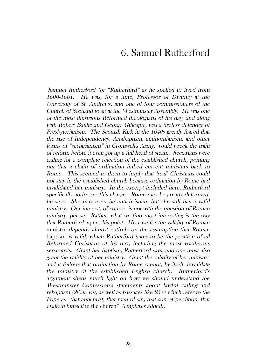# 6. Samuel Rutherford

Samuel Rutherford (or "Rutherfurd" as he spelled it) lived from 1600-1661. He was, for a time, Professor of Divinity at the University of St. Andrews, and one of four commissioners of the Church of Scotland to sit at the Westminster Assembly. He was one of the most illustrious Reformed theologians of his day, and along with Robert Baillie and George Gillespie, was a tireless defender of Presbyterianism. The Scottish Kirk in the 1640s greatly feared that the rise of Independency, Anabaptism, antinomianism, and other forms of "sectarianism" in Cromwell's Army, would wreck the train of reform before it even got up a full head of steam. Sectarians were calling for a complete rejection of the established church, pointing out that a chain of ordination linked current ministers back to Rome. This seemed to them to imply that "real" Christians could not stay in the established church because ordination by Rome had invalidated her ministry. In the excerpt included here, Rutherford specifically addresses this charge. Rome may be greatly deformed, he says. She may even be antichristian, but she still has a valid ministry. Our interest, of course, is not with the question of Roman ministry, per se. Rather, what we find most interesting is the way that Rutherford argues his point. His case for the validity of Roman ministry depends almost entirely on the assumption that Roman baptism is valid, which Rutherford takes to be the position of all Reformed Christians of his day, including the most vociferous separatists. Grant her baptism, Rutherford says, and one must also grant the validity of her ministry. Grant the validity of her ministry, and it follows that ordination by Rome cannot, by itself, invalidate the ministry of the established English church. Rutherford's argument sheds much light on how we should understand the Westminster Confession's statements about lawful calling and rebaptism (28.iii, vii), as well as passages like 25.vi which refer to the Pope as "that antichrist, that man of sin, that son of perdition, that exalteth himself in the church" (emphasis added).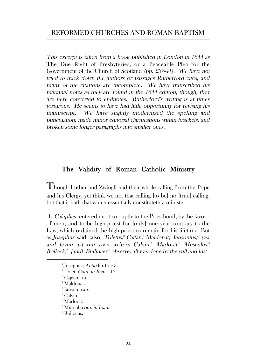This excerpt is taken from a book published in London in 1644 as The Due Right of Presbyteries, or a Peaceable Plea for the Government of the Church of Scotland (pp. 237-41). We have not tried to track down the authors or passages Rutherford cites, and many of the citations are incomplete. We have transcribed his marginal notes as they are found in the 1644 edition, though, they are here converted to endnotes. Rutherford's writing is at times torturous. He seems to have had little opportunity for revising his manuscript. We have slightly modernized the spelling and punctuation, made minor editorial clarifications within brackets, and broken some longer paragraphs into smaller ones.

# The Validity of Roman Catholic Ministry

Though Luther and Zwingli had their whole calling from the Pope and his Clergy, yet think we not that calling [to be] no [true] calling, but that it hath that which essentially constituteth a minister:

 1. Caiaphas entered most corruptly to the Priesthood, by the favor of men, and to be high-priest for [only] one year contrary to the Law, which ordained the high-priest to remain for his lifetime. But as Josephus' said, [also] Toletus, $^{\text{2}}$  Caitan, $^{\text{3}}$  Maldonat, $^{\text{4}}$  Iansonius, $^{\text{5}}$  yea and [even as] our own writers Calvin, $^{\circ}$  Marlorat, $^{\circ}$  Musculus, $^{\circ}$  $Rollock,^\circ$  [and] Bullinger<sup>10</sup> observe, all was done by the will and lust

 $\overline{a}$ 

<sup>&</sup>lt;sup>1</sup> Josephus, Antiq lib.15.c.3.

<sup>2</sup> Tolet, Com. in Ioan 1.12.

<sup>&</sup>lt;sup>3</sup> Cajetan, ib.

<sup>4</sup> Maldonat.

<sup>5</sup> Ianson. can.

<sup>6</sup> Calvin.

<sup>7</sup> Marlorat.

<sup>8</sup> Muscul. com. in Ioan.

<sup>9</sup> Rollocus.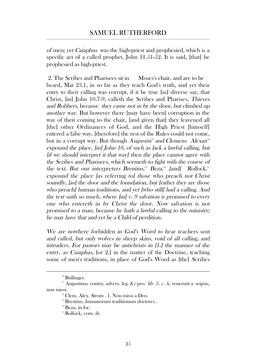of men; yet Caiaphus was the high-priest and prophesied, which is a specific act of a called prophet, John 11.51-52. It is said, [that] he prophesied as high-priest.

 2. The Scribes and Pharisees sit in Moses's chair, and are to be heard, Mat 23.1, in so far as they teach God's truth, and yet their entry to their calling was corrupt, if it be true [as] diverse say, that Christ, [in] John 10.7-9, calleth the Scribes and Pharises, Thieves and Robbers, because they came not in by the door, but climbed up another way. But however there [may have been] corruption in the way of their coming to the chair, [and given that] they leavened all [the] other Ordinances of God, and the High Priest [himself] entered a false way, [therefore] the rest of the Rules could not come, but in a corrupt way. But though  $Augustin$  and Clemens  $\; Alexander$ expound the place, [in] John 10, of such as lack a lawful calling, but [if we should interpret it that way] then the place cannot agree with the Scribes and Pharisees, which seemeth to fight with the course of the text. But our interpreters Brentius,<sup>13</sup> Beza,<sup>14</sup> [and] Rollock,<sup>15</sup> expound the place [as referring to] those who preach not Christ soundly, [as] the door and the foundation, but [rather they are those who preach) human traditions, and yet [who still] had a calling. And the text saith so much, where [in] v. 9 salvation is promised to every one who entereth in by Christ the door. Now salvation is not promised to a man, because he hath a lawful calling to the ministry; he may have that and yet be a Child of perdition.

We are nowhere forbidden in God's Word to hear teachers sent and called, but only wolves in sheep skins, void of all calling, and intruders. For pastors may be antichrists in [1.] the manner of the entry, as Caiaphas, [or 2.] in the matter of the Doctrine, teaching some of men's traditions, in place of God's Word as [the] Scribes

<sup>10</sup> Bullinger.

<sup>&</sup>lt;sup>11</sup> Augustinus *contra. advers. leg. & c* pro. *lib* .3. *c* .4, venerunt a seipsis, non missi.

 $12$  Clem. Alex. *Strom* . 1. Non missi a Deo.

<sup>&</sup>lt;sup>13</sup> Brentius, humanorum traditionum doctores.

 $14$  Beza, in loc.

<sup>&</sup>lt;sup>15</sup> Rollock, *com. ib.*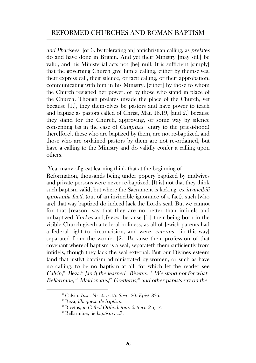and Pharisees, [or 3. by tolerating an] antichristian calling, as prelates do and have done in Britain. And yet their Ministry [may still] be valid, and his Ministerial acts not [be] null. It is sufficient [simply] that the governing Church give him a calling, either by themselves, their express call, their silence, or tacit calling, or their approbation, communicating with him in his Ministry, [either] by those to whom the Church resigned her power, or by those who stand in place of the Church. Though prelates invade the place of the Church, yet because [1.], they themselves be pastors and have power to teach and baptize as pastors called of Christ, Mat. 18.19, [and 2.] because they stand for the Church, approving, or some way by silence consenting (as in the case of Caiaphas entry to the priest-hood) there[fore], these who are baptized by them, are not re-baptized, and those who are ordained pastors by them are not re-ordained, but have a calling to the Ministry and do validly confer a calling upon others.

Yea, many of great learning think that at the beginning of

Reformation, thousands being under popery baptized by midwives and private persons were never re-baptized. [It is] not that they think such baptism valid, but where the Sacrament is lacking, ex invincibili ignorantia facti, (out of an invincible ignorance of a fact), such [who are] that way baptized do indeed lack the Lord's seal. But we cannot for that [reason] say that they are no better than infidels and unbaptized Turkes and Jewes, because [1.] their being born in the visible Church giveth a federal holiness, as all of Jewish parents had a federal right to circumcision, and were, eatenus [in this way] separated from the womb. [2.] Because their profession of that covenant whereof baptism is a seal, separateth them sufficiently from infidels, though they lack the seal external. But our Divines esteem (and that justly) baptism administrated by women, or such as have no calling, to be no baptism at all; for which let the reader see Calvin,<sup>16</sup> Beza,<sup>17</sup> [and] the learned Rivetus.<sup>18</sup> We stand not for what Bellarmine,  $^{\prime\prime}$  Maldonatus, $^{\prime\prime}$  Gretferus, $^{\prime\prime}$  and other papists say on the

 $16$  Calvin, *Inst* . *lib* . 4. *c* . 15. *Sect* . 20. *Epist* 326.

<sup>&</sup>lt;sup>17</sup> Beza, *lib. quest. de baptism.* 

 $18$  Rivetus, in Catbol. Orthod. tom. 2. tract. 2. q. 7.

 $19$  Bellarmine, de baptism.c.7.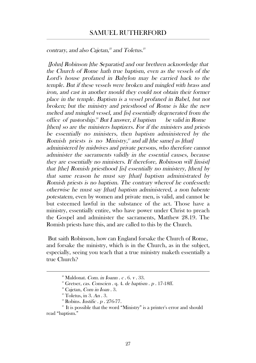contrary, and also Cajetan, $^\mathbb{29}$  and Toletus. $^\mathbb{23}$ 

 [John] Robinson [the Separatist] and our brethren acknowledge that the Church of Rome hath true baptism, even as the vessels of the Lord's house profaned in Babylon may be carried back to the temple. But if these vessels were broken and mingled with brass and iron, and cast in another mould they could not obtain their former place in the temple. Baptism is a vessel profaned in Babel, but not broken; but the ministry and priesthood of Rome is like the new melted and mingled vessel, and [is] essentially degenerated from the office of pastorship.<sup>24</sup> But I answer, if baptism be valid in Rome [then] so are the ministers baptizers. For if the ministers and priests be essentially no ministers, then baptism administered by the Romish priests is no Ministry, $^{25}$  and all [the same] as [that] administered by midwives and private persons, who therefore cannot administer the sacraments validly in the essential causes, because they are essentially no ministers. If therefore, Robinson will [insist] that [the] Romish priesthood [is] essentially no ministery, [then] by that same reason he must say [that] baptism administrated by Romish priests is no baptism. The contrary whereof he confesseth: otherwise he must say [that] baptism administered, a non babente potestatem, even by women and private men, is valid, and cannot be but esteemed lawful in the substance of the act. Those have a ministry, essentially entire, who have power under Christ to preach the Gospel and administer the sacraments, Matthew 28.19. The Romish priests have this, and are called to this by the Church.

 But saith Robinson, how can England forsake the Church of Rome, and forsake the ministry, which is in the Church, as in the subject, especially, seeing you teach that a true ministry maketh essentially a true Church?

 $^{\circ}$  Maldonat. *Com. in Ioann* .  $c$  .  $6$ .  $v$  .  $33$ .

<sup>21</sup> Gretser, cas. Conscien . q. 4. de baptism . p . 17-18ff.

 $^{22}$  Cajetan, *Com in Ioan* . 3.

 $2^{\circ}$  Toletus, in 3. An . 3.

 $^{24}$  Robins. *Iustific* .  $p$  . 276-77.

 $25$  It is possible that the word "Ministry" is a printer's error and should read "baptism."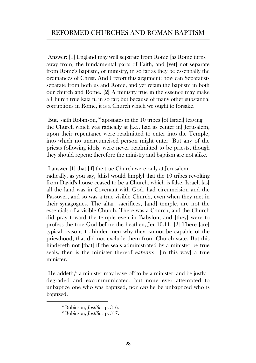Answer: [1] England may well separate from Rome [as Rome turns away from] the fundamental parts of Faith, and [yet] not separate from Rome's baptism, or ministry, in so far as they be essentially the ordinances of Christ. And I retort this argument: how can Separatists separate from both us and Rome, and yet retain the baptism in both our church and Rome. [2] A ministry true in the essence may make a Church true kata ti, in so far; but because of many other substantial corruptions in Rome, it is a Church which we ought to forsake.

But, saith Robinson,<sup>26</sup> apostates in the 10 tribes [of Israel] leaving the Church which was radically at [i.e., had its center in] Jerusalem, upon their repentance were readmitted to enter into the Temple, into which no uncircumcised person might enter. But any of the priests following idols, were never readmitted to be priests, though they should repent; therefore the ministry and baptism are not alike.

 I answer [1] that [if] the true Church were only at Jerusalem radically, as you say, [this] would [imply] that the 10 tribes revolting from David's house ceased to be a Church, which is false. Israel, [as] all the land was in Covenant with God, had circumcision and the Passover, and so was a true visible Church, even when they met in their synagogues. The altar, sacrifices, [and] temple, are not the essentials of a visible Church. There was a Church, and the Church did pray toward the temple even in Babylon, and [they] were to profess the true God before the heathen, Jer 10.11. [2] There [are] typical reasons to hinder men why they cannot be capable of the priesthood, that did not exclude them from Church state. But this hindereth not [that] if the seals administrated by a minister be true seals, then is the minister thereof eatenus [in this way] a true minister.

He addeth, $z<sup>7</sup>$  a minister may leave off to be a minister, and be justly degraded and excommunicated, but none ever attempted to unbaptize one who was baptized, nor can he be unbaptized who is baptized.

 $^{\text{\tiny{\text{26}}}}$  Robinson, *Justific* . p. 316.

 $\rm{27}$  Robinson, *Justific* . p. 317.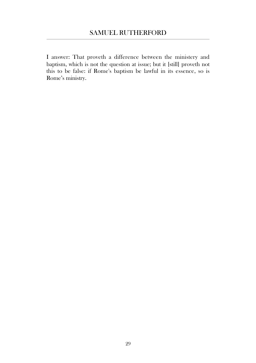I answer: That proveth a difference between the ministery and baptism, which is not the question at issue; but it [still] proveth not this to be false: if Rome's baptism be lawful in its essence, so is Rome's ministry.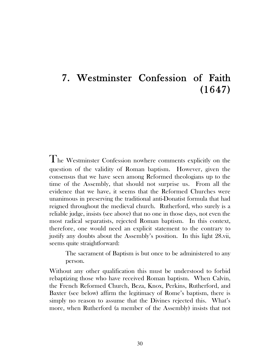# 7. Westminster Confession of Faith (1647)

The Westminster Confession nowhere comments explicitly on the question of the validity of Roman baptism. However, given the consensus that we have seen among Reformed theologians up to the time of the Assembly, that should not surprise us. From all the evidence that we have, it seems that the Reformed Churches were unanimous in preserving the traditional anti-Donatist formula that had reigned throughout the medieval church. Rutherford, who surely is a reliable judge, insists (see above) that no one in those days, not even the most radical separatists, rejected Roman baptism. In this context, therefore, one would need an explicit statement to the contrary to justify any doubts about the Assembly's position. In this light 28.vii, seems quite straightforward:

The sacrament of Baptism is but once to be administered to any person.

Without any other qualification this must be understood to forbid rebaptizing those who have received Roman baptism. When Calvin, the French Reformed Church, Beza, Knox, Perkins, Rutherford, and Baxter (see below) affirm the legitimacy of Rome's baptism, there is simply no reason to assume that the Divines rejected this. What's more, when Rutherford (a member of the Assembly) insists that not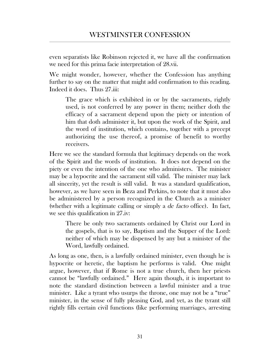even separatists like Robinson rejected it, we have all the confirmation we need for this prima facie interpretation of 28.vii.

We might wonder, however, whether the Confession has anything further to say on the matter that might add confirmation to this reading. Indeed it does. Thus 27.iii:

The grace which is exhibited in or by the sacraments, rightly used, is not conferred by any power in them; neither doth the efficacy of a sacrament depend upon the piety or intention of him that doth administer it, but upon the work of the Spirit, and the word of institution, which contains, together with a precept authorizing the use thereof, a promise of benefit to worthy receivers.

Here we see the standard formula that legitimacy depends on the work of the Spirit and the words of institution. It does not depend on the piety or even the intention of the one who administers. The minister may be a hypocrite and the sacrament still valid. The minister may lack all sincerity, yet the result is still valid. It was a standard qualification, however, as we have seen in Beza and Perkins, to note that it must also be administered by a person recognized in the Church as a minister (whether with a legitimate calling or simply a de facto office). In fact, we see this qualification in 27.iv:

There be only two sacraments ordained by Christ our Lord in the gospels, that is to say, Baptism and the Supper of the Lord: neither of which may be dispensed by any but a minister of the Word, lawfully ordained.

As long as one, then, is a lawfully ordained minister, even though he is hypocrite or heretic, the baptism he performs is valid. One might argue, however, that if Rome is not a true church, then her priests cannot be "lawfully ordained." Here again though, it is important to note the standard distinction between a lawful minister and a true minister. Like a tyrant who usurps the throne, one may not be a "true" minister, in the sense of fully pleasing God, and yet, as the tyrant still rightly fills certain civil functions (like performing marriages, arresting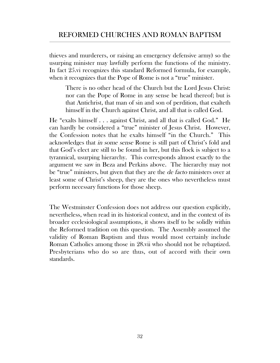thieves and murderers, or raising an emergency defensive army) so the usurping minister may lawfully perform the functions of the ministry. In fact 25.vi recognizes this standard Reformed formula, for example, when it recognizes that the Pope of Rome is not a "true" minister.

There is no other head of the Church but the Lord Jesus Christ: nor can the Pope of Rome in any sense be head thereof; but is that Antichrist, that man of sin and son of perdition, that exalteth himself in the Church against Christ, and all that is called God.

He "exalts himself . . . against Christ, and all that is called God." He can hardly be considered a "true" minister of Jesus Christ. However, the Confession notes that he exalts himself "in the Church." This acknowledges that in some sense Rome is still part of Christ's fold and that God's elect are still to be found in her, but this flock is subject to a tyrannical, usurping hierarchy. This corresponds almost exactly to the argument we saw in Beza and Perkins above. The hierarchy may not be "true" ministers, but given that they are the *de facto* ministers over at least some of Christ's sheep, they are the ones who nevertheless must perform necessary functions for those sheep.

The Westminster Confession does not address our question explicitly, nevertheless, when read in its historical context, and in the context of its broader ecclesiological assumptions, it shows itself to be solidly within the Reformed tradition on this question. The Assembly assumed the validity of Roman Baptism and thus would most certainly include Roman Catholics among those in 28.vii who should not be rebaptized. Presbyterians who do so are thus, out of accord with their own standards.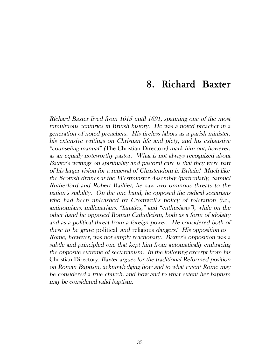# 8. Richard Baxter

Richard Baxter lived from 1615 until 1691, spanning one of the most tumultuous centuries in British history. He was a noted preacher in a generation of noted preachers. His tireless labors as a parish minister, his extensive writings on Christian life and piety, and his exhaustive "counseling manual" (The Christian Directory) mark him out, however, as an equally noteworthy pastor. What is not always recognized about Baxter's writings on spirituality and pastoral care is that they were part of his larger vision for a renewal of Christendom in Britain.<sup>†</sup> Much like the Scottish divines at the Westminster Assembly (particularly, Samuel Rutherford and Robert Baillie), he saw two ominous threats to the nation's stability. On the one hand, he opposed the radical sectarians who had been unleashed by Cromwell's policy of toleration (i.e., antinomians, millenarians, "fanatics," and "enthusiasts"), while on the other hand he opposed Roman Catholicism, both as a form of idolatry and as a political threat from a foreign power. He considered both of these to be grave political and religious dangers.<sup> $\mathbf{z}$ </sup> His opposition to Rome, however, was not simply reactionary. Baxter's opposition was a subtle and principled one that kept him from automatically embracing the opposite extreme of sectarianism. In the following excerpt from his Christian Directory, Baxter argues for the traditional Reformed position on Roman Baptism, acknowledging how and to what extent Rome may be considered a true church, and how and to what extent her baptism may be considered valid baptism.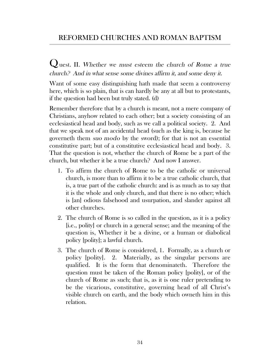# Quest. II. Whether we must esteem the church of Rome a true church? And in what sense some divines affirm it, and some deny it.

Want of some easy distinguishing hath made that seem a controversy here, which is so plain, that is can hardly be any at all but to protestants, if the question had been but truly stated. (d)

Remember therefore that by a church is meant, not a mere company of Christians, anyhow related to each other; but a society consisting of an ecclesiastical head and body, such as we call a political society. 2. And that we speak not of an accidental head (such as the king is, because he governeth them suo modo by the sword); for that is not an essential constitutive part; but of a constitutive ecclesiastical head and body. 3. That the question is not, whether the church of Rome be a part of the church, but whether it be a true church? And now I answer.

- 1. To affirm the church of Rome to be the catholic or universal church, is more than to affirm it to be a true catholic church, that is, a true part of the catholic church: and is as much as to say that it is the whole and only church, and that there is no other; which is [an] odious falsehood and usurpation, and slander against all other churches.
- 2. The church of Rome is so called in the question, as it is a policy [i.e., polity] or church in a general sense; and the meaning of the question is, Whether it be a divine, or a human or diabolical policy [polity]; a lawful church.
- 3. The church of Rome is considered, 1. Formally, as a church or policy [polity]. 2. Materially, as the singular persons are qualified. It is the form that denominateth. Therefore the question must be taken of the Roman policy [polity], or of the church of Rome as such; that is, as it is one ruler pretending to be the vicarious, constitutive, governing head of all Christ's visible church on earth, and the body which owneth him in this relation.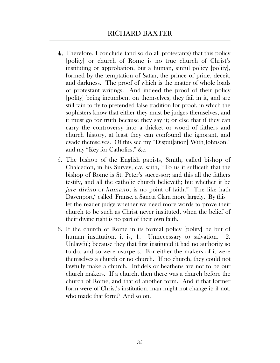- 4 . Therefore, I conclude (and so do all protestants) that this policy [polity] or church of Rome is no true church of Christ's instituting or approbation, but a human, sinful policy [polity], formed by the temptation of Satan, the prince of pride, deceit, and darkness. The proof of which is the matter of whole loads of protestant writings. And indeed the proof of their policy [polity] being incumbent on themselves, they fail in it, and are still fain to fly to pretended false tradition for proof, in which the sophisters know that either they must be judges themselves, and it must go for truth because they say it; or else that if they can carry the controversy into a thicket or wood of fathers and church history, at least they can confound the ignorant, and evade themselves. Of this see my "Disput[ation] With Johnson," and my "Key for Catholics," &c.
- 5. The bishop of the English papists, Smith, called bishop of Chalcedon, in his Survey, c.v. saith, "To us it sufficeth that the bishop of Rome is St. Peter's successor; and this all the fathers testify, and all the catholic church believeth; but whether it be jure divino or humano, is no point of faith." The like hath Davenport,"' called Fransc. a Sancta Clara more largely. By this let the reader judge whether we need more words to prove their church to be such as Christ never instituted, when the belief of their divine right is no part of their own faith.
- 6. If the church of Rome in its formal policy [polity] be but of human institution, it is, 1. Unnecessary to salvation. 2. Unlawful; because they that first instituted it had no authority so to do, and so were usurpers. For either the makers of it were themselves a church or no church. If no church, they could not lawfully make a church. Infidels or heathens are not to be our church makers. If a church, then there was a church before the church of Rome, and that of another form. And if that former form were of Christ's institution, man might not change it; if not, who made that form? And so on.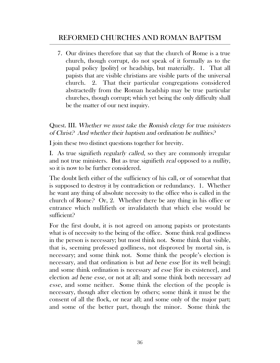7. Our divines therefore that say that the church of Rome is a true church, though corrupt, do not speak of it formally as to the papal policy [polity] or headship, but materially. 1. That all papists that are visible christians are visible parts of the universal church. 2. That their particular congregations considered abstractedly from the Roman headship may be true particular churches, though corrupt; which yet being the only difficulty shall be the matter of our next inquiry.

Quest. III. Whether we must take the Romish clergy for true ministers of Christ? And whether their baptism and ordination be nullities?

I join these two distinct questions together for brevity.

I. As true signifieth regularly called, so they are commonly irregular and not true ministers. But as true signifieth *real* opposed to a *nullity*, so it is now to be further considered.

The doubt lieth either of the sufficiency of his call, or of somewhat that is supposed to destroy it by contradiction or redundancy. 1. Whether he want any thing of absolute necessity to the office who is called in the church of Rome? Or, 2. Whether there be any thing in his office or entrance which nullifieth or invalidateth that which else would be sufficient?

For the first doubt, it is not agreed on among papists or protestants what is of necessity to the being of the office. Some think real godliness in the person is necessary; but most think not. Some think that visible, that is, seeming professed godliness, not disproved by mortal sin, is necessary; and some think not. Some think the people's election is necessary, and that ordination is but ad bene esse [for its well being]; and some think ordination is necessary ad esse [for its existence], and election ad bene esse, or not at all; and some think both necessary ad esse, and some neither. Some think the election of the people is necessary, though after election by others; some think it must be the consent of all the flock, or near all; and some only of the major part; and some of the better part, though the minor. Some think the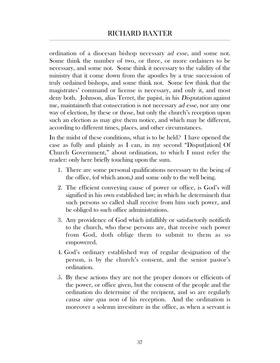ordination of a diocesan bishop necessary ad esse, and some not. Some think the number of two, or three, or more ordainers to be necessary, and some not. Some think it necessary to the validity of the ministry that it come down from the apostles by a true succession of truly ordained bishops, and some think not. Some few think that the magistrates' command or license is necessary, and only it, and most deny both. Johnson, alias Terret, the papist, in his Disputation against me, maintaineth that consecration is not necessary ad esse, nor any one way of election, by these or those, but only the church's reception upon such an election as may give them notice, and which may be different, according to different times, places, and other circumstances.

In the midst of these conditions, what is to be held? I have opened the case as fully and plainly as I can, in my second "Disput[ation] Of Church Government," about ordination, to which I must refer the reader: only here briefly touching upon the sum.

- 1. There are some personal qualifications necessary to the being of the office, (of which anon,) and some only to the well being.
- 2. The efficient conveying cause of power or office, is God's will signified in his own established law; in which he determineth that such persons so called shall receive from him such power, and be obliged to such office administrations.
- 3. Any providence of God which infallibly or satisfactorily notifieth to the church, who these persons are, that receive such power from God, doth oblige them to submit to them as so empowered.
- 4. God's ordinary established way of regular designation of the person, is by the church's consent, and the senior pastor's ordination.
- 5. By these actions they are not the proper donors or efficients of the power, or office given, but the consent of the people and the ordination do determine of the recipient, and so are regularly causa sine qua non of his reception. And the ordination is moreover a solemn investiture in the office, as when a servant is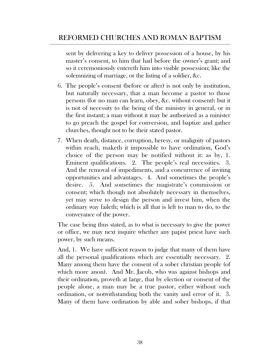sent by delivering a key to deliver possession of a house, by his master's consent, to him that had before the owner's grant; and so it ceremoniously entereth him into visible possession; like the solemnizing of marriage, or the listing of a soldier, &c.

- 6. The people's consent (before or after) is not only by institution, but naturally necessary, that a man become a pastor to those persons (for no man can learn, obey, &c. without consent): but it is not of necessity to the being of the ministry in general, or in the first instant; a man without it may be authorized as a minister to go preach the gospel for conversion, and baptize and gather churches, thought not to be their stated pastor.
- 7. When death, distance, corruption, heresy, or malignity of pastors within reach, maketh it impossible to have ordination, God's choice of the person may be notified without it: as by, 1. Eminent qualifications. 2. The people's real necessities. 3. And the removal of impediments, and a concurrence of inviting opportunities and advantages. 4. And sometimes the people's desire. 5. And sometimes the magistrate's commission or consent; which though not absolutely necessary in themselves, yet may serve to design the person and invest him, when the ordinary way faileth; which is all that is left to man to do, to the conveyance of the power.

The case being thus stated, as to what is necessary to give the power or office, we may next inquire whether any papist priest have such power, by such means.

And, 1. We have sufficient reason to judge that many of them have all the personal qualifications which are essentially necessary. 2. Many among them have the consent of a sober christian people (of which more anon). And Mr. Jacob, who was against bishops and their ordination, proveth at large, that by election or consent of the people alone, a man may be a true pastor, either without such ordination, or notwithstanding both the vanity and error of it. 3. Many of them have ordination by able and sober bishops, if that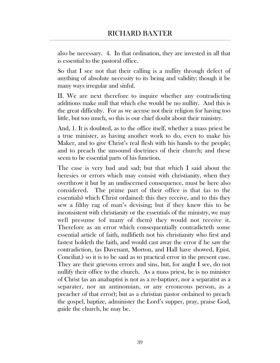also be necessary. 4. In that ordination, they are invested in all that is essential to the pastoral office.

So that I see not that their calling is a nullity through defect of anything of absolute necessity to its being and validity; though it be many ways irregular and sinful.

II. We are next therefore to inquire whether any contradicting additions make null that which else would be no nullity. And this is the great difficulty. For as we accuse not their religion for having too little, but too much, so this is our chief doubt about their ministry.

And, 1. It is doubted, as to the office itself, whether a mass priest be a true minister, as having another work to do, even to make his Maker, and to give Christ's real flesh with his hands to the people; and to preach the unsound doctrines of their church; and these seem to be essential parts of his function.

The case is very bad and sad; but that which I said about the heresies or errors which may consist with christianity, when they overthrow it but by an undiscerned consequence, must be here also considered. The prime part of their office is that (as to the essentials) which Christ ordained: this they receive, and to this they sew a filthy rag of man's devising; but if they knew this to be inconsistent with christianity or the essentials of the ministry, we may well presume (of many of them) they would not receive it. Therefore as an error which consequentially contradicteth some essential article of faith, nullifieth not his christianity who first and fastest holdeth the faith, and would cast away the error if he saw the contradiction, (as Davenant, Morton, and Hall have showed, Epist. Conciliat.) so it is to be said as to practical error in the present case. They are their grievous errors and sins, but, for aught I see, do not nullify their office to the church. As a mass priest, he is no minister of Christ (as an anabaptist is not as a re-baptizer, nor a separatist as a separater, nor an antinomian, or any erroneous person, as a preacher of that error); but as a christian pastor ordained to preach the gospel, baptize, administer the Lord's supper, pray, praise God, guide the church, he may be.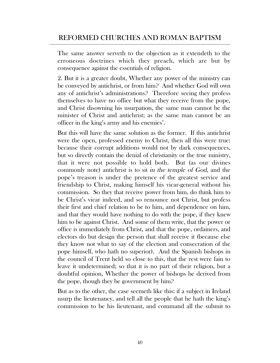The same answer serveth to the objection as it extendeth to the erroneous doctrines which they preach, which are but by consequence against the essentials of religion.

2. But it is a greater doubt, Whether any power of the ministry can be conveyed by antichrist, or from him? And whether God will own any of antichrist's administrations? Therefore seeing they profess themselves to have no office but what they receive from the pope, and Christ disowning his usurpation, the same man cannot be the minister of Christ and antichrist; as the same man cannot be an officer in the king's army and his enemies'.

But this will have the same solution as the former. If this antichrist were the open, professed enemy to Christ, then all this were true: because their corrupt additions would not by dark consequences, but so directly contain the denial of christianity or the true ministry, that it were not possible to hold both. But (as our divines commonly note) antichrist is to sit in the temple of God, and the pope's treason is under the pretence of the greatest service and friendship to Christ, making himself his vicar-general without his commission. So they that receive power from him, do think him to be Christ's vicar indeed, and so renounce not Christ, but profess their first and chief relation to be to him, and dependence on him, and that they would have nothing to do with the pope, if they knew him to be against Christ. And some of them write, that the power or office is immediately from Christ, and that the pope, ordainers, and electors do but design the person that shall receive it (because else they know not what to say of the election and consecration of the pope himself, who hath no superior). And the Spanish bishops in the council of Trent held so close to this, that the rest were fain to leave it undetermined; so that it is no part of their religion, but a doubtful opinion, Whether the power of bishops be derived from the pope, though they be government by him?

But as to the other, the case seemeth like this: if a subject in Ireland usurp the lieutenancy, and tell all the people that he hath the king's commission to be his lieutenant, and command all the submit to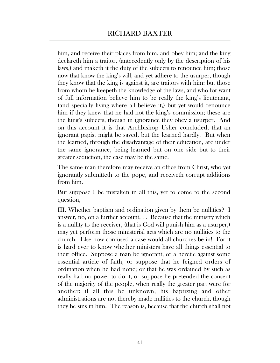him, and receive their places from him, and obey him; and the king declareth him a traitor, (antecedently only by the description of his laws,) and maketh it the duty of the subjects to renounce him; those now that know the king's will, and yet adhere to the usurper, though they know that the king is against it, are traitors with him: but those from whom he keepeth the knowledge of the laws, and who for want of full information believe him to be really the king's lieutenant, (and specially living where all believe it,) but yet would renounce him if they knew that he had not the king's commission; these are the king's subjects, though in ignorance they obey a usurper. And on this account it is that Archbishop Usher concluded, that an ignorant papist might be saved, but the learned hardly. But when the learned, through the disadvantage of their education, are under the same ignorance, being learned but on one side but to their greater seduction, the case may be the same.

The same man therefore may receive an office from Christ, who yet ignorantly submitteth to the pope, and receiveth corrupt additions from him.

But suppose I be mistaken in all this, yet to come to the second question,

III. Whether baptism and ordination given by them be nullities? I answer, no, on a further account, 1. Because that the ministry which is a nullity to the receiver, (that is God will punish him as a usurper,) may yet perform those ministerial acts which are no nullities to the church. Else how confused a case would all churches be in! For it is hard ever to know whether ministers have all things essential to their office. Suppose a man be ignorant, or a heretic against some essential article of faith, or suppose that he feigned orders of ordination when he had none; or that he was ordained by such as really had no power to do it; or suppose he pretended the consent of the majority of the people, when really the greater part were for another: if all this be unknown, his baptizing and other administrations are not thereby made nullities to the church, though they be sins in him. The reason is, because that the church shall not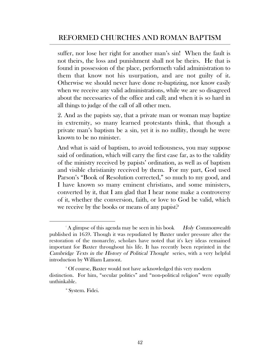suffer, nor lose her right for another man's sin! When the fault is not theirs, the loss and punishment shall not be theirs. He that is found in possession of the place, performeth valid administration to them that know not his usurpation, and are not guilty of it. Otherwise we should never have done re-baptizing, nor know easily when we receive any valid administrations, while we are so disagreed about the necessaries of the office and call; and when it is so hard in all things to judge of the call of all other men.

2. And as the papists say, that a private man or woman may baptize in extremity, so many learned protestants think, that though a private man's baptism be a sin, yet it is no nullity, though he were known to be no minister.

And what is said of baptism, to avoid tediousness, you may suppose said of ordination, which will carry the first case far, as to the validity of the ministry received by papists' ordination, as well as of baptism and visible christianity received by them. For my part, God used Parson's "Book of Resolution corrected," so much to my good, and I have known so many eminent christians, and some ministers, converted by it, that I am glad that I hear none make a controversy of it, whether the conversion, faith, or love to God be valid, which we receive by the books or means of any papist?

 $A$  glimpse of this agenda may be seen in his book  $H$ oly Commonwealth published in 1659. Though it was repudiated by Baxter under pressure after the restoration of the monarchy, scholars have noted that it's key ideas remained important for Baxter throughout his life. It has recently been reprinted in the Cambridge Texts in the History of Political Thought series, with a very helpful introduction by William Lamont.

 $\,$  Of course, Baxter would not have acknowledged this very modern distinction. For him, "secular politics" and "non-political religion" were equally unthinkable.

iii System. Fidei.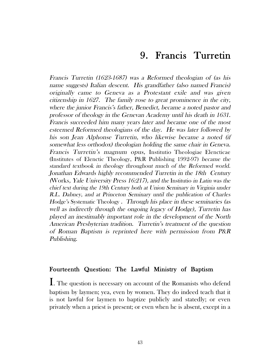# 9. Francis Turretin

Francis Turretin (1623-1687) was a Reformed theologian of (as his name suggests) Italian descent. His grandfather (also named Francis) originally came to Geneva as a Protestant exile and was given citizenship in 1627. The family rose to great prominence in the city, where the junior Francis's father, Benedict, became a noted pastor and professor of theology in the Genevan Academy until his death in 1631. Francis succeeded him many years later and became one of the most esteemed Reformed theologians of the day. He was later followed by his son Jean Alphonse Turretin, who likewise became a noted (if somewhat less orthodox) theologian holding the same chair in Geneva. Francis Turretin's magnum opus, Institutio Theologiae Elencticae (Institutes of Elenctic Theology, P&R Publishing 1992-97) became the standard textbook in theology throughout much of the Reformed world. Jonathan Edwards highly recommended Turretin in the 18th Century (Works, Yale University Press 16:217), and the Institutio in Latin was the chief text during the 19th Century both at Union Seminary in Virginia under R.L. Dabney, and at Princeton Seminary until the publication of Charles Hodge's Systematic Theology . Through his place in these seminaries (as well as indirectly through the ongoing legacy of Hodge), Turretin has played an inestimably important role in the development of the North American Presbyterian tradition. Turretin's treatment of the question of Roman Baptism is reprinted here with permission from P&R Publishing.

#### Fourteenth Question: The Lawful Ministry of Baptism

I. The question is necessary on account of the Romanists who defend baptism by laymen; yea, even by women. They do indeed teach that it is not lawful for laymen to baptize publicly and statedly; or even privately when a priest is present; or even when he is absent, except in a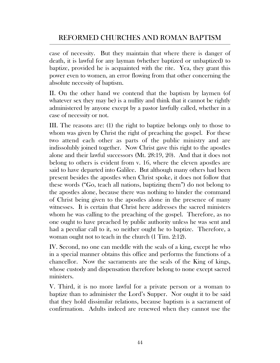case of necessity. But they maintain that where there is danger of death, it is lawful for any layman (whether baptized or unbaptized) to baptize, provided he is acquainted with the rite. Yea, they grant this power even to women, an error flowing from that other concerning the absolute necessity of baptism.

II. On the other hand we contend that the baptism by laymen (of whatever sex they may be) is a nullity and think that it cannot be rightly administered by anyone except by a pastor lawfully called, whether in a case of necessity or not.

III. The reasons are: (1) the right to baptize belongs only to those to whom was given by Christ the right of preaching the gospel. For these two attend each other as parts of the public ministry and are indissolubly joined together. Now Christ gave this right to the apostles alone and their lawful successors (Mt. 28:19, 20). And that it does not belong to others is evident from v. 16, where the eleven apostles are said to have departed into Galilee. But although many others had been present besides the apostles when Christ spoke, it does not follow that these words ("Go, teach all nations, baptizing them") do not belong to the apostles alone, because there was nothing to hinder the command of Christ being given to the apostles alone in the presence of many witnesses. It is certain that Christ here addresses the sacred ministers whom he was calling to the preaching of the gospel. Therefore, as no one ought to have preached by public authority unless he was sent and had a peculiar call to it, so neither ought he to baptize. Therefore, a woman ought not to teach in the church (1 Tim. 2:12).

IV. Second, no one can meddle with the seals of a king, except he who in a special manner obtains this office and performs the functions of a chancellor. Now the sacraments are the seals of the King of kings, whose custody and dispensation therefore belong to none except sacred ministers.

V. Third, it is no more lawful for a private person or a woman to baptize than to administer the Lord's Supper. Nor ought it to be said that they hold dissimilar relations, because baptism is a sacrament of confirmation. Adults indeed are renewed when they cannot use the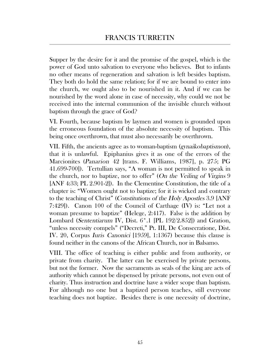Supper by the desire for it and the promise of the gospel, which is the power of God unto salvation to everyone who believes. But to infants no other means of regeneration and salvation is left besides baptism. They both do hold the same relation; for if we are bound to enter into the church, we ought also to be nourished in it. And if we can be nourished by the word alone in case of necessity, why could we not be received into the internal communion of the invisible church without baptism through the grace of God?

VI. Fourth, because baptism by laymen and women is grounded upon the erroneous foundation of the absolute necessity of baptism. This being once overthrown, that must also necessarily be overthrown.

VII. Fifth, the ancients agree as to woman-baptism (gynaikobaptismon), that it is unlawful. Epiphanius gives it as one of the errors of the Marcionites (Panarion 42 [trans. F. Williams, 1987], p. 275; PG 41.699-700]). Tertullian says, "A woman is not permitted to speak in the church, nor to baptize, nor to offer" (On the Veiling of Virgins  $9$ [ANF 4:33; PL 2.901-2]). In the Clementine Constitution, the title of a chapter is: "Women ought not to baptize; for it is wicked and contrary to the teaching of Christ" (Constitutions of the Holy Apostles 3.9 [ANF 7:429]). Canon 100 of the Council of Carthage (IV) is: "Let not a woman presume to baptize" (Helege, 2:417). False is the addition by Lombard (Sententiarum IV, Dist. 6\*.1 [PL 192/2.852]) and Gration, "unless necessity compels" ("Decreti," Pt. III, De Consecratione, Dist. IV. 20, Corpus Iuris Canonici [1959], 1:1367) because this clause is found neither in the canons of the African Church, nor in Balsamo.

VIII. The office of teaching is either public and from authority, or private from charity. The latter can be exercised by private persons, but not the former. Now the sacraments as seals of the king are acts of authority which cannot be dispensed by private persons, not even out of charity. Thus instruction and doctrine have a wider scope than baptism. For although no one but a baptized person teaches, still everyone teaching does not baptize. Besides there is one necessity of doctrine,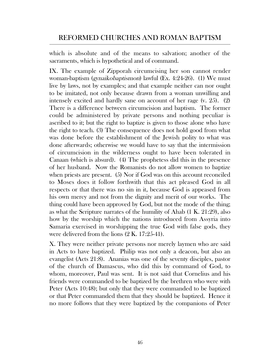which is absolute and of the means to salvation; another of the sacraments, which is hypothetical and of command.

IX. The example of Zipporah circumcising her son cannot render woman-baptism (gynaikobaptismon) lawful (Ex. 4:24-26). (1) We must live by laws, not by examples; and that example neither can nor ought to be imitated, not only because drawn from a woman unwilling and intensely excited and hardly sane on account of her rage (v. 25). (2) There is a difference between circumcision and baptism. The former could be administered by private persons and nothing peculiar is ascribed to it; but the right to baptize is given to those alone who have the right to teach. (3) The consequence does not hold good from what was done before the establishment of the Jewish polity to what was done afterwards; otherwise we would have to say that the intermission of circumcision in the wilderness ought to have been tolerated in Canaan (which is absurd). (4) The prophetess did this in the presence of her husband. Now the Romanists do not allow women to baptize when priests are present. (5) Nor if God was on this account reconciled to Moses does it follow forthwith that this act pleased God in all respects or that there was no sin in it, because God is appeased from his own mercy and not from the dignity and merit of our works. The thing could have been approved by God, but not the mode of the thing; as what the Scripture narrates of the humility of Ahab (1 K. 21:29), also how by the worship which the nations introduced from Assyria into Samaria exercised in worshipping the true God with false gods, they were delivered from the lions (2 K. 17:25-41).

X. They were neither private persons nor merely laymen who are said in Acts to have baptized. Philip was not only a deacon, but also an evangelist (Acts 21:8). Ananias was one of the seventy disciples, pastor of the church of Damascus, who did this by command of God, to whom, moreover, Paul was sent. It is not said that Cornelius and his friends were commanded to be baptized by the brethren who were with Peter (Acts 10:48); but only that they were commanded to be baptized or that Peter commanded them that they should be baptized. Hence it no more follows that they were baptized by the companions of Peter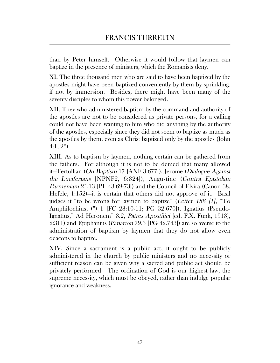than by Peter himself. Otherwise it would follow that laymen can baptize in the presence of ministers, which the Romanists deny.

XI. The three thousand men who are said to have been baptized by the apostles might have been baptized conveniently by them by sprinkling, if not by immersion. Besides, there might have been many of the seventy disciples to whom this power belonged.

XII. They who administered baptism by the command and authority of the apostles are not to be considered as private persons, for a calling could not have been wanting to him who did anything by the authority of the apostles, especially since they did not seem to baptize as much as the apostles by them, even as Christ baptized only by the apostles (John 4:1, 2\*).

XIII. As to baptism by laymen, nothing certain can be gathered from the fathers. For although it is not to be denied that many allowed it—Tertullian (On Baptism 17 [ANF 3:677]), Jerome (Dialogue Against the Luciferians [NPNF2, 6:324]), Augustine (Contra Epistolam Parmeniani 2<sup>\*</sup>.13 [PL 43.69-73]) and the Council of Elvira (Canon 38, Hefele, 1:152)—it is certain that others did not approve of it. Basil judges it "to be wrong for laymen to baptize" (Letter 188 [1], "To Amphilochius, (") 1 [FC 28:10-11; PG 32.670]). Ignatius (Pseudo-Ignatius," Ad Heronem" 3.2, Patres Apostilici [ed. F.X. Funk, 1913], 2:311) and Epiphanius (Panarion 79.3 [PG 42.743]) are so averse to the administration of baptism by laymen that they do not allow even deacons to baptize.

XIV. Since a sacrament is a public act, it ought to be publicly administered in the church by public ministers and no necessity or sufficient reason can be given why a sacred and public act should be privately performed. The ordination of God is our highest law, the supreme necessity, which must be obeyed, rather than indulge popular ignorance and weakness.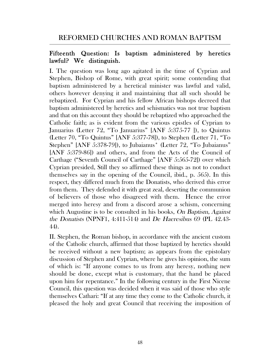#### Fifteenth Question: Is baptism administered by heretics lawful? We distinguish.

I. The question was long ago agitated in the time of Cyprian and Stephen, Bishop of Rome, with great spirit; some contending that baptism administered by a heretical minister was lawful and valid, others however denying it and maintaining that all such should be rebaptized. For Cyprian and his fellow African bishops decreed that baptism administered by heretics and schismatics was not true baptism and that on this account they should be rebaptized who approached the Catholic faith; as is evident from the various epistles of Cyprian to Januarius (Letter 72, "To Januarius" [ANF 5:375-77 ]), to Quintus (Letter 70, "To Quintus" [ANF 5:377-78]), to Stephen (Letter 71, "To Stephen" [ANF 5:378-79]), to Jubaianus\* (Letter 72, "To Jubaianus" [ANF 5:379-86]) and others, and from the Acts of the Council of Carthage ("Seventh Council of Carthage" [ANF 5:565-72]) over which Cyprian presided, Still they so affirmed these things as not to conduct themselves say in the opening of the Council, ibid., p. 565). In this respect, they differed much from the Donatists, who derived this error from them. They defended it with great zeal, deserting the communion of believers of those who disagreed with them. Hence the error merged into heresy and from a discord arose a schism, concerning which Augustine is to be consulted in his books, On Baptism, Against the Donatists (NPNF1, 4:411-514) and De Haeresibus 69 (PL 42.43- 44).

II. Stephen, the Roman bishop, in accordance with the ancient custom of the Catholic church, affirmed that those baptized by heretics should be received without a new baptism; as appears from the epistolary discussion of Stephen and Cyprian, where he gives his opinion, the sum of which is: "If anyone comes to us from any heresy, nothing new should be done, except what is customary, that the hand be placed upon him for repentance." In the following century in the First Nicene Council, this question was decided when it was said of those who style themselves Cathari: "If at any time they come to the Catholic church, it pleased the holy and great Council that receiving the imposition of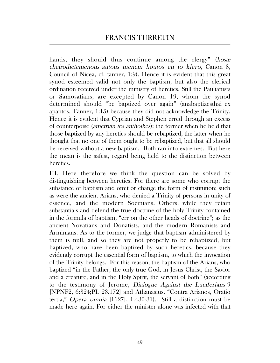hands, they should thus continue among the clergy" (hoste cheirothetemenous autous menein houtos en to klero, Canon 8, Council of Nicea, cf. tanner, 1:9). Hence it is evident that this great synod esteemed valid not only the baptism, but also the clerical ordination received under the ministry of heretics. Still the Paulianists or Samosatians, are excepted by Canon 19, whom the synod determined should "be baptized over again" (anabaptizesthai ex apantos, Tanner, 1:15) because they did not acknowledge the Trinity. Hence it is evident that Cyprian and Stephen erred through an excess of counterpoise (ametrian tes antholkes): the former when he held that those baptized by any heretics should be rebaptized, the latter when he thought that no one of them ought to be rebaptized, but that all should be received without a new baptism. Both ran into extremes. But here the mean is the safest, regard being held to the distinction between heretics.

III. Here therefore we think the question can be solved by distinguishing between heretics. For there are some who corrupt the substance of baptism and omit or change the form of institution; such as were the ancient Arians, who denied a Trinity of persons in unity of essence, and the modern Socinians. Others, while they retain substantials and defend the true doctrine of the holy Trinity contained in the formula of baptism, "err on the other heads of doctrine"; as the ancient Novatians and Donatists, and the modern Romanists and Arminians. As to the former, we judge that baptism administered by them is null, and so they are not properly to be rebaptized, but baptized, who have been baptized by such heretics, because they evidently corrupt the essential form of baptism, to which the invocation of the Trinity belongs. For this reason, the baptism of the Arians, who baptized "in the Father, the only true God, in Jesus Christ, the Savior and a creature, and in the Holy Spirit, the servant of both" (according to the testimony of Jerome, Dialogue Against the Luciferians 9 [NPNF2, 6:324;PL 23.172] and Athanasius, "Contra Arianos, Oratio tertia," Opera omnia [1627], 1:430-31). Still a distinction must be made here again. For either the minister alone was infected with that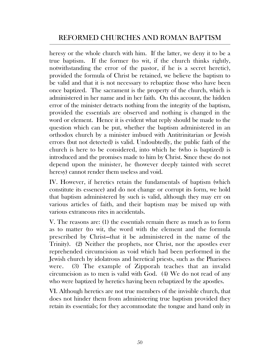heresy or the whole church with him. If the latter, we deny it to be a true baptism. If the former (to wit, if the church thinks rightly, notwithstanding the error of the pastor, if he is a secret heretic), provided the formula of Christ be retained, we believe the baptism to be valid and that it is not necessary to rebaptize those who have been once baptized. The sacrament is the property of the church, which is administered in her name and in her faith. On this account, the hidden error of the minister detracts nothing from the integrity of the baptism, provided the essentials are observed and nothing is changed in the word or element. Hence it is evident what reply should be made to the question which can be put, whether the baptism administered in an orthodox church by a minister imbued with Antitrinitarian or Jewish errors (but not detected) is valid. Undoubtedly, the public faith of the church is here to be considered, into which he (who is baptized) is introduced and the promises made to him by Christ. Since these do not depend upon the minister, he (however deeply tainted with secret heresy) cannot render them useless and void.

IV. However, if heretics retain the fundamentals of baptism (which constitute its essence) and do not change or corrupt its form, we hold that baptism administered by such is valid, although they may err on various articles of faith, and their baptism may be mixed up with various extraneous rites in accidentals.

V. The reasons are: (1) the essentials remain there as much as to form as to matter (to wit, the word with the element and the formula prescribed by Christ—that it be administered in the name of the Trinity). (2) Neither the prophets, nor Christ, nor the apostles ever reprehended circumcision as void which had been performed in the Jewish church by idolatrous and heretical priests, such as the Pharisees were. (3) The example of Zipporah teaches that an invalid circumcision as to men is valid with God. (4) We do not read of any who were baptized by heretics having been rebaptized by the apostles.

VI. Although heretics are not true members of the invisible church, that does not hinder them from administering true baptism provided they retain its essentials; for they accommodate the tongue and hand only in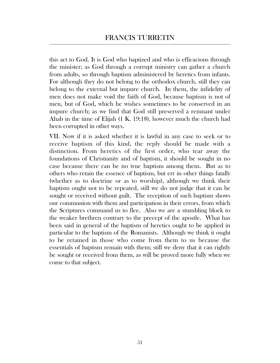this act to God. It is God who baptized and who is efficacious through the minister; as God through a corrupt ministry can gather a church from adults, so through baptism administered by heretics from infants. For although they do not belong to the orthodox church, still they can belong to the external but impure church. In them, the infidelity of men does not make void the faith of God, because baptism is not of men, but of God, which he wishes sometimes to be conserved in an impure church; as we find that God still preserved a remnant under Ahab in the time of Elijah (1 K. 19:18), however much the church had been corrupted in other ways.

VII. Now if it is asked whether it is lawful in any case to seek or to receive baptism of this kind, the reply should be made with a distinction. From heretics of the first order, who tear away the foundations of Christianity and of baptism, it should be sought in no case because there can be no true baptism among them. But as to others who retain the essence of baptism, but err in other things fatally (whether as to doctrine or as to worship), although we think their baptism ought not to be repeated, still we do not judge that it can be sought or received without guilt. The reception of such baptism shows our communion with them and participation in their errors, from which the Scriptures command us to flee. Also we are a stumbling block to the weaker brethren contrary to the precept of the apostle. What has been said in general of the baptism of heretics ought to be applied in particular to the baptism of the Romanists. Although we think it ought to be retained in those who come from them to us because the essentials of baptism remain with them; still we deny that it can rightly be sought or received from them, as will be proved more fully when we come to that subject.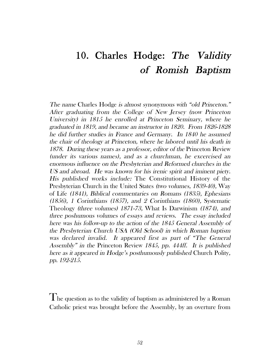# 10. Charles Hodge: The Validity of Romish Baptism

The name Charles Hodge is almost synonymous with "old Princeton." After graduating from the College of New Jersey (now Princeton University) in 1815 he enrolled at Princeton Seminary, where he graduated in 1819, and became an instructor in 1820. From 1826-1828 he did further studies in France and Germany. In 1840 he assumed the chair of theology at Princeton, where he labored until his death in 1878. During these years as a professor, editor of the Princeton Review (under its various names), and as a churchman, he excercised an enormous influence on the Presbyterian and Reformed churches in the US and abroad. He was known for his irenic spirit and iminent piety. His published works include: The Constitutional History of the Presbyterian Church in the United States (two volumes, 1839-40), Way of Life (1841), Biblical commentaries on Romans (1835), Ephesians (1856), 1 Corinthians (1857), and 2 Corinthians (1860), Systematic Theology (three volumes) 1871-73, What Is Darwinism (1874), and three poshumous volumes of essays and reviews. The essay included here was his follow-up to the action of the 1845 General Assembly of the Presbyterian Church USA (Old School) in which Roman baptism was declared invalid. It appeared first as part of "The General Assembly" in the Princeton Review 1845, pp. 444ff. It is published here as it appeared in Hodge's posthumously published Church Polity, pp. 192-215.

The question as to the validity of baptism as administered by a Roman Catholic priest was brought before the Assembly, by an overture from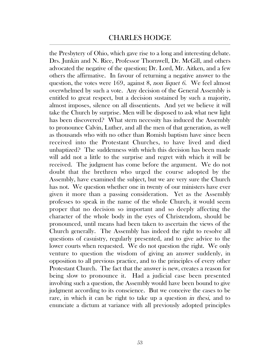the Presbytery of Ohio, which gave rise to a long and interesting debate. Drs. Junkin and N. Rice, Professor Thornwell, Dr. McGill, and others advocated the negative of the question; Dr. Lord, Mr. Aitken, and a few others the affirmative. In favour of returning a negative answer to the question, the votes were 169, against 8, non liquet 6. We feel almost overwhelmed by such a vote. Any decision of the General Assembly is entitled to great respect, but a decision sustained by such a majority, almost imposes, silence on all dissentients. And yet we believe it will take the Church by surprise. Men will be disposed to ask what new light has been discovered? What stern necessity has induced the Assembly to pronounce Calvin, Luther, and all the men of that generation, as well as thousands who with no other than Romish baptism have since been received into the Protestant Churches, to have lived and died unbaptized? The suddenness with which this decision has been made will add not a little to the surprise and regret with which it will be received. The judgment has come before the argument. We do not doubt that the brethren who urged the course adopted by the Assembly, have examined the subject, but we are very sure the Church has not. We question whether one in twenty of our ministers have ever given it more than a passing consideration. Yet as the Assembly professes to speak in the name of the whole Church, it would seem proper that no decision so important and so deeply affecting the character of the whole body in the eyes of Christendom, should be pronounced, until means had been taken to ascertain the views of the Church generally. The Assembly has indeed the right to resolve all questions of casuistry, regularly presented, and to give advice to the lower courts when requested. We do not question the right. We only venture to question the wisdom of giving an answer suddenly, in opposition to all previous practice, and to the principles of every other Protestant Church. The fact that the answer is new, creates a reason for being slow to pronounce it. Had a judicial case been presented involving such a question, the Assembly would have been bound to give judgment according to its conscience. But we conceive the cases to be rare, in which it can be right to take up a question in thesi, and to enunciate a dictum at variance with all previously adopted principles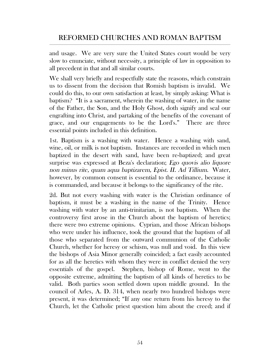and usage. We are very sure the United States court would be very slow to enunciate, without necessity, a principle of law in opposition to all precedent in that and all similar courts.

We shall very briefly and respectfully state the reasons, which constrain us to dissent from the decision that Romish baptism is invalid. We could do this, to our own satisfaction at least, by simply asking: What is baptism? "It is a sacrament, wherein the washing of water, in the name of the Father, the Son, and the Holy Ghost, doth signify and seal our engrafting into Christ, and partaking of the benefits of the covenant of grace, and our engagements to be the Lord's." There are three essential points included in this definition.

1st. Baptism is a washing with water. Hence a washing with sand, wine, oil, or milk is not baptism. Instances are recorded in which men baptized in the desert with sand, have been re-baptized; and great surprise was expressed at Beza's declaration; Ego quovis alio liquore non minus rite, quam aqua baptizarem, Epist. II. Ad Tillium. Water, however, by common consent is essential to the ordinance, because it is commanded, and because it belongs to the significancy of the rite.

2d. But not every washing with water is the Christian ordinance of baptism, it must be a washing in the name of the Trinity. Hence washing with water by an anti-trinitarian, is not baptism. When the controversy first arose in the Church about the baptism of heretics; there were two extreme opinions. Cyprian, and those African bishops who were under his influence, took the ground that the baptism of all those who separated from the outward communion of the Catholic Church, whether for heresy or schism, was null and void. In this view the bishops of Asia Minor generally coincided; a fact easily accounted for as all the heretics with whom they were in conflict denied the very essentials of the gospel. Stephen, bishop of Rome, went to the opposite extreme, admitting the baptism of all kinds of heretics to be valid. Both parties soon settled down upon middle ground. In the council of Arles, A. D. 314, when nearly two hundred bishops were present, it was determined; "If any one return from his heresy to the Church, let the Catholic priest question him about the creed; and if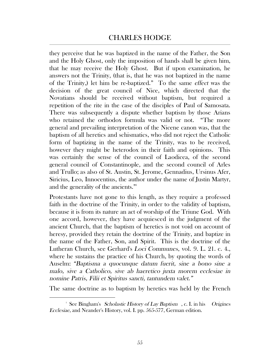they perceive that he was baptized in the name of the Father, the Son and the Holy Ghost, only the imposition of hands shall be given him, that he may receive the Holy Ghost. But if upon examination, he answers not the Trinity, (that is, that he was not baptized in the name of the Trinity,) let him be re-baptized." To the same effect was the decision of the great council of Nice, which directed that the Novatians should be received without baptism, but required a repetition of the rite in the case of the disciples of Paul of Samosata. There was subsequently a dispute whether baptism by those Arians who retained the orthodox formula was valid or not. "The more general and prevailing interpretation of the Nicene canon was, that the baptism of all heretics and schismatics, who did not reject the Catholic form of baptizing in the name of the Trinity, was to be received, however they might be heterodox in their faith and opinions. This was certainly the sense of the council of Laodicea, of the second general council of Constantinople, and the second council of Arles and Trullo; as also of St. Austin, St. Jerome, Gennadius, Ursinus Afer, Siricius, Leo, Innocentius, the author under the name of Justin Martyr, and the generality of the ancients."

Protestants have not gone to this length, as they require a professed faith in the doctrine of the Trinity, in order to the validity of baptism, because it is from its nature an act of worship of the Triune God. With one accord, however, they have acquiesced in the judgment of the ancient Church, that the baptism of heretics is not void on account of heresy, provided they retain the doctrine of the Trinity, and baptize in the name of the Father, Son, and Spirit. This is the doctrine of the Lutheran Church, see Gerhard's Loci Communes, vol. 9. L. 21. c. 4., where he sustains the practice of his Church, by quoting the words of Auselm: "Baptisma <sup>a</sup> quocunque datum fuerit, sine <sup>a</sup> bono sine <sup>a</sup> malo, sive <sup>a</sup> Catholico, sive ab haeretico juxta morem ecclesiae in nomine Patris, Filii et Spiritus sancti, tantundem valet."

The same doctrine as to baptism by heretics was held by the French

 $\overline{a}$ 

<sup>&</sup>lt;sup>1</sup> See Bingham's Scholastic History of Lay Baptism , c. I. in his Origines Ecclesiae, and Neander's History, vol. I. pp. 565-577, German edition.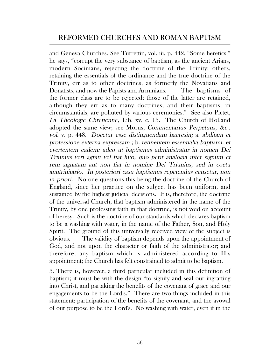and Geneva Churches. See Turrettin, vol. iii. p. 442. "Some heretics," he says, "corrupt the very substance of baptism, as the ancient Arians, modern Socinians, rejecting the doctrine of the Trinity; others, retaining the essentials of the ordinance and the true doctrine of the Trinity, err as to other doctrines, as formerly the Novatians and Donatists, and now the Papists and Arminians. The baptisms of the former class are to be rejected; those of the latter are retained, although they err as to many doctrines, and their baptisms, in circumstantials, are polluted by various ceremonies." See also Pictet, La Theologie Chretienne, Lib. xv. c. 13. The Church of Holland adopted the same view; see Morus, Commentarius Perpetuus, &c., vol. v. p. 448. Docetur esse distinguendam haeresin; a. abditam et professione externa expressam ; b. retinentem essentialia baptismi, et evertentem eadem: adeo ut baptismus administratur in nomen Dei Triunius veri agniti vel fiat luto, quo perit analogia inter signum et rem signatam aut non fiat in nomine Dei Triunius, sed in coetu antitrinitario. In posteriori casu baptismus repetendus censetur, non in priori. No one questions this being the doctrine of the Church of England, since her practice on the subject has been uniform, and sustained by the highest judicial decisions. It is, therefore, the doctrine of the universal Church, that baptism administered in the name of the Trinity, by one professing faith in that doctrine, is not void on account of heresy. Such is the doctrine of our standards which declares baptism to be a washing with water, in the name of the Father, Son, and Holy Spirit. The ground of this universally received view of the subject is obvious. The validity of baptism depends upon the appointment of God, and not upon the character or faith of the administrator; and therefore, any baptism which is administered according to His appointment; the Church has felt constrained to admit to be baptism.

3. There is, however, a third particular included in this definition of baptism; it must be with the design "to signify and seal our ingrafting into Christ, and partaking the benefits of the covenant of grace and our engagements to be the Lord's." There are two things included in this statement; participation of the benefits of the covenant, and the avowal of our purpose to be the Lord's. No washing with water, even if in the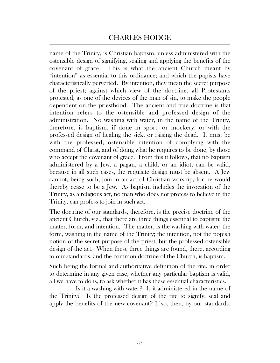name of the Trinity, is Christian baptism, unless administered with the ostensible design of signifying, sealing and applying the benefits of the covenant of grace. This is what the ancient Church meant by "intention" as essential to this ordinance; and which the papists have characteristically perverted. By intention, they mean the secret purpose of the priest; against which view of the doctrine, all Protestants protested, as one of the devices of the man of sin, to make the people dependent on the priesthood. The ancient and true doctrine is that intention refers to the ostensible and professed design of the administration. No washing with water, in the name of the Trinity, therefore, is baptism, if done in sport, or mockery, or with the professed design of healing the sick, or raising the dead. It must be with the professed, ostensible intention of complying with the command of Christ, and of doing what he requires to be done, by those who accept the covenant of grace. From this it follows, that no baptism administered by a Jew, a pagan, a child, or an idiot, can be valid, because in all such cases, the requisite design must be absent. A Jew cannot, being such, join in an act of Christian worship, for he would thereby cease to be a Jew. As baptism includes the invocation of the Trinity, as a religious act, no man who does not profess to believe in the Trinity, can profess to join in such act.

The doctrine of our standards, therefore, is the precise doctrine of the ancient Church, viz., that there are three things essential to baptism; the matter, form, and intention. The matter, is the washing with water; the form, washing in the name of the Trinity; the intention, not the popish notion of the secret purpose of the priest, but the professed ostensible design of the act. When these three things are found, there, according to our standards, and the common doctrine of the Church, is baptism.

Such being the formal and authoritative definition of the rite, in order to determine in any given case, whether any particular baptism is valid, all we have to do is, to ask whether it has these essential characteristics.

Is it a washing with water? Is it administered in the name of the Trinity? Is the professed design of the rite to signify, seal and apply the benefits of the new covenant? If so, then, by our standards,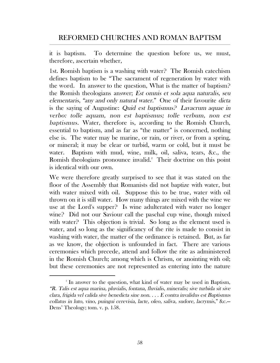it is baptism. To determine the question before us, we must, therefore, ascertain whether,

1st. Romish baptism is a washing with water? The Romish catechism defines baptism to be "The sacrament of regeneration by water with the word. In answer to the question, What is the matter of baptism? the Romish theologians answer; Est omnis et sola aqua naturalis, seu elementaris, "any and only natural water." One of their favourite dicta is the saying of Augustine: Quid est baptismus? Lavacrum aquae in verbo: tolle aquam, non est baptismus; tolle verbum, non est baptismus. Water, therefore is, according to the Romish Church, essential to baptism, and as far as "the matter" is concerned, nothing else is. The water may be marine, or rain, or river, or from a spring, or mineral; it may be clear or turbid, warm or cold, but it must be water. Baptism with mud, wine, milk, oil, saliva, tears, &c., the Romish theologians pronounce invalid. 2 Their doctrine on this point is identical with our own.

We were therefore greatly surprised to see that it was stated on the floor of the Assembly that Romanists did not baptize with water, but with water mixed with oil. Suppose this to be true, water with oil thrown on it is still water. How many things are mixed with the wine we use at the Lord's supper? Is wine adulterated with water no longer wine? Did not our Saviour call the paschal cup wine, though mixed with water? This objection is trivial. So long as the element used is water, and so long as the significancy of the rite is made to consist in washing with water, the matter of the ordinance is retained. But, as far as we know, the objection is unfounded in fact. There are various ceremonies which precede, attend and follow the rite as administered in the Romish Church; among which is Chrism, or anointing with oil; but these ceremonies are not represented as entering into the nature

<sup>2</sup> In answer to the question, what kind of water may be used in Baptism, "R. Talis est aqua marina, pluvialis, fontana, fluvialis, mineralis; sive turbida sit sive clara, frigida vel calida sive benedicta sine non. . . . E contra invalidus est Baptismus collatus in luto, vino, puingui cerevisia, lacte, oleo, saliva, sudore, lacrymis," &c.— Dens' Theology; tom. v. p. 158.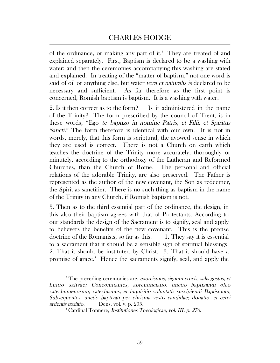of the ordinance, or making any part of it. 3 They are treated of and explained separately. First, Baptism is declared to be a washing with water; and then the ceremonies accompanying this washing are stated and explained. In treating of the "matter of baptism," not one word is said of oil or anything else, but water vera et naturalis is declared to be necessary and sufficient. As far therefore as the first point is concerned, Romish baptism is baptism. It is a washing with water.

2. Is it then correct as to the form? Is it administered in the name of the Trinity? The form prescribed by the council of Trent, is in these words, "Ego te baptizo in nomine Patris, et Filii, et Spiritus Sancti." The form therefore is identical with our own. It is not in words, merely, that this form is scriptural, the avowed sense in which they are used is correct. There is not a Church on earth which teaches the doctrine of the Trinity more accurately, thoroughly or minutely, according to the orthodoxy of the Lutheran and Reformed Churches, than the Church of Rome. The personal and official relations of the adorable Trinity, are also preserved. The Father is represented as the author of the new covenant, the Son as redeemer, the Spirit as sanctifier. There is no such thing as baptism in the name of the Trinity in any Church, if Romish baptism is not.

3. Then as to the third essential part of the ordinance, the design, in this also their baptism agrees with that of Protestants. According to our standards the design of the Sacrament is to signify, seal and apply to believers the benefits of the new covenant. This is the precise doctrine of the Romanists, so far as this. 1. They say it is essential to a sacrament that it should be a sensible sign of spiritual blessings. 2. That it should be instituted by Christ. 3. That it should have a promise of grace. 4 Hence the sacraments signify, seal, and apply the

 $\overline{a}$ 

<sup>&</sup>lt;sup>3</sup> The preceding ceremonies are, *exorcismus, signum crucis, salis gustus, et* linitio salivae; Concomitantes, abrenunciatio, unctio baptizandi oleo catechumenorum, catechismus, et inquisitio voluntatis suscipiendi Baptismum; Subsequentes, unctio baptizati per chrisma vestis candidae; donatio, et cerei ardentis traditio. Dens. vol. v. p. 205.

<sup>4</sup> Cardinal Tonnere, Institutiones Theologicae, vol. III. p. 276.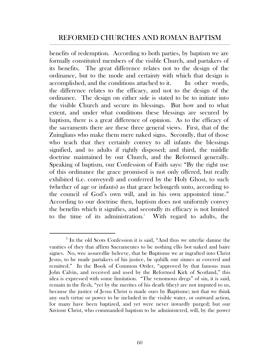benefits of redemption. According to both parties, by baptism we are formally constituted members of the visible Church, and partakers of its benefits. The great difference relates not to the design of the ordinance, but to the mode and certainty with which that design is accomplished, and the conditions attached to it. In other words, the difference relates to the efficacy, and not to the design of the ordinance. The design on either side is stated to be to initiate into the visible Church and secure its blessings. But how and to what extent, and under what conditions these blessings are secured by baptism, there is a great difference of opinion. As to the efficacy of the sacraments there are these three general views. First, that of the Zuinglians who make them mere naked signs. Secondly, that of those who teach that they certainly convey to all infants the blessings signified, and to adults if rightly disposed; and third, the middle doctrine maintained by our Church, and the Reformed generally. Speaking of baptism, our Confession of Faith says: "By the right use of this ordinance the grace promised is not only offered, but really exhibited (i.e. conveyed) and conferred by the Holy Ghost, to such (whether of age or infants) as that grace belongeth unto, according to the council of God's own will, and in his own appointed time." According to our doctrine then, baptism does not uniformly convey the benefits which it signifies, and secondly its efficacy is not limited to the time of its administration. 5 With regard to adults, the

<sup>&</sup>lt;sup>5</sup> In the old Scots Confession it is said, "And thus we utterlie damne the vanities of they that affirm Sacramentes to be nothing ellis bot naked and baire signes. No, wee assuredlie beleeve, that be Baptisme we ar ingrafted into Christ Jesus, to be made partakers of his justice, be quhilk our sinnes ar covered and remitted." In the Book of Common Order, "approved by that famous man John Calvin, and received and used by the Reformed Kirk of Scotland," this idea is expressed with some limitation. "The venomous dregs" of sin, it is said, remain in the flesh, "yet by the merites of his death (they) are not imputed to us, because the justice of Jesus Christ is made ours by Baptisme; not that we think any such virtue or power to be included in the visible water, or outward action, for many have been baptized, and yet were never inwardly purged; but our Saviour Christ, who commanded baptism to be administered, will, by the power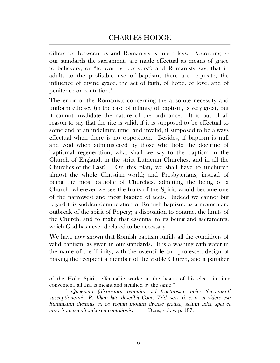difference between us and Romanists is much less. According to our standards the sacraments are made effectual as means of grace to believers, or "to worthy receivers"; and Romanists say, that in adults to the profitable use of baptism, there are requisite, the influence of divine grace, the act of faith, of hope, of love, and of penitence or contrition. 6

The error of the Romanists concerning the absolute necessity and uniform efficacy (in the case of infants) of baptism, is very great, but it cannot invalidate the nature of the ordinance. It is out of all reason to say that the rite is valid, if it is supposed to be effectual to some and at an indefinite time, and invalid, if supposed to be always effectual when there is no opposition. Besides, if baptism is null and void when administered by those who hold the doctrine of baptismal regeneration, what shall we say to the baptism in the Church of England, in the strict Lutheran Churches, and in all the Churches of the East? On this plan, we shall have to unchurch almost the whole Christian world; and Presbyterians, instead of being the most catholic of Churches, admitting the being of a Church, wherever we see the fruits of the Spirit, would become one of the narrowest and most bigoted of sects. Indeed we cannot but regard this sudden denunciation of Romish baptism, as a momentary outbreak of the spirit of Popery; a disposition to contract the limits of the Church, and to make that essential to its being and sacraments, which God has never declared to be necessary.

We have now shown that Romish baptism fulfills all the conditions of valid baptism, as given in our standards. It is a washing with water in the name of the Trinity, with the ostensible and professed design of making the recipient a member of the visible Church, and a partaker

 $\overline{a}$ 

of the Holie Spirit, effectuallie worke in the hearts of his elect, in time convenient, all that is meant and signified by the same."

<sup>6</sup> Quaenam (dispositio) requiritur ad fructuosam hujus Sacramenti susceptionem? R. Illam late describit Conc. Trid. sess. 6. c. 6. ut videre est: Summatim dicimus ex eo requiri motum divinae gratiae, actum fidei, spei et amoris ac paenitentia seu contritionis. Dens, vol. v. p. 187.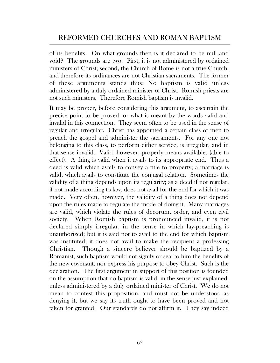of its benefits. On what grounds then is it declared to be null and void? The grounds are two. First, it is not administered by ordained ministers of Christ; second, the Church of Rome is not a true Church, and therefore its ordinances are not Christian sacraments. The former of these arguments stands thus: No baptism is valid unless administered by a duly ordained minister of Christ. Romish priests are not such ministers. Therefore Romish baptism is invalid.

It may be proper, before considering this argument, to ascertain the precise point to be proved, or what is meant by the words valid and invalid in this connection. They seem often to be used in the sense of regular and irregular. Christ has appointed a certain class of men to preach the gospel and administer the sacraments. For any one not belonging to this class, to perform either service, is irregular, and in that sense invalid. Valid, however, properly means available, (able to effect). A thing is valid when it avails to its appropriate end. Thus a deed is valid which avails to convey a title to property; a marriage is valid, which avails to constitute the conjugal relation. Sometimes the validity of a thing depends upon its regularity; as a deed if not regular, if not made according to law, does not avail for the end for which it was made. Very often, however, the validity of a thing does not depend upon the rules made to regulate the mode of doing it. Many marriages are valid, which violate the rules of decorum, order, and even civil society. When Romish baptism is pronounced invalid, it is not declared simply irregular, in the sense in which lay-preaching is unauthorized; but it is said not to avail to the end for which baptism was instituted; it does not avail to make the recipient a professing Christian. Though a sincere believer should be baptized by a Romanist, such baptism would not signify or seal to him the benefits of the new covenant, nor express his purpose to obey Christ. Such is the declaration. The first argument in support of this position is founded on the assumption that no baptism is valid, in the sense just explained, unless administered by a duly ordained minister of Christ. We do not mean to contest this proposition, and must not be understood as denying it, but we say its truth ought to have been proved and not taken for granted. Our standards do not affirm it. They say indeed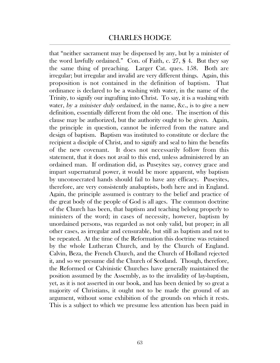that "neither sacrament may be dispensed by any, but by a minister of the word lawfully ordained." Con. of Faith, c. 27, § 4. But they say the same thing of preaching. Larger Cat. ques. 158. Both are irregular; but irregular and invalid are very different things. Again, this proposition is not contained in the definition of baptism. That ordinance is declared to be a washing with water, in the name of the Trinity, to signify our ingrafting into Christ. To say, it is a washing with water, by a minister duly ordained, in the name, &c., is to give a new definition, essentially different from the old one. The insertion of this clause may be authorized, but the authority ought to be given. Again, the principle in question, cannot be inferred from the nature and design of baptism. Baptism was instituted to constitute or declare the recipient a disciple of Christ, and to signify and seal to him the benefits of the new covenant. It does not necessarily follow from this statement, that it does not avail to this end, unless administered by an ordained man. If ordination did, as Puseyites say, convey grace and impart supernatural power, it would be more apparent, why baptism by unconsecrated hands should fail to have any efficacy. Puseyites, therefore, are very consistently anabaptists, both here and in England. Again, the principle assumed is contrary to the belief and practice of the great body of the people of God is all ages. The common doctrine of the Church has been, that baptism and teaching belong properly to ministers of the word; in cases of necessity, however, baptism by unordained persons, was regarded as not only valid, but proper; in all other cases, as irregular and censurable, but still as baptism and not to be repeated. At the time of the Reformation this doctrine was retained by the whole Lutheran Church, and by the Church of England. Calvin, Beza, the French Church, and the Church of Holland rejected it, and so we presume did the Church of Scotland. Though, therefore, the Reformed or Calvinistic Churches have generally maintained the position assumed by the Assembly, as to the invalidity of lay-baptism, yet, as it is not asserted in our book, and has been denied by so great a majority of Christians, it ought not to be made the ground of an argument, without some exhibition of the grounds on which it rests. This is a subject to which we presume less attention has been paid in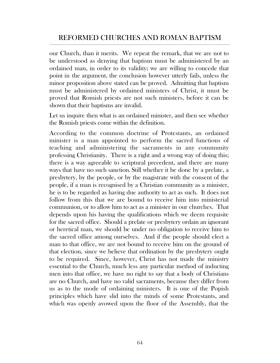our Church, than it merits. We repeat the remark, that we are not to be understood as denying that baptism must be administered by an ordained man, in order to its validity; we are willing to concede that point in the argument, the conclusion however utterly fails, unless the minor proposition above stated can be proved. Admitting that baptism must be administered by ordained ministers of Christ, it must be proved that Romish priests are not such ministers, before it can be shown that their baptisms are invalid.

Let us inquire then what is an ordained minister, and then see whether the Romish priests come within the definition.

According to the common doctrine of Protestants, an ordained minister is a man appointed to perform the sacred functions of teaching and administering the sacraments in any community professing Christianity. There is a right and a wrong way of doing this; there is a way agreeable to scriptural precedent, and there are many ways that have no such sanction. Still whether it be done by a prelate, a presbytery, by the people, or by the magistrate with the consent of the people, if a man is recognised by a Christian community as a minister, he is to be regarded as having due authority to act as such. It does not follow from this that we are bound to receive him into ministerial communion, or to allow him to act as a minister in our churches. That depends upon his having the qualifications which we deem requisite for the sacred office. Should a prelate or presbytery ordain an ignorant or heretical man, we should be under no obligation to receive him to the sacred office among ourselves. And if the people should elect a man to that office, we are not bound to receive him on the ground of that election, since we believe that ordination by the presbytery ought to be required. Since, however, Christ has not made the ministry essential to the Church, much less any particular method of inducting men into that office, we have no right to say that a body of Christians are no Church, and have no valid sacraments, because they differ from us as to the mode of ordaining ministers. It is one of the Popish principles which have slid into the minds of some Protestants, and which was openly avowed upon the floor of the Assembly, that the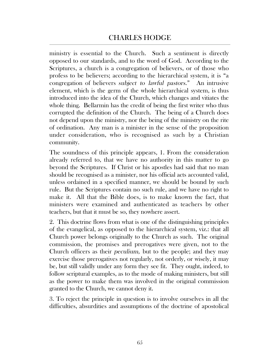ministry is essential to the Church. Such a sentiment is directly opposed to our standards, and to the word of God. According to the Scriptures, a church is a congregation of believers, or of those who profess to be believers; according to the hierarchical system, it is "a congregation of believers subject to lawful pastors." An intrusive element, which is the germ of the whole hierarchical system, is thus introduced into the idea of the Church, which changes and vitiates the whole thing. Bellarmin has the credit of being the first writer who thus corrupted the definition of the Church. The being of a Church does not depend upon the ministry, nor the being of the ministry on the rite of ordination. Any man is a minister in the sense of the proposition under consideration, who is recognised as such by a Christian community.

The soundness of this principle appears, 1. From the consideration already referred to, that we have no authority in this matter to go beyond the Scriptures. If Christ or his apostles had said that no man should be recognised as a minister, nor his official acts accounted valid, unless ordained in a specified manner, we should be bound by such rule. But the Scriptures contain no such rule, and we have no right to make it. All that the Bible does, is to make known the fact, that ministers were examined and authenticated as teachers by other teachers, but that it must be so, they nowhere assert.

2. This doctrine flows from what is one of the distinguishing principles of the evangelical, as opposed to the hierarchical system, viz.: that all Church power belongs originally to the Church as such. The original commission, the promises and prerogatives were given, not to the Church officers as their peculium, but to the people; and they may exercise those prerogatives not regularly, not orderly, or wisely, it may be, but still validly under any form they see fit. They ought, indeed, to follow scriptural examples, as to the mode of making ministers, but still as the power to make them was involved in the original commission granted to the Church, we cannot deny it.

3. To reject the principle in question is to involve ourselves in all the difficulties, absurdities and assumptions of the doctrine of apostolical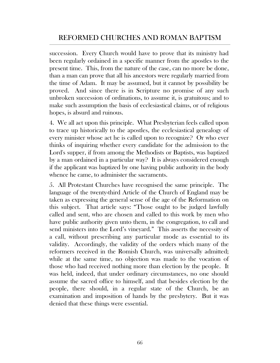succession. Every Church would have to prove that its ministry had been regularly ordained in a specific manner from the apostles to the present time. This, from the nature of the case, can no more be done, than a man can prove that all his ancestors were regularly married from the time of Adam. It may be assumed, but it cannot by possibility be proved. And since there is in Scripture no promise of any such unbroken succession of ordinations, to assume it, is gratuitous; and to make such assumption the basis of ecclesiastical claims, or of religious hopes, is absurd and ruinous.

4. We all act upon this principle. What Presbyterian feels called upon to trace up historically to the apostles, the ecclesiastical genealogy of every minister whose act he is called upon to recognize? Or who ever thinks of inquiring whether every candidate for the admission to the Lord's supper, if from among the Methodists or Baptists, was baptized by a man ordained in a particular way? It is always considered enough if the applicant was baptized by one having public authority in the body whence he came, to administer the sacraments.

5. All Protestant Churches have recognised the same principle. The language of the twenty-third Article of the Church of England may be taken as expressing the general sense of the age of the Reformation on this subject. That article says: "Those ought to be judged lawfully called and sent, who are chosen and called to this work by men who have public authority given unto them, in the congregation, to call and send ministers into the Lord's vineyard." This asserts the necessity of a call, without prescribing any particular mode as essential to its validity. Accordingly, the validity of the orders which many of the reformers received in the Romish Church, was universally admitted; while at the same time, no objection was made to the vocation of those who had received nothing more than election by the people. It was held, indeed, that under ordinary circumstances, no one should assume the sacred office to himself, and that besides election by the people, there should, in a regular state of the Church, be an examination and imposition of hands by the presbytery. But it was denied that these things were essential.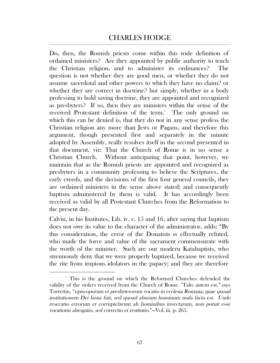Do, then, the Romish priests come within this wide definition of ordained ministers? Are they appointed by public authority to teach the Christian religion, and to administer its ordinances? The question is not whether they are good men, or whether they do not assume sacerdotal and other powers to which they have no claim? or whether they are correct in doctrine? but simply, whether in a body professing to hold saving doctrine, they are appointed and recognized as presbyters? If so, then they are ministers within the sense of the received Protestant definition of the term. 7 The only ground on which this can be denied is, that they do not in. any sense profess the Christian religion any more than Jews or Pagans, and therefore this argument, though presented first and separately in the minute adopted by Assembly, really resolves itself in the second presented in that document, viz: That the Church of Rome is in no sense a Christian Church. Without anticipating that point, however, we maintain that as the Romish priests are appointed and recognized as presbyters in a community professing to believe the Scriptures, the early creeds, and the decisions of the first four general councils, they are ordained ministers in the sense above stated; and consequently baptism administered by them is valid. It has accordingly been received as valid by all Protestant Churches from the Reformation to the present day.

Calvin, in his Institutes, Lib. iv. c. 15 and 16, after saying that baptism does not owe its value to the character of the administrator, adds: "By this consideration, the error of the Donatists is effectually refuted, who made the force and value of the sacrament commensurate with the worth of the minister. Such are our modern Katabaptists, who strenuously deny that we were properly baptized, because we received the rite from impious idolators in the papacy; and they are therefore

 $\overline{a}$ 

<sup>7</sup> This is the ground on which the Reformed Churches defended the validity of the orders received from the Church of Rome. "Talis autem est," says Turrettin, "episcoporum et presbyterorum vocatio in ecclesia Romana, quae quoad institutionem Dei bona fuit, sed quoad abusum hominum mala facta est. Unde resecatio errorum et corruptelarum ab hominibus invectarum, non potuit esse vocationis abrogatio, sed correctio et restitutio."—Vol. iii. p. 265.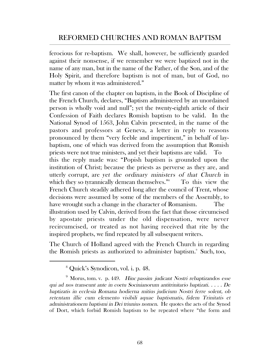ferocious for re-baptism. We shall, however, be sufficiently guarded against their nonsense, if we remember we were baptized not in the name of any man, but in the name of the Father, of the Son, and of the Holy Spirit, and therefore baptism is not of man, but of God, no matter by whom it was administered."

The first canon of the chapter on baptism, in the Book of Discipline of the French Church, declares, "Baptism administered by an unordained person is wholly void and null"; yet the twenty-eighth article of their Confession of Faith declares Romish baptism to be valid. In the National Synod of 1563, John Calvin presented, in the name of the pastors and professors at Geneva, a letter in reply to reasons pronounced by them "very feeble and impertinent," in behalf of laybaptism, one of which was derived from the assumption that Romish priests were not true ministers, and yet their baptisms are valid. To this the reply made was: "Popish baptism is grounded upon the institution of Christ; because the priests as perverse as they are, and utterly corrupt, are yet the ordinary ministers of that Church in which they so tyrannically demean themselves."<sup>8</sup> To this view the French Church steadily adhered long after the council of Trent, whose decisions were assumed by some of the members of the Assembly, to have wrought such a change in the character of Romanism. The illustration used by Calvin, derived from the fact that those circumcised by apostate priests under the old dispensation, were never recircumcised, or treated as not having received that rite by the inspired prophets, we find repeated by all subsequent writers.

The Church of Holland agreed with the French Church in regarding the Romish priests as authorized to administer baptism.<sup>9</sup> Such, too,

 <sup>8</sup> Quick's Synodicon, vol. i. p. 48.

<sup>9</sup> Morus, tom. v. p. 449. Hinc passim judicant Nostri rebaptizandos esse qui ad nos transeunt ante in coetu Socinianorum antitrinitario baptizati. . . . . De baptizatis in ecclesia Romana hodierna mitius judicium Nostri ferre solent, ob retentam illic cum elemento visibili aquae baptismatis, fidem Trinitatis et administrationem baptismi in Dei triunius nomen. He quotes the acts of the Synod of Dort, which forbid Romish baptism to be repeated where "the form and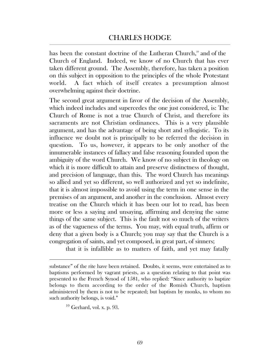has been the constant doctrine of the Lutheran Church, $^{\scriptscriptstyle{10}}$  and of the Church of England. Indeed, we know of no Church that has ever taken different ground. The Assembly, therefore, has taken a position on this subject in opposition to the principles of the whole Protestant world. A fact which of itself creates a presumption almost overwhelming against their doctrine.

The second great argument in favor of the decision of the Assembly, which indeed includes and supercedes the one just considered, is: The Church of Rome is not a true Church of Christ, and therefore its sacraments are not Christian ordinances. This is a very plausible argument, and has the advantage of being short and syllogistic. To its influence we doubt not is principally to be referred the decision in question. To us, however, it appears to be only another of the innumerable instances of fallacy and false reasoning founded upon the ambiguity of the word Church. We know of no subject in theology on which it is more difficult to attain and preserve distinctness of thought, and precision of language, than this. The word Church has meanings so allied and yet so different, so well authorized and yet so indefinite, that it is almost impossible to avoid using the term in one sense in the premises of an argument, and another in the conclusion. Almost every treatise on the Church which it has been our lot to read, has been more or less a saying and unsaying, affirming and denying the same things of the same subject. This is the fault not so much of the writers as of the vagueness of the terms. You may, with equal truth, affirm or deny that a given body is a Church; you may say that the Church is a congregation of saints, and yet composed, in great part, of sinners;

that it is infallible as to matters of faith, and yet may fatally

substance" of the rite have been retained. Doubts, it seems, were entertained as to baptisms performed by vagrant priests, as a question relating to that point was presented to the French Synod of 1581, who replied: "Since authority to baptize belongs to them according to the order of the Romish Church, baptism administered by them is not to be repeated; but baptism by monks, to whom no such authority belongs, is void."

 $10$  Gerhard, vol. x. p. 93.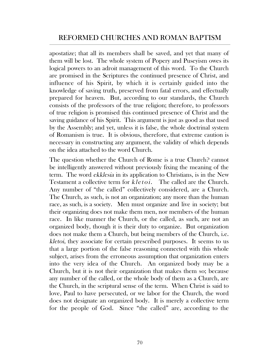apostatize; that all its members shall be saved, and yet that many of them will be lost. The whole system of Popery and Puseyism owes its logical powers to an adroit management of this word. To the Church are promised in the Scriptures the continued presence of Christ, and influence of his Spirit, by which it is certainly guided into the knowledge of saving truth, preserved from fatal errors, and effectually prepared for heaven. But, according to our standards, the Church consists of the professors of the true religion; therefore, to professors of true religion is promised this continued presence of Christ and the saving guidance of his Spirit. This argument is just as good as that used by the Assembly; and yet, unless it is false, the whole doctrinal system of Romanism is true. It is obvious, therefore, that extreme caution is necessary in constructing any argument, the validity of which depends on the idea attached to the word Church.

The question whether the Church of Rome is a true Church? cannot be intelligently answered without previously fixing the meaning of the term. The word ekklesia in its application to Christians, is in the New Testament a collective term for *kletoi*. The called are the Church. Any number of "the called" collectively considered, are a Church. The Church, as such, is not an organization; any more than the human race, as such, is a society. Men must organize and live in society; but their organizing does not make them men, nor members of the human race. In like manner the Church, or the called, as such, are not an organized body, though it is their duty to organize. But organization does not make them a Church, but being members of the Church, i.e. kletoi, they associate for certain prescribed purposes. It seems to us that a large portion of the false reasoning connected with this whole subject, arises from the erroneous assumption that organization enters into the very idea of the Church. An organized body may be a Church, but it is not their organization that makes them so; because any number of the called, or the whole body of them as a Church, are the Church, in the scriptural sense of the term. When Christ is said to love, Paul to have persecuted, or we labor for the Church, the word does not designate an organized body. It is merely a collective term for the people of God. Since "the called" are, according to the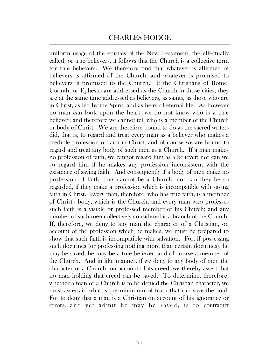uniform usage of the epistles of the New Testament, the effectually called, or true believers, it follows that the Church is a collective term for true believers. We therefore find that whatever is affirmed of believers is affirmed of the Church, and whatever is promised to believers is promised to the Church. If the Christians of Rome, Corinth, or Ephesus are addressed as the Church in those cities, they are at the same time addressed as believers, as saints, as those who are in Christ, as led by the Spirit, and as heirs of eternal life. As however no man can look upon the heart, we do not know who is a true believer; and therefore we cannot tell who is a member of the Church or body of Christ. We are therefore bound to do as the sacred writers did, that is, to regard and treat every man as a believer who makes a credible profession of faith in Christ; and of course we are bound to regard and treat any body of such men as a Church. If a man makes no profession of faith, we cannot regard him as a believer; nor can we so regard him if he makes any profession inconsistent with the existence of saving faith. And consequently if a body of men make no profession of faith, they cannot be a Church; nor can they be so regarded, if they make a profession which is incompatible with saving faith in Christ. Every man, therefore, who has true faith, is a member of Christ's body, which is the Church; and every man who professes such faith is a visible or professed member of his Church; and any number of such men collectively considered is a branch of the Church. If, therefore, we deny to any man the character of a Christian, on account of the profession which he makes, we must be prepared to show that such faith is incompatible with salvation. For, if possessing such doctrines (or professing nothing more than certain doctrines), he may be saved, he may be a true believer, and of course a member of the Church. And in like manner, if we deny to any body of men the character of a Church, on account of its creed, we thereby assert that no man holding that creed can be saved. To determine, therefore, whether a man or a Church is to be denied the Christian character, we must ascertain what is the minimum of truth that can save the soul. For to deny that a man is a Christian on account of his ignorance or errors, and yet admit he may be saved, is to contradict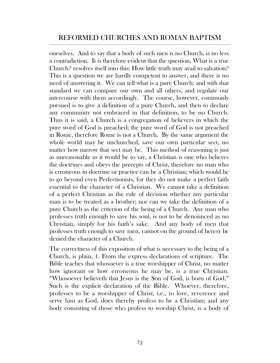ourselves. And to say that a body of such men is no Church, is no less a contradiction. It is therefore evident that the question, What is a true Church? resolves itself into this: How little truth may avail to salvation? This is a question we are hardly competent to answer, and there is no need of answering it. We can tell what is a pure Church; and with that standard we can compare our own and all others, and regulate our intercourse with them accordingly. The course, however, commonly pursued is to give a definition of a pure Church, and then to declare any community not embraced in that definition, to be no Church. Thus it is said, a Church is a congregation of believers in which the pure word of God is preached; the pure word of God is not preached in Rome, therefore Rome is not a Church. By the same argument the whole world may be unchurched, save our own particular sect, no matter how narrow that sect may be. This method of reasoning is just as unreasonable as it would be to say, a Christian is one who believes the doctrines and obeys the precepts of Christ, therefore no man who is erroneous in doctrine or practice can be a Christian; which would be to go beyond even Perfectionists, for they do not make a perfect faith essential to the character of a Christian. We cannot take a definition of a perfect Christian as the rule of decision whether any particular man is to be treated as a brother; nor can we take the definition of a pure Church as the criterion of the being of a Church. Any man who professes truth enough to save his soul, is not to be denounced as no Christian, simply for his faith's sake. And any body of men that professes truth enough to save men, cannot on the ground of heresy be denied the character of a Church.

The correctness of this exposition of what is necessary to the being of a Church, is plain, 1. From the express declarations of scripture. The Bible teaches that whosoever is a true worshipper of Christ, no matter how ignorant or how erroneous he may be, is a true Christian. "Whosoever believeth that Jesus is the Son of God, is born of God." Such is the explicit declaration of the Bible. Whoever, therefore, professes to be a worshipper of Christ, i.e., to love, reverence and serve him as God, does thereby profess to be a Christian; and any body consisting of those who profess to worship Christ, is a body of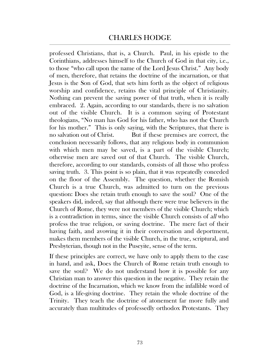professed Christians, that is, a Church. Paul, in his epistle to the Corinthians, addresses himself to the Church of God in that city, i.e., to those "who call upon the name of the Lord Jesus Christ." Any body of men, therefore, that retains the doctrine of the incarnation, or that Jesus is the Son of God, that sets him forth as the object of religious worship and confidence, retains the vital principle of Christianity. Nothing can prevent the saving power of that truth, when it is really embraced. 2. Again, according to our standards, there is no salvation out of the visible Church. It is a common saying of Protestant theologians, "No man has God for his father, who has not the Church for his mother." This is only saying, with the Scriptures, that there is no salvation out of Christ. But if these premises are correct, the conclusion necessarily follows, that any religious body in communion with which men may be saved, is a part of the visible Church; otherwise men are saved out of that Church. The visible Church, therefore, according to our standards, consists of all those who profess saving truth. 3. This point is so plain, that it was repeatedly conceded on the floor of the Assembly. The question, whether the Romish Church is a true Church, was admitted to turn on the previous question: Does she retain truth enough to save the soul? One of the speakers did, indeed, say that although there were true believers in the Church of Rome, they were not members of the visible Church; which is a contradiction in terms, since the visible Church consists of all who profess the true religion, or saving doctrine. The mere fact of their having faith, and avowing it in their conversation and deportment, makes them members of the visible Church, in the true, scriptural, and Presbyterian, though not in the Puseyite, sense of the term.

If these principles are correct, we have only to apply them to the case in hand, and ask, Does the Church of Rome retain truth enough to save the soul? We do not understand how it is possible for any Christian man to answer this question in the negative. They retain the doctrine of the Incarnation, which we know from the infallible word of God, is a life-giving doctrine. They retain the whole doctrine of the Trinity. They teach the doctrine of atonement far more fully and accurately than multitudes of professedly orthodox Protestants. They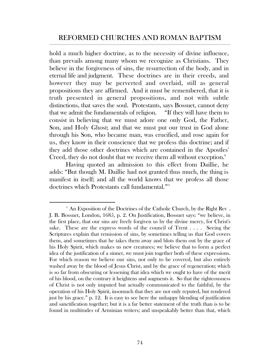hold a much higher doctrine, as to the necessity of divine influence, than prevails among many whom we recognize as Christians. They believe in the forgiveness of sins, the resurrection of the body, and in eternal life and judgment. These doctrines are in their creeds, and however they may be perverted and overlaid, still as general propositions they are affirmed. And it must be remembered, that it is truth presented in general propositions, and not with subtle distinctions, that saves the soul. Protestants, says Bossuet, cannot deny that we admit the fundamentals of religion. "If they will have them to consist in believing that we must adore one only God, the Father, Son, and Holy Ghost; and that we must put our trust in God alone through his Son, who became man, was crucified, and rose again for us, they know in their conscience that we profess this doctrine; and if they add those other doctrines which are contained in the Apostles' Creed, they do not doubt that we receive them all without exception."

Having quoted an admission to this effect from Daillie, he adds: "But though M. Daillie had not granted thus much, the thing is manifest in itself; and all the world knows that we profess all those doctrines which Protestants call fundamental." 11

 $\overline{a}$ 

 $11$  An Exposition of the Doctrines of the Catholic Church, by the Right Rev . J. B. Bossuet, London, 1685, p. 2. On Justification, Bossuet says: "we believe, in the first place, that our sins are freely forgiven us by the divine mercy, for Christ's sake. These are the express words of the council of Trent . . . . Seeing the Scriptures explain that remission of sins, by sometimes telling us that God covers them, and sometimes that he takes them away and blots them out by the grace of his Holy Spirit, which makes us new creatures; we believe that to form a perfect idea of the justification of a sinner, we must join together both of these expressions. For which reason we believe our sins, not only to be covered, but also entirely washed away by the blood of Jesus Christ, and by the grace of regeneration; which is so far from obscuring or lessening that idea which we ought to have of the merit of his blood, on the contrary it heightens and augments it. So that the righteousness of Christ is not only imputed but actually communicated to the faithful, by the operation of his Holy Spirit, insomuch that they are not only reputed, but rendered just by his grace." p. 12. It is easy to see here the unhappy blending of justification and sanctification together; but it is a far better statement of the truth than is to be found in multitudes of Arminian writers; and unspeakably better than that, which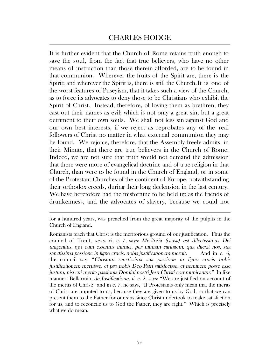It is further evident that the Church of Rome retains truth enough to save the soul, from the fact that true believers, who have no other means of instruction than those therein afforded, are to be found in that communion. Wherever the fruits of the Spirit are, there is the Spirit; and wherever the Spirit is, there is still the Church.It is one of the worst features of Puseyism, that it takes such a view of the Church, as to force its advocates to deny those to be Christians who exhibit the Spirit of Christ. Instead, therefore, of loving them as brethren, they cast out their names as evil; which is not only a great sin, but a great detriment to their own souls. We shall not less sin against God and our own best interests, if we reject as reprobates any of the real followers of Christ no matter in what external communion they may be found. We rejoice, therefore, that the Assembly freely admits, in their Minute, that there are true believers in the Church of Rome. Indeed, we are not sure that truth would not demand the admission that there were more of evangelical doctrine and of true religion in that Church, than were to be found in the Church of England, or in some of the Protestant Churches of the continent of Europe, notwithstanding their orthodox creeds, during their long declension in the last century. We have heretofore had the misfortune to be held up as the friends of drunkenness, and the advocates of slavery, because we could not

for a hundred years, was preached from the great majority of the pulpits in the Church of England.

Romanists teach that Christ is the meritorious ground of our justification. Thus the council of Trent, sess. vi. c. 7, says: Meritoria (causa) est dilectissimus Dei unigenitus, qui cum essemus inimici, per nimiam caritatem, qua dilexit nos, sua sanctissima passione in ligno crucis, nobis justificationem meruit. And in c. 8, the council say: "Christum sanctissima sua passione in ligno crucis nobis justificationem meruisse, et pro nobis Deo Patri satisfecisse, et neminem posse esse justum, nisi cui merita passionis Domini nostri Jesu Christi communicantur." In like manner, Bellarmin, *de Justificatione, ii. c.* 2, says: "We are justified on account of the merits of Christ;" and in c. 7, he says, "If Protestants only mean that the merits of Christ are imputed to us, because they are given to us by God, so that we can present them to the Father for our sins since Christ undertook to make satisfaction for us, and to reconcile us to God the Father, they are right." Which is precisely what we do mean.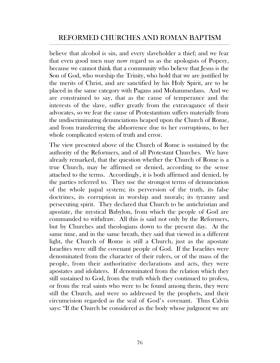believe that alcohol is sin, and every slaveholder a thief; and we fear that even good men may now regard us as the apologists of Popery, because we cannot think that a community who believe that Jesus is the Son of God, who worship the Trinity, who hold that we are justified by the merits of Christ, and are sanctified by his Holy Spirit, are to be placed in the same category with Pagans and Mohammedans. And we are constrained to say, that as the cause of temperance and the interests of the slave, suffer greatly from the extravagance of their advocates, so we fear the cause of Protestantism suffers materially from the undiscriminating denunciations heaped upon the Church of Rome, and from transferring the abhorrence due to her corruptions, to her whole complicated system of truth and error.

The view presented above of the Church of Rome is sustained by the authority of the Reformers, and of all Protestant Churches. We have already remarked, that the question whether the Church of Rome is a true Church, may be affirmed or denied, according to the sense attached to the terms. Accordingly, it is both affirmed and denied, by the parties referred to. They use the strongest terms of denunciation of the whole papal system; its perversion of the truth, its false doctrines, its corruption in worship and morals; its tyranny and persecuting spirit. They declared that Church to be antichristian and apostate, the mystical Babylon, from which the people of God are commanded to withdraw. All this is said not only by the Reformers, but by Churches and theologians down to the present day. At the same time, and in the same breath, they said that viewed in a different light, the Church of Rome is still a Church, just as the apostate Israelites were still the covenant people of God. If the Israelites were denominated from the character of their rulers, or of the mass of the people, from their authoritative declarations and acts, they were apostates and idolaters. If denominated from the relation which they still sustained to God, from the truth which they continued to profess, or from the real saints who were to be found among them, they were still the Church, and were so addressed by the prophets, and their circumcision regarded as the seal of God's covenant. Thus Calvin says: "If the Church be considered as the body whose judgment we are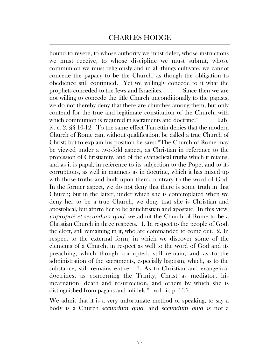bound to revere, to whose authority we must defer, whose instructions we must receive, to whose discipline we must submit, whose communion we must religiously and in all things cultivate, we cannot concede the papacy to be the Church, as though the obligation to obedience still continued. Yet we willingly concede to it what the prophets conceded to the Jews and Israelites. . . . Since then we are not willing to concede the title Church unconditionally to the papists, we do not thereby deny that there are churches among them, but only contend for the true and legitimate constitution of the Church, with which communion is required in sacraments and doctrine." Lib. iv. c. 2. §§ 10-12. To the same effect Turrettin denies that the modern Church of Rome can, without qualification, be called a true Church of Christ; but to explain his position he says: "The Church of Rome may be viewed under a two-fold aspect, as Christian in reference to the profession of Christianity, and of the evangelical truths which it retains; and as it is papal, in reference to its subjection to the Pope, and to its corruptions, as well in manners as in doctrine, which it has mixed up with those truths and built upon them, contrary to the word of God. In the former aspect, we do not deny that there is some truth in that Church; but in the latter, under which she is contemplated when we deny her to be a true Church, we deny that she is Christian and apostolical, but affirm her to be antichristian and apostate. In this view, impropriè et secundum quid, we admit the Church of Rome to be a Christian Church in three respects. 1. In respect to the people of God, the elect, still remaining in it, who are commanded to come out. 2. In respect to the external form, in which we discover some of the elements of a Church, in respect as well to the word of God and its preaching, which though corrupted, still remain, and as to the administration of the sacraments, especially baptism, which, as to the substance, still remains entire. 3. As to Christian and evangelical doctrines, as concerning the Trinity, Christ as mediator, his incarnation, death and resurrection, and others by which she is distinguished from pagans and infidels."—vol. iii. p. 135.

We admit that it is a very unfortunate method of speaking, to say a body is a Church secundum quid, and secundum quid is not a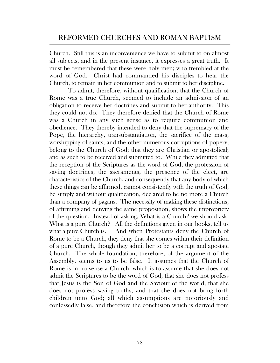Church. Still this is an inconvenience we have to submit to on almost all subjects, and in the present instance, it expresses a great truth. It must be remembered that these were holy men; who trembled at the word of God. Christ had commanded his disciples to hear the Church, to remain in her communion and to submit to her discipline.

To admit, therefore, without qualification; that the Church of Rome was a true Church, seemed to include an admission of an obligation to receive her doctrines and submit to her authority. This they could not do. They therefore denied that the Church of Rome was a Church in any such sense as to require communion and obedience. They thereby intended to deny that the supremacy of the Pope, the hierarchy, transubstantiation, the sacrifice of the mass, worshipping of saints, and the other numerous corruptions of popery, belong to the Church of God; that they are Christian or apostolical; and as such to be received and submitted to. While they admitted that the reception of the Scriptures as the word of God, the profession of saving doctrines, the sacraments, the presence of the elect, are characteristics of the Church, and consequently that any body of which these things can be affirmed, cannot consistently with the truth of God, be simply and without qualification, declared to be no more a Church than a company of pagans. The necessity of making these distinctions, of affirming and denying the same proposition, shows the impropriety of the question. Instead of asking, What is a Church? we should ask, What is a pure Church? All the definitions given in our books, tell us what a pure Church is. And when Protestants deny the Church of Rome to be a Church, they deny that she comes within their definition of a pure Church, though they admit her to be a corrupt and apostate Church. The whole foundation, therefore, of the argument of the Assembly, seems to us to be false. It assumes that the Church of Rome is in no sense a Church; which is to assume that she does not admit the Scriptures to be the word of God, that she does not profess that Jesus is the Son of God and the Saviour of the world, that she does not profess saving truths, and that she does not bring forth children unto God; all which assumptions are notoriously and confessedly false, and therefore the conclusion which is derived from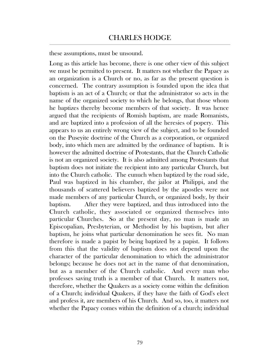these assumptions, must be unsound.

Long as this article has become, there is one other view of this subject we must be permitted to present. It matters not whether the Papacy as an organization is a Church or no, as far as the present question is concerned. The contrary assumption is founded upon the idea that baptism is an act of a Church; or that the administrator so acts in the name of the organized society to which he belongs, that those whom he baptizes thereby become members of that society. It was hence argued that the recipients of Romish baptism, are made Romanists, and are baptized into a profession of all the heresies of popery. This appears to us an entirely wrong view of the subject, and to be founded on the Puseyite doctrine of the Church as a corporation, or organized body, into which men are admitted by the ordinance of baptism. It is however the admitted doctrine of Protestants, that the Church Catholic is not an organized society. It is also admitted among Protestants that baptism does not initiate the recipient into any particular Church, but into the Church catholic. The eunuch when baptized by the road side, Paul was baptized in his chamber, the jailor at Philippi, and the thousands of scattered believers baptized by the apostles were not made members of any particular Church, or organized body, by their baptism. After they were baptized, and thus introduced into the Church catholic, they associated or organized themselves into particular Churches. So at the present day, no man is made an Episcopalian, Presbyterian, or Methodist by his baptism, but after baptism, he joins what particular denomination he sees fit. No man therefore is made a papist by being baptized by a papist. It follows from this that the validity of baptism does not depend upon the character of the particular denomination to which the administrator belongs; because he does not act in the name of that denomination, but as a member of the Church catholic. And every man who professes saving truth is a member of that Church. It matters not, therefore, whether the Quakers as a society come within the definition of a Church; individual Quakers, if they have the faith of God's elect and profess it, are members of his Church. And so, too, it matters not whether the Papacy comes within the definition of a church; individual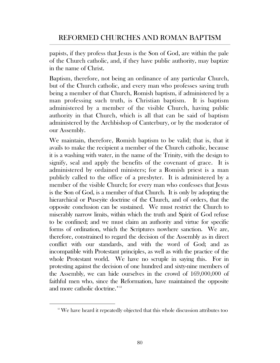papists, if they profess that Jesus is the Son of God, are within the pale of the Church catholic, and, if they have public authority, may baptize in the name of Christ.

Baptism, therefore, not being an ordinance of any particular Church, but of the Church catholic, and every man who professes saving truth being a member of that Church, Romish baptism, if administered by a man professing such truth, is Christian baptism. It is baptism administered by a member of the visible Church, having public authority in that Church, which is all that can be said of baptism administered by the Archbishop of Canterbury, or by the moderator of our Assembly.

We maintain, therefore, Romish baptism to be valid; that is, that it avails to make the recipient a member of the Church catholic, because it is a washing with water, in the name of the Trinity, with the design to signify, seal and apply the benefits of the covenant of grace. It is administered by ordained ministers; for a Romish priest is a man publicly called to the office of a presbyter. It is administered by a member of the visible Church; for every man who confesses that Jesus is the Son of God, is a member of that Church. It is only by adopting the hierarchical or Puseyite doctrine of the Church, and of orders, that the opposite conclusion can be sustained. We must restrict the Church to miserably narrow limits, within which the truth and Spirit of God refuse to be confined; and we must claim an authority and virtue for specific forms of ordination, which the Scriptures nowhere sanction. We are, therefore, constrained to regard the decision of the Assembly as in direct conflict with our standards, and with the word of God; and as incompatible with Protestant principles, as well as with the practice of the whole Protestant world. We have no scruple in saying this. For in protesting against the decision of one hundred and sixty-nine members of the Assembly, we can hide ourselves in the crowd of 169,000,000 of faithful men who, since the Reformation, have maintained the opposite and more catholic doctrine.\*12

 $12$  We have heard it repeatedly objected that this whole discussion attributes too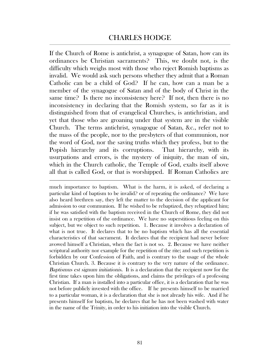If the Church of Rome is antichrist, a synagogue of Satan, how can its ordinances be Christian sacraments? This, we doubt not, is the difficulty which weighs most with those who reject Romish baptisms as invalid. We would ask such persons whether they admit that a Roman Catholic can be a child of God? If he can, how can a man be a member of the synagogue of Satan and of the body of Christ in the same time? Is there no inconsistency here? If not, then there is no inconsistency in declaring that the Romish system, so far as it is distinguished from that of evangelical Churches, is antichristian, and yet that those who are groaning under that system are in the visible Church. The terms antichrist, synagogue of Satan, &c., refer not to the mass of the people, nor to the presbyters of that communion, nor the word of God, nor the saving truths which they profess, but to the Popish hierarchy and its corruptions. That hierarchy, with its usurpations and errors, is the mystery of iniquity, the man of sin, which in the Church catholic, the Temple of God, exalts itself above all that is called God, or that is worshipped. If Roman Catholics are

much importance to baptism. What is the harm, it is asked, of declaring a particular kind of baptism to be invalid? or of repeating the ordinance? We have also heard brethren say, they left the matter to the decision of the applicant for admission to our communion. If he wished to be rebaptized, they rebaptized him; if he was satisfied with the baptism received in the Church of Rome, they did not insist on a repetition of the ordinance. We have no superstitious feeling on this subject, but we object to such repetition. 1. Because it involves a declaration of what is not true. It declares that to be no baptism which has all the essential characteristics of that sacrament. It declares that the recipient had never before avowed himself a Christian, when the fact is not so. 2. Because we have neither scriptural authority nor example for the repetition of the rite; and such repetition is forbidden by our Confession of Faith, and is contrary to the usage of the whole Christian Church. 3. Because it is contrary to the very nature of the ordinance. Baptismus est signum initiationis. It is a declaration that the recipient now for the first time takes upon him the obligations, and claims the privileges of a professing Christian. If a man is installed into a particular office, it is a declaration that he was not before publicly invested with the office. If he presents himself to be married to a particular woman, it is a declaration that she is not already his wife. And if he presents himself for baptism, he declares that he has not been washed with water in the name of the Trinity, in order to his initiation into the visible Church.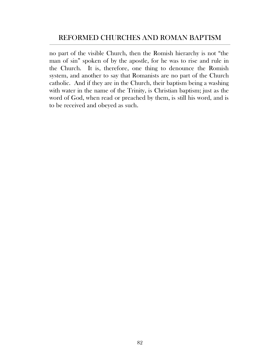no part of the visible Church, then the Romish hierarchy is not "the man of sin" spoken of by the apostle, for he was to rise and rule in the Church. It is, therefore, one thing to denounce the Romish system, and another to say that Romanists are no part of the Church catholic. And if they are in the Church, their baptism being a washing with water in the name of the Trinity, is Christian baptism; just as the word of God, when read or preached by them, is still his word, and is to be received and obeyed as such.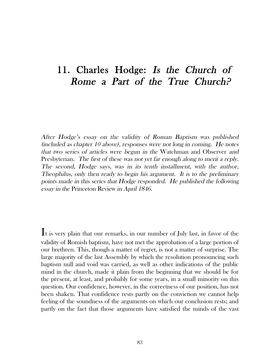# 11. Charles Hodge: Is the Church of Rome a Part of the True Church?

After Hodge's essay on the validity of Roman Baptism was published (included as chapter 10 above), responses were not long in coming. He notes that two series of articles were begun in the Watchman and Observer and Presbyterian. The first of these was not yet far enough along to merit a reply. The second, Hodge says, was in its tenth installment, with the author, Theophilus, only then ready to begin his argument. It is to the preliminary points made in this series that Hodge responded. He published the following essay in the Princeton Review in April 1846.

It is very plain that our remarks, in our number of July last, in favor of the validity of Romish baptism, have not met the approbation of a large portion of our brethren. This, though a matter of regret, is not a matter of surprise. The large majority of the last Assembly by which the resolution pronouncing such baptism null and void was carried, as well as other indications of the public mind in the church, made it plain from the beginning that we should be for the present, at least, and probably for some years, in a small minority on this question. Our confidence, however, in the correctness of our position, has not been shaken. That confidence rests partly on the conviction we cannot help feeling of the soundness of the arguments on which our conclusion rests; and partly on the fact that those arguments have satisfied the minds of the vast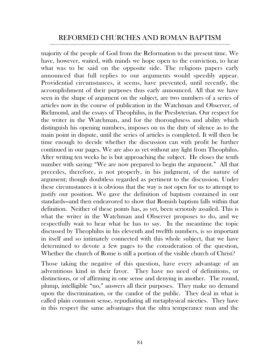majority of the people of God from the Reformation to the present time. We have, however, waited, with minds we hope open to the conviction, to hear what was to be said on the opposite side. The religious papers early announced that full replies to our arguments would speedily appear. Providential circumstances, it seems, have prevented, until recently, the accomplishment of their purposes thus early announced. All that we have seen in the shape of argument on the subject, are two numbers of a series of articles now in the course of publication in the Watchman and Observer, of Richmond, and the essays of Theophilus, in the Presbyterian. Our respect for the writer in the Watchman, and for the thoroughness and ability which distinguish his opening numbers, imposes on us the duty of silence as to the main point in dispute, until the series of articles is completed. It will then be time enough to decide whether the discussion can with profit be further continued in our pages. We are also as yet without any light from Theophilus. After writing ten weeks he is but approaching the subject. He closes the tenth number with saying: "We are now prepared to begin the argument." All that precedes, therefore, is not properly, in his judgment, of the nature of argument; though doubtless regarded as pertinent to the discussion. Under these circumstances it is obvious that the way is not open for us to attempt to justify our position. We gave the definition of baptism contained in our standards—and then endeavored to show that Romish baptism falls within that definition. Neither of these points has, as yet, been seriously assailed. This is what the writer in the Watchman and Observer proposes to do, and we respectfully wait to hear what he has to say. In the meantime the topic discussed by Theophilus in his eleventh and twelfth numbers, is so important in itself and so intimately connected with this whole subject, that we have determined to devote a few pages to the consideration of the question, Whether the church of Rome is still a portion of the visible church of Christ?

Those taking the negative of this question, have every advantage of an adventitious kind in their favor. They have no need of definitions, or distinctions, or of affirming in one sense and denying in another. The round, plump, intelligible "no," answers all their purposes. They make no demand upon the discrimination, or the candor of the public. They deal in what is called plain common sense, repudiating all metaphysical niceties. They have in this respect the same advantages that the ultra temperance man and the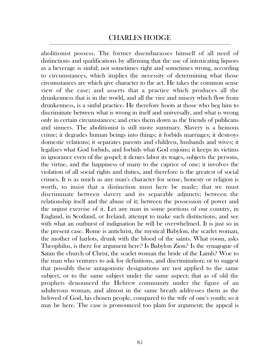abolitionist possess. The former disembarasses himself of all need of distinctions and qualifications by affirming that the use of intoxicating liquors as a beverage is sinful; not sometimes right and sometimes wrong, according to circumstances, which implies the necessity of determining what those circumstances are which give character to the act. He takes the common sense view of the case; and asserts that a practice which produces all the drunkenness that is in the world, and all the vice and misery which flow from drunkenness, is a sinful practice. He therefore hoots at those who beg him to discriminate between what is wrong in itself and universally, and what is wrong only in certain circumstances; and cries them down as the friends of publicans and sinners. The abolitionist is still more summary. Slavery is a heinous crime; it degrades human beings into things; it forbids marriages; it destroys domestic relations; it separates parents and children, husbands and wives; it legalizes what God forbids, and forbids what God enjoins; it keeps its victims in ignorance even of the gospel; it denies labor its wages, subjects the persons, the virtue, and the happiness of many to the caprice of one; it involves the violation of all social rights and duties, and therefore is the greatest of social crimes. It is as much as any man's character for sense, honesty or religion is worth, to insist that a distinction must here be made; that we must discriminate between slavery and its separable adjuncts; between the relationship itself and the abuse of it; between the possession of power and the unjust exercise of it. Let any man in some portions of our country, in England, in Scotland, or Ireland, attempt to make such distinctions, and see with what an outburst of indignation he will be overwhelmed. It is just so in the present case. Rome is antichrist, the mystical Babylon, the scarlet woman, the mother of harlots, drunk with the blood of the saints. What room, asks Theophilus, is there for argument here? Is Babylon Zion? Is the synagogue of Satan the church of Christ, the scarlet woman the bride of the Lamb? Woe to the man who ventures to ask for definitions, and discrimination; or to suggest that possibly these antagonistic designations are not applied to the same subject, or to the same subject under the same aspect; that as of old the prophets denounced the Hebrew community under the figure of an adulterous woman, and almost in the same breath addresses them as the beloved of God, his chosen people, compared to the wife of one's youth; so it may be here. The case is pronounced too plain for argument; the appeal is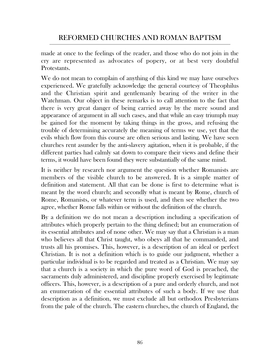made at once to the feelings of the reader, and those who do not join in the cry are represented as advocates of popery, or at best very doubtful Protestants.

We do not mean to complain of anything of this kind we may have ourselves experienced. We gratefully acknowledge the general courtesy of Theophilus and the Christian spirit and gentlemanly bearing of the writer in the Watchman. Our object in these remarks is to call attention to the fact that there is very great danger of being carried away by the mere sound and appearance of argument in all such cases, and that while an easy triumph may be gained for the moment by taking things in the gross, and refusing the trouble of determining accurately the meaning of terms we use, yet that the evils which flow from this course are often serious and lasting. We have seen churches rent asunder by the anti-slavery agitation, when it is probable, if the different parties had calmly sat down to compare their views and define their terms, it would have been found they were substantially of the same mind.

It is neither by research nor argument the question whether Romanists are members of the visible church to be answered. It is a simple matter of definition and statement. All that can be done is first to determine what is meant by the word church; and secondly what is meant by Rome, church of Rome, Romanists, or whatever term is used, and then see whether the two agree, whether Rome falls within or without the definition of the church.

By a definition we do not mean a description including a specification of attributes which properly pertain to the thing defined; but an enumeration of its essential attributes and of none other. We may say that a Christian is a man who believes all that Christ taught, who obeys all that he commanded, and trusts all his promises. This, however, is a description of an ideal or perfect Christian. It is not a definition which is to guide our judgment, whether a particular individual is to be regarded and treated as a Christian. We may say that a church is a society in which the pure word of God is preached, the sacraments duly administered, and discipline properly exercised by legitimate officers. This, however, is a description of a pure and orderly church, and not an enumeration of the essential attributes of such a body. If we use that description as a definition, we must exclude all but orthodox Presbyterians from the pale of the church. The eastern churches, the church of England, the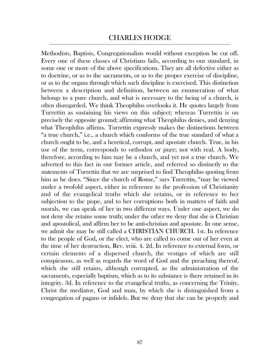Methodists, Baptists, Congregationalists would without exception be cut off. Every one of these classes of Christians fails, according to our standard, in some one or more of the above specifications. They are all defective either as to doctrine, or as to the sacraments, or as to the proper exercise of discipline, or as to the organs through which such discipline is exercised. This distinction between a description and definition, between an enumeration of what belongs to a pure church, and what is necessary to the being of a church, is often disregarded. We think Theophilus overlooks it. He quotes largely from Turrettin as sustaining his views on this subject; whereas Turrettin is on precisely the opposite ground; affirming what Theophilus denies, and denying what Theophilus affirms. Turrettin expressly makes the distinctions between "a true church," i.e., a church which conforms of the true standard of what a church ought to be, and a heretical, corrupt, and apostate church. True, in his use of the term, corresponds to orthodox or pure; not with real. A body, therefore, according to him may be a church, and yet not a true church. We adverted to this fact in our former article, and referred so distinctly to the statements of Turrettin that we are surprised to find Theophilus quoting from him as he does. "Since the church of Rome," says Turrettin, "may be viewed under a twofold aspect, either in reference to the profession of Christianity and of the evangelical truths which she retains, or in reference to her subjection to the pope, and to her corruptions both in matters of faith and morals, we can speak of her in two different ways. Under one aspect, we do not deny she retains some truth; under the other we deny that she is Christian and apostolical, and affirm her to be anti-christian and apostate. In one sense, we admit she may be still called a CHRISTIAN CHURCH. 1st. In reference to the people of God, or the elect, who are called to come out of her even at the time of her destruction, Rev. xviii. 4. 2d. In reference to external form, or certain elements of a dispersed church, the vestiges of which are still conspicuous, as well as regards the word of God and the preaching thereof, which she still retains, although corrupted, as the administration of the sacraments, especially baptism, which as to its substance is there retained in its integrity. 3d. In reference to the evangelical truths, as concerning the Trinity, Christ the mediator, God and man, by which she is distinguished from a congregation of pagans or infidels. But we deny that she can be properly and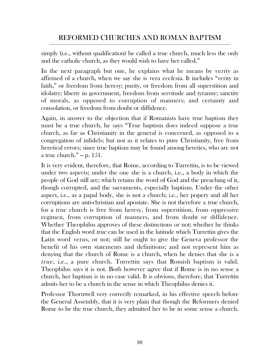simply (i.e., without qualification) be called a true church, much less the only and the catholic church, as they would wish to have her called."

In the next paragraph but one, he explains what he means by verity as affirmed of a church, when we say she is vera ecclesia. It includes "verity in faith," or freedom from heresy; purity, or freedom from all superstition and idolatry; liberty in government, freedom from servitude and tyranny; sanctity of morals, as opposed to corruption of manners; and certainty and consolation, or freedom from doubt or diffidence.

Again, in answer to the objection that if Romanists have true baptism they must be a true church, he says "True baptism does indeed suppose a true church, as far as Christianity in the general is concerned, as opposed to a congregation of infidels; but not as it relates to pure Christianity, free from heretical errors; since true baptism may be found among heretics, who are not a true church." $-$  p. 151.

It is very evident, therefore, that Rome, according to Turrettin, is to be viewed under two aspects; under the one she is a church, i.e., a body in which the people of God still are; which retains the word of God and the preaching of it, though corrupted, and the sacraments, especially baptism. Under the other aspect, i.e., as a papal body, she is not a church; i.e., her popery and all her corruptions are anti-christian and apostate. She is not therefore a true church, for a true church is free from heresy, from superstition, from oppressive regimen, from corruption of manners, and from doubt or diffidence. Whether Theophilus approves of these distinctions or not; whether he thinks that the English word true can be used in the latitude which Turrettin gives the Latin word verus, or not; still he ought to give the Geneva professor the benefit of his own statements and definitions; and not represent him as denying that the church of Rome is a church, when he denies that she is a true, i.e., a pure church. Turrettin says that Romish baptism is valid. Theophilus says it is not. Both however agree that if Rome is in no sense a church, her baptism is in no case valid. It is obvious, therefore, that Turrettin admits her to be a church in the sense in which Theophilus denies it.

Professor Thornwell very correctly remarked, in his effective speech before the General Assembly, that it is very plain that though the Reformers denied Rome to be the true church, they admitted her to be in some sense a church.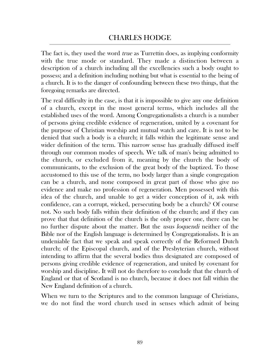The fact is, they used the word true as Turrettin does, as implying conformity with the true mode or standard. They made a distinction between a description of a church including all the excellencies such a body ought to possess; and a definition including nothing but what is essential to the being of a church. It is to the danger of confounding between these two things, that the foregoing remarks are directed.

The real difficulty in the case, is that it is impossible to give any one definition of a church, except in the most general terms, which includes all the established uses of the word. Among Congregationalists a church is a number of persons giving credible evidence of regeneration, united by a covenant for the purpose of Christian worship and mutual watch and care. It is not to be denied that such a body is a church; it falls within the legitimate sense and wider definition of the term. This narrow sense has gradually diffused itself through our common modes of speech. We talk of man's being admitted to the church, or excluded from it, meaning by the church the body of communicants, to the exclusion of the great body of the baptized. To those accustomed to this use of the term, no body larger than a single congregation can be a church, and none composed in great part of those who give no evidence and make no profession of regeneration. Men possessed with this idea of the church, and unable to get a wider conception of it, ask with confidence, can a corrupt, wicked, persecuting body be a church? Of course not. No such body falls within their definition of the church; and if they can prove that that definition of the church is the only proper one, there can be no further dispute about the matter. But the usus loquendi neither of the Bible nor of the English language is determined by Congregationalists. It is an undeniable fact that we speak and speak correctly of the Reformed Dutch church; of the Episcopal church, and of the Presbyterian church, without intending to affirm that the several bodies thus designated are composed of persons giving credible evidence of regeneration, and united by covenant for worship and discipline. It will not do therefore to conclude that the church of England or that of Scotland is no church, because it does not fall within the New England definition of a church.

When we turn to the Scriptures and to the common language of Christians, we do not find the word church used in senses which admit of being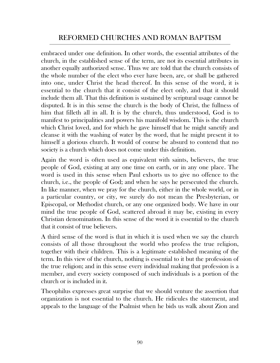embraced under one definition. In other words, the essential attributes of the church, in the established sense of the term, are not its essential attributes in another equally authorized sense. Thus we are told that the church consists of the whole number of the elect who ever have been, are, or shall be gathered into one, under Christ the head thereof. In this sense of the word, it is essential to the church that it consist of the elect only, and that it should include them all. That this definition is sustained by scriptural usage cannot be disputed. It is in this sense the church is the body of Christ, the fullness of him that filleth all in all. It is by the church, thus understood, God is to manifest to principalities and powers his manifold wisdom. This is the church which Christ loved, and for which he gave himself that he might sanctify and cleanse it with the washing of water by the word, that he might present it to himself a glorious church. It would of course be absurd to contend that no society is a church which does not come under this definition.

Again the word is often used as equivalent with saints, believers, the true people of God, existing at any one time on earth, or in any one place. The word is used in this sense when Paul exhorts us to give no offence to the church, i.e., the people of God; and when he says he persecuted the church. In like manner, when we pray for the church, either in the whole world, or in a particular country, or city, we surely do not mean the Presbyterian, or Episcopal, or Methodist church, or any one organized body. We have in our mind the true people of God, scattered abroad it may be, existing in every Christian denomination. In this sense of the word it is essential to the church that it consist of true believers.

A third sense of the word is that in which it is used when we say the church consists of all those throughout the world who profess the true religion, together with their children. This is a legitimate established meaning of the term. In this view of the church, nothing is essential to it but the profession of the true religion; and in this sense every individual making that profession is a member, and every society composed of such individuals is a portion of the church or is included in it.

Theophilus expresses great surprise that we should venture the assertion that organization is not essential to the church. He ridicules the statement, and appeals to the language of the Psalmist when he bids us walk about Zion and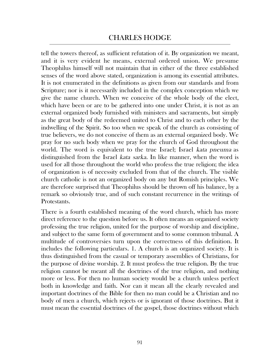tell the towers thereof, as sufficient refutation of it. By organization we meant, and it is very evident he means, external ordered union. We presume Theophilus himself will not maintain that in either of the three established senses of the word above stated, organization is among its essential attributes. It is not enumerated in the definitions as given from our standards and from Scripture; nor is it necessarily included in the complex conception which we give the name church. When we conceive of the whole body of the elect, which have been or are to be gathered into one under Christ, it is not as an external organized body furnished with ministers and sacraments, but simply as the great body of the redeemed united to Christ and to each other by the indwelling of the Spirit. So too when we speak of the church as consisting of true believers, we do not conceive of them as an external organized body. We pray for no such body when we pray for the church of God throughout the world. The word is equivalent to the true Israel; Israel kata pneuma as distinguished from the Israel kata sarka. In like manner, when the word is used for all those throughout the world who profess the true religion; the idea of organization is of necessity excluded from that of the church. The visible church catholic is not an organized body on any but Romish principles. We are therefore surprised that Theophilus should be thrown off his balance, by a remark so obviously true, and of such constant recurrence in the writings of Protestants.

There is a fourth established meaning of the word church, which has more direct reference to the question before us. It often means an organized society professing the true religion, united for the purpose of worship and discipline, and subject to the same form of government and to some common tribunal. A multitude of controversies turn upon the correctness of this definition. It includes the following particulars. 1. A church is an organized society. It is thus distinguished from the casual or temporary assemblies of Christians, for the purpose of divine worship. 2. It must profess the true religion. By the true religion cannot be meant all the doctrines of the true religion, and nothing more or less. For then no human society would be a church unless perfect both in knowledge and faith. Nor can it mean all the clearly revealed and important doctrines of the Bible for then no man could be a Christian and no body of men a church, which rejects or is ignorant of those doctrines. But it must mean the essential doctrines of the gospel, those doctrines without which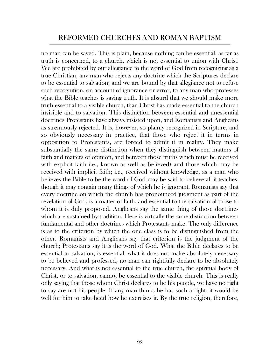no man can be saved. This is plain, because nothing can be essential, as far as truth is concerned, to a church, which is not essential to union with Christ. We are prohibited by our allegiance to the word of God from recognizing as a true Christian, any man who rejects any doctrine which the Scriptures declare to be essential to salvation; and we are bound by that allegiance not to refuse such recognition, on account of ignorance or error, to any man who professes what the Bible teaches is saving truth. It is absurd that we should make more truth essential to a visible church, than Christ has made essential to the church invisible and to salvation. This distinction between essential and unessential doctrines Protestants have always insisted upon, and Romanists and Anglicans as strenuously rejected. It is, however, so plainly recognized in Scripture, and so obviously necessary in practice, that those who reject it in terms in opposition to Protestants, are forced to admit it in reality. They make substantially the same distinction when they distinguish between matters of faith and matters of opinion, and between those truths which must be received with explicit faith i.e., known as well as believed) and those which may be received with implicit faith; i.e., received without knowledge, as a man who believes the Bible to be the word of God may be said to believe all it teaches, though it may contain many things of which he is ignorant. Romanists say that every doctrine on which the church has pronounced judgment as part of the revelation of God, is a matter of faith, and essential to the salvation of those to whom it is duly proposed. Anglicans say the same thing of those doctrines which are sustained by tradition. Here is virtually the same distinction between fundamental and other doctrines which Protestants make. The only difference is as to the criterion by which the one class is to be distinguished from the other. Romanists and Anglicans say that criterion is the judgment of the church; Protestants say it is the word of God. What the Bible declares to be essential to salvation, is essential: what it does not make absolutely necessary to be believed and professed, no man can rightfully declare to be absolutely necessary. And what is not essential to the true church, the spiritual body of Christ, or to salvation, cannot be essential to the visible church. This is really only saying that those whom Christ declares to be his people, we have no right to say are not his people. If any man thinks he has such a right, it would be well for him to take heed how he exercises it. By the true religion, therefore,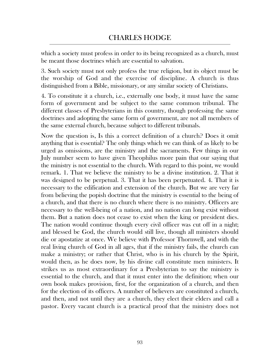which a society must profess in order to its being recognized as a church, must be meant those doctrines which are essential to salvation.

3. Such society must not only profess the true religion, but its object must be the worship of God and the exercise of discipline. A church is thus distinguished from a Bible, missionary, or any similar society of Christians.

4. To constitute it a church, i.e., externally one body, it must have the same form of government and be subject to the same common tribunal. The different classes of Presbyterians in this country, though professing the same doctrines and adopting the same form of government, are not all members of the same external church, because subject to different tribunals.

Now the question is, Is this a correct definition of a church? Does it omit anything that is essential? The only things which we can think of as likely to be urged as omissions, are the ministry and the sacraments. Few things in our July number seem to have given Theophilus more pain that our saying that the ministry is not essential to the church. With regard to this point, we would remark. 1. That we believe the ministry to be a divine institution. 2. That it was designed to be perpetual. 3. That it has been perpetuated. 4. That it is necessary to the edification and extension of the church. But we are very far from believing the popish doctrine that the ministry is essential to the being of a church, and that there is no church where there is no ministry. Officers are necessary to the well-being of a nation, and no nation can long exist without them. But a nation does not cease to exist when the king or president dies. The nation would continue though every civil officer was cut off in a night; and blessed be God, the church would still live, though all ministers should die or apostatize at once. We believe with Professor Thornwell, and with the real living church of God in all ages, that if the ministry fails, the church can make a ministry; or rather that Christ, who is in his church by the Spirit, would then, as he does now, by his divine call constitute men ministers. It strikes us as most extraordinary for a Presbyterian to say the ministry is essential to the church, and that it must enter into the definition; when our own book makes provision, first, for the organization of a church, and then for the election of its officers. A number of believers are constituted a church, and then, and not until they are a church, they elect their elders and call a pastor. Every vacant church is a practical proof that the ministry does not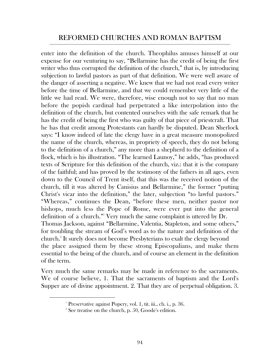enter into the definition of the church. Theophilus amuses himself at our expense for our venturing to say, "Bellarmine has the credit of being the first writer who thus corrupted the definition of the church," that is, by introducing subjection to lawful pastors as part of that definition. We were well aware of the danger of asserting a negative. We knew that we had not read every writer before the time of Bellarmine, and that we could remember very little of the little we had read. We were, therefore, wise enough not to say that no man before the popish cardinal had perpetrated a like interpolation into the definition of the church, but contented ourselves with the safe remark that he has the credit of being the first who was guilty of that piece of priestcraft. That he has that credit among Protestants can hardly be disputed. Dean Sherlock says: "I know indeed of late the clergy have in a great measure monopolized the name of the church, whereas, in propriety of speech, they do not belong to the definition of a church," any more than a shepherd to the definition of a flock, which is his illustration. "The learned Launoy," he adds, "has produced texts of Scripture for this definition of the church, viz.: that it is the company of the faithful; and has proved by the testimony of the fathers in all ages, even down to the Council of Trent itself, that this was the received notion of the church, till it was altered by Canisius and Bellarmine," the former "putting Christ's vicar into the definition," the later, subjection "to lawful pastors." "Whereas," continues the Dean, "before these men, neither pastor nor bishops, much less the Pope of Rome, were ever put into the general definition of a church."1 Very much the same complaint is uttered by Dr. Thomas Jackson, against "Bellarmine, Valentia, Stapleton, and some others," for troubling the stream of God's word as to the nature and definition of the church.2 It surely does not become Presbyterians to exalt the clergy beyond the place assigned them by these strong Episcopalians, and make them essential to the being of the church, and of course an element in the definition of the term.

Very much the same remarks may be made in reference to the sacraments. We of course believe, 1. That the sacraments of baptism and the Lord's Supper are of divine appointment. 2. That they are of perpetual obligation. 3.

<sup>1</sup> Preservative against Popery, vol. 1, tit. iii., ch. i., p. 36.

 $\mathrm{^{2}~See}$  treatise on the church, p. 50, Goode's edition.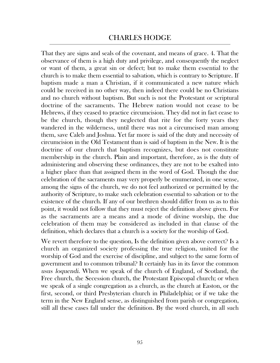That they are signs and seals of the covenant, and means of grace. 4. That the observance of them is a high duty and privilege, and consequently the neglect or want of them, a great sin or defect; but to make them essential to the church is to make them essential to salvation, which is contrary to Scripture. If baptism made a man a Christian, if it communicated a new nature which could be received in no other way, then indeed there could be no Christians and no church without baptism. But such is not the Protestant or scriptural doctrine of the sacraments. The Hebrew nation would not cease to be Hebrews, if they ceased to practice circumcision. They did not in fact cease to be the church, though they neglected that rite for the forty years they wandered in the wilderness, until there was not a circumcised man among them, save Caleb and Joshua. Yet far more is said of the duty and necessity of circumcision in the Old Testament than is said of baptism in the New. It is the doctrine of our church that baptism recognizes, but does not constitute membership in the church. Plain and important, therefore, as is the duty of administering and observing these ordinances, they are not to be exalted into a higher place than that assigned them in the word of God. Though the due celebration of the sacraments may very properly be enumerated, in one sense, among the signs of the church, we do not feel authorized or permitted by the authority of Scripture, to make such celebration essential to salvation or to the existence of the church. If any of our brethren should differ from us as to this point, it would not follow that they must reject the definition above given. For as the sacraments are a means and a mode of divine worship, the due celebration of them may be considered as included in that clause of the definition, which declares that a church is a society for the worship of God.

We revert therefore to the question, Is the definition given above correct? Is a church an organized society professing the true religion, united for the worship of God and the exercise of discipline, and subject to the same form of government and to common tribunal? It certainly has in its favor the common usus loquendi. When we speak of the church of England, of Scotland, the Free church, the Secession church, the Protestant Episcopal church; or when we speak of a single congregation as a church, as the church at Easton, or the first, second, or third Presbyterian church in Philadelphia; or if we take the term in the New England sense, as distinguished from parish or congregation, still all these cases fall under the definition. By the word church, in all such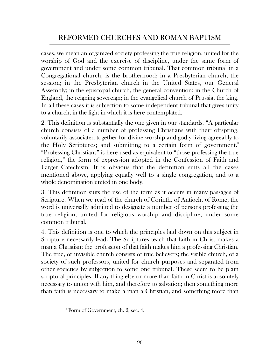cases, we mean an organized society professing the true religion, united for the worship of God and the exercise of discipline, under the same form of government and under some common tribunal. That common tribunal in a Congregational church, is the brotherhood; in a Presbyterian church, the session; in the Presbyterian church in the United States, our General Assembly; in the episcopal church, the general convention; in the Church of England, the reigning sovereign; in the evangelical church of Prussia, the king. In all these cases it is subjection to some independent tribunal that gives unity to a church, in the light in which it is here contemplated.

2. This definition is substantially the one given in our standards. "A particular church consists of a number of professing Christians with their offspring, voluntarily associated together for divine worship and godly living agreeably to the Holy Scriptures; and submitting to a certain form of government.<sup>3</sup> "Professing Christians" is here used as equivalent to "those professing the true religion," the form of expression adopted in the Confession of Faith and Larger Catechism. It is obvious that the definition suits all the cases mentioned above, applying equally well to a single congregation, and to a whole denomination united in one body.

3. This definition suits the use of the term as it occurs in many passages of Scripture. When we read of the church of Corinth, of Antioch, of Rome, the word is universally admitted to designate a number of persons professing the true religion, united for religious worship and discipline, under some common tribunal.

4. This definition is one to which the principles laid down on this subject in Scripture necessarily lead. The Scriptures teach that faith in Christ makes a man a Christian; the profession of that faith makes him a professing Christian. The true, or invisible church consists of true believers; the visible church, of a society of such professors, united for church purposes and separated from other societies by subjection to some one tribunal. These seem to be plain scriptural principles. If any thing else or more than faith in Christ is absolutely necessary to union with him, and therefore to salvation; then something more than faith is necessary to make a man a Christian, and something more than

 $\overline{a}$ 

<sup>3</sup> Form of Government, ch. 2, sec. 4.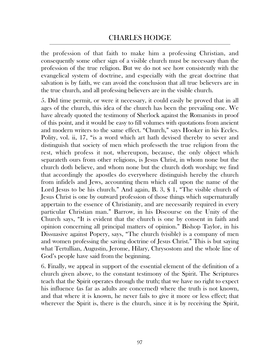the profession of that faith to make him a professing Christian, and consequently some other sign of a visible church must be necessary than the profession of the true religion. But we do not see how consistently with the evangelical system of doctrine, and especially with the great doctrine that salvation is by faith, we can avoid the conclusion that all true believers are in the true church, and all professing believers are in the visible church.

5. Did time permit, or were it necessary, it could easily be proved that in all ages of the church, this idea of the church has been the prevailing one. We have already quoted the testimony of Sherlock against the Romanists in proof of this point, and it would be easy to fill volumes with quotations from ancient and modern writers to the same effect. "Church," says Hooker in his Eccles. Polity, vol. ii, 17, "is a word which art hath devised thereby to sever and distinguish that society of men which professeth the true religion from the rest, which profess it not, whereupon, because, the only object which separateth ours from other religions, is Jesus Christ, in whom none but the church doth believe, and whom none but the church doth worship; we find that accordingly the apostles do everywhere distinguish hereby the church from infidels and Jews, accounting them which call upon the name of the Lord Jesus to be his church." And again, B. 3, § 1, "The visible church of Jesus Christ is one by outward profession of those things which supernaturally appertain to the essence of Christianity, and are necessarily required in every particular Christian man." Barrow, in his Discourse on the Unity of the Church says, "It is evident that the church is one by consent in faith and opinion concerning all principal matters of opinion." Bishop Taylor, in his Dissuasive against Popery, says, "The church (visible) is a company of men and women professing the saving doctrine of Jesus Christ." This is but saying what Tertullian, Augustin, Jerome, Hilary, Chrysostom and the whole line of God's people have said from the beginning.

6. Finally, we appeal in support of the essential element of the definition of a church given above, to the constant testimony of the Spirit. The Scriptures teach that the Spirit operates through the truth; that we have no right to expect his influence (as far as adults are concerned) where the truth is not known, and that where it is known, he never fails to give it more or less effect; that wherever the Spirit is, there is the church, since it is by receiving the Spirit,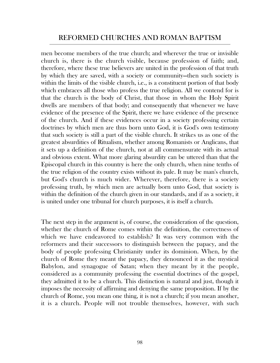men become members of the true church; and wherever the true or invisible church is, there is the church visible, because profession of faith; and, therefore, where these true believers are united in the profession of that truth by which they are saved, with a society or community—then such society is within the limits of the visible church, i.e., is a constituent portion of that body which embraces all those who profess the true religion. All we contend for is that the church is the body of Christ, that those in whom the Holy Spirit dwells are members of that body; and consequently that whenever we have evidence of the presence of the Spirit, there we have evidence of the presence of the church. And if these evidences occur in a society professing certain doctrines by which men are thus born unto God, it is God's own testimony that such society is still a part of the visible church. It strikes us as one of the greatest absurdities of Ritualism, whether among Romanists or Anglicans, that it sets up a definition of the church, not at all commensurate with its actual and obvious extent. What more glaring absurdity can be uttered than that the Episcopal church in this country is here the only church, when nine tenths of the true religion of the country exists without its pale. It may be man's church, but God's church is much wider. Wherever, therefore, there is a society professing truth, by which men are actually born unto God, that society is within the definition of the church given in our standards, and if as a society, it is united under one tribunal for church purposes, it is itself a church.

The next step in the argument is, of course, the consideration of the question, whether the church of Rome comes within the definition, the correctness of which we have endeavored to establish? It was very common with the reformers and their successors to distinguish between the papacy, and the body of people professing Christianity under its dominion. When, by the church of Rome they meant the papacy, they denounced it as the mystical Babylon, and synagogue of Satan; when they meant by it the people, considered as a community professing the essential doctrines of the gospel, they admitted it to be a church. This distinction is natural and just, though it imposes the necessity of affirming and denying the same proposition. If by the church of Rome, you mean one thing, it is not a church; if you mean another, it is a church. People will not trouble themselves, however, with such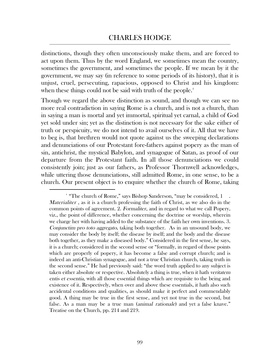distinctions, though they often unconsciously make them, and are forced to act upon them. Thus by the word England, we sometimes mean the country, sometimes the government, and sometimes the people. If we mean by it the government, we may say (in reference to some periods of its history), that it is unjust, cruel, persecuting, rapacious, opposed to Christ and his kingdom: when these things could not be said with truth of the people.<sup>4</sup>

Though we regard the above distinction as sound, and though we can see no more real contradiction in saying Rome is a church, and is not a church, than in saying a man is mortal and yet immortal, spiritual yet carnal, a child of God yet sold under sin; yet as the distinction is not necessary for the sake either of truth or perspicuity, we do not intend to avail ourselves of it. All that we have to beg is, that brethren would not quote against us the sweeping declarations and denunciations of our Protestant fore-fathers against popery as the man of sin, antichrist, the mystical Babylon, and synagogue of Satan, as proof of our departure from the Protestant faith. In all those denunciations we could consistently join; just as our fathers, as Professor Thornwell acknowledges, while uttering those denunciations, still admitted Rome, in one sense, to be a church. Our present object is to enquire whether the church of Rome, taking

 $\overline{a}$ 

<sup>&</sup>lt;sup>4</sup> "The church of Rome," says Bishop Sanderson, "may be considered, 1 . Materialiter , as it is a church professing the faith of Christ, as we also do in the common points of agreement. 2. Formaliter, and in regard to what we call Popery, viz., the point of difference, whether concerning the doctrine or worship, wherein we charge her with having added to the substance of the faith her own inventions. 3. Conjunctim pro toto aggregato, taking both together. As in an unsound body, we may consider the body by itself; the disease by itself; and the body and the disease both together, as they make a diseased body." Considered in the first sense, he says, it is a church; considered in the second sense or "formally, in regard of those points which are properly of popery, it has become a false and corrupt church; and is indeed an anti-Christian synagogue, and not a true Christian church, taking truth in the second sense." He had previously said: "the word truth applied to any subject is taken either absolute or respective. Absolutely a thing is true, when it hath veritatem entis et essentia, with all those essential things which are requisite to the being and existence of it. Respectively, when over and above these essentials, it hath also such accidental conditions and qualities, as should make it perfect and commendably good. A thing may be true in the first sense, and yet not true in the second, but false. As a man may be a true man (animal rationale) and yet a false knave." Treatise on the Church, pp. 214 and 219.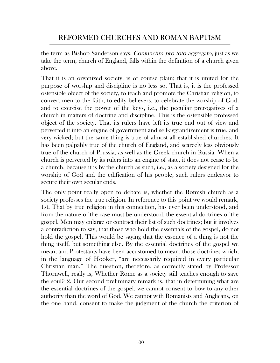the term as Bishop Sanderson says, Conjunctim pro toto aggregato, just as we take the term, church of England, falls within the definition of a church given above.

That it is an organized society, is of course plain; that it is united for the purpose of worship and discipline is no less so. That is, it is the professed ostensible object of the society, to teach and promote the Christian religion, to convert men to the faith, to edify believers, to celebrate the worship of God, and to exercise the power of the keys, i.e., the peculiar prerogatives of a church in matters of doctrine and discipline. This is the ostensible professed object of the society. That its rulers have left its true end out of view and perverted it into an engine of government and self-aggrandizement is true, and very wicked; but the same thing is true of almost all established churches. It has been palpably true of the church of England, and scarcely less obviously true of the church of Prussia, as well as the Greek church in Russia. When a church is perverted by its rulers into an engine of state, it does not cease to be a church, because it is by the church as such, i.e., as a society designed for the worship of God and the edification of his people, such rulers endeavor to secure their own secular ends.

The only point really open to debate is, whether the Romish church as a society professes the true religion. In reference to this point we would remark, 1st. That by true religion in this connection, has ever been understood, and from the nature of the case must be understood, the essential doctrines of the gospel. Men may enlarge or contract their list of such doctrines; but it involves a contradiction to say, that those who hold the essentials of the gospel, do not hold the gospel. This would be saying that the essence of a thing is not the thing itself, but something else. By the essential doctrines of the gospel we mean, and Protestants have been accustomed to mean, those doctrines which, in the language of Hooker, "are necessarily required in every particular Christian man." The question, therefore, as correctly stated by Professor Thornwell, really is, Whether Rome as a society still teaches enough to save the soul? 2. Our second preliminary remark is, that in determining what are the essential doctrines of the gospel, we cannot consent to bow to any other authority than the word of God. We cannot with Romanists and Anglicans, on the one hand, consent to make the judgment of the church the criterion of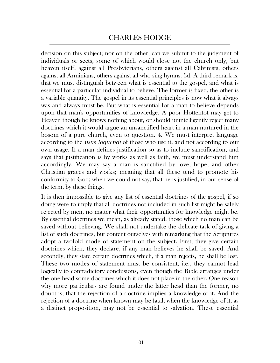decision on this subject; nor on the other, can we submit to the judgment of individuals or sects, some of which would close not the church only, but heaven itself, against all Presbyterians, others against all Calvinists, others against all Arminians, others against all who sing hymns. 3d. A third remark is, that we must distinguish between what is essential to the gospel, and what is essential for a particular individual to believe. The former is fixed, the other is a variable quantity. The gospel in its essential principles is now what it always was and always must be. But what is essential for a man to believe depends upon that man's opportunities of knowledge. A poor Hottentot may get to Heaven though he knows nothing about, or should unintelligently reject many doctrines which it would argue an unsanctified heart in a man nurtured in the bosom of a pure church, even to question. 4. We must interpret language according to the usus loquendi of those who use it, and not according to our own usage. If a man defines justification so as to include sanctification, and says that justification is by works as well as faith, we must understand him accordingly. We may say a man is sanctified by love, hope, and other Christian graces and works; meaning that all these tend to promote his conformity to God; when we could not say, that he is justified, in our sense of the term, by these things.

It is then impossible to give any list of essential doctrines of the gospel, if so doing were to imply that all doctrines not included in such list might be safely rejected by men, no matter what their opportunities for knowledge might be. By essential doctrines we mean, as already stated, those which no man can be saved without believing. We shall not undertake the delicate task of giving a list of such doctrines, but content ourselves with remarking that the Scriptures adopt a twofold mode of statement on the subject. First, they give certain doctrines which, they declare, if any man believes he shall be saved. And secondly, they state certain doctrines which, if a man rejects, he shall be lost. These two modes of statement must be consistent, i.e., they cannot lead logically to contradictory conclusions, even though the Bible arranges under the one head some doctrines which it does not place in the other. One reason why more particulars are found under the latter head than the former, no doubt is, that the rejection of a doctrine implies a knowledge of it. And the rejection of a doctrine when known may be fatal, when the knowledge of it, as a distinct proposition, may not be essential to salvation. These essential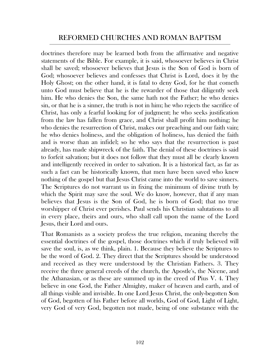doctrines therefore may be learned both from the affirmative and negative statements of the Bible. For example, it is said, whosoever believes in Christ shall be saved; whosoever believes that Jesus is the Son of God is born of God; whosoever believes and confesses that Christ is Lord, does it by the Holy Ghost; on the other hand, it is fatal to deny God, for he that cometh unto God must believe that he is the rewarder of those that diligently seek him. He who denies the Son, the same hath not the Father; he who denies sin, or that he is a sinner, the truth is not in him; he who rejects the sacrifice of Christ, has only a fearful looking for of judgment; he who seeks justification from the law has fallen from grace, and Christ shall profit him nothing; he who denies the resurrection of Christ, makes our preaching and our faith vain; he who denies holiness, and the obligation of holiness, has denied the faith and is worse than an infidel; so he who says that the resurrection is past already, has made shipwreck of the faith. The denial of these doctrines is said to forfeit salvation; but it does not follow that they must all be clearly known and intelligently received in order to salvation. It is a historical fact, as far as such a fact can be historically known, that men have been saved who knew nothing of the gospel but that Jesus Christ came into the world to save sinners. The Scriptures do not warrant us in fixing the minimum of divine truth by which the Spirit may save the soul. We do know, however, that if any man believes that Jesus is the Son of God, he is born of God; that no true worshipper of Christ ever perishes. Paul sends his Christian salutations to all in every place, theirs and ours, who shall call upon the name of the Lord Jesus, their Lord and ours.

That Romanists as a society profess the true religion, meaning thereby the essential doctrines of the gospel, those doctrines which if truly believed will save the soul, is, as we think, plain. 1. Because they believe the Scriptures to be the word of God. 2. They direct that the Scriptures should be understood and received as they were understood by the Christian Fathers. 3. They receive the three general creeds of the church, the Apostle's, the Nicene, and the Athanasian, or as these are summed up in the creed of Pius V. 4. They believe in one God, the Father Almighty, maker of heaven and earth, and of all things visible and invisible. In one Lord Jesus Christ, the only-begotten Son of God, begotten of his Father before all worlds, God of God, Light of Light, very God of very God, begotten not made, being of one substance with the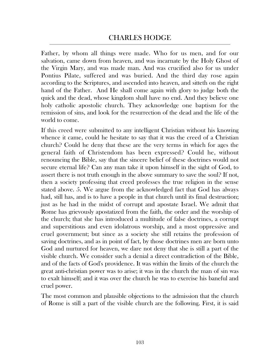Father, by whom all things were made. Who for us men, and for our salvation, came down from heaven, and was incarnate by the Holy Ghost of the Virgin Mary, and was made man. And was crucified also for us under Pontius Pilate, suffered and was buried. And the third day rose again according to the Scriptures, and ascended into heaven, and sitteth on the right hand of the Father. And He shall come again with glory to judge both the quick and the dead, whose kingdom shall have no end. And they believe one holy catholic apostolic church. They acknowledge one baptism for the remission of sins, and look for the resurrection of the dead and the life of the world to come.

If this creed were submitted to any intelligent Christian without his knowing whence it came, could he hesitate to say that it was the creed of a Christian church? Could he deny that these are the very terms in which for ages the general faith of Christendom has been expressed? Could he, without renouncing the Bible, say that the sincere belief of these doctrines would not secure eternal life? Can any man take it upon himself in the sight of God, to assert there is not truth enough in the above summary to save the soul? If not, then a society professing that creed professes the true religion in the sense stated above. 5. We argue from the acknowledged fact that God has always had, still has, and is to have a people in that church until its final destruction; just as he had in the midst of corrupt and apostate Israel. We admit that Rome has grievously apostatized from the faith, the order and the worship of the church; that she has introduced a multitude of false doctrines, a corrupt and superstitious and even idolatrous worship, and a most oppressive and cruel government; but since as a society she still retains the profession of saving doctrines, and as in point of fact, by those doctrines men are born unto God and nurtured for heaven, we dare not deny that she is still a part of the visible church. We consider such a denial a direct contradiction of the Bible, and of the facts of God's providence. It was within the limits of the church the great anti-christian power was to arise; it was in the church the man of sin was to exalt himself; and it was over the church he was to exercise his baneful and cruel power.

The most common and plausible objections to the admission that the church of Rome is still a part of the visible church are the following. First, it is said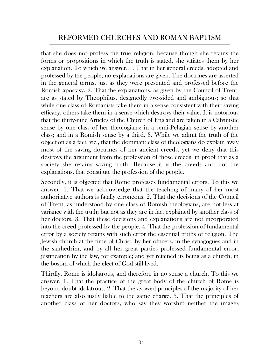that she does not profess the true religion, because though she retains the forms or propositions in which the truth is stated, she vitiates them by her explanation. To which we answer, 1. That in her general creeds, adopted and professed by the people, no explanations are given. The doctrines are asserted in the general terms, just as they were presented and professed before the Romish apostasy. 2. That the explanations, as given by the Council of Trent, are as stated by Theophilus, designedly two-sided and ambiguous; so that while one class of Romanists take them in a sense consistent with their saving efficacy, others take them in a sense which destroys their value. It is notorious that the thirty-nine Articles of the Church of England are taken in a Calvinistic sense by one class of her theologians; in a semi-Pelagian sense by another class; and in a Romish sense by a third. 3. While we admit the truth of the objection as a fact, viz., that the dominant class of theologians do explain away most of the saving doctrines of her ancient creeds, yet we deny that this destroys the argument from the profession of those creeds, in proof that as a society she retains saving truth. Because it is the creeds and not the explanations, that constitute the profession of the people.

Secondly, it is objected that Rome professes fundamental errors. To this we answer, 1. That we acknowledge that the teaching of many of her most authoritative authors is fatally erroneous. 2. That the decisions of the Council of Trent, as understood by one class of Romish theologians, are not less at variance with the truth; but not as they are in fact explained by another class of her doctors. 3. That these decisions and explanations are not incorporated into the creed professed by the people. 4. That the profession of fundamental error by a society retains with such error the essential truths of religion. The Jewish church at the time of Christ, by her officers, in the synagogues and in the sanhedrim, and by all her great parties professed fundamental error, justification by the law, for example; and yet retained its being as a church, in the bosom of which the elect of God still lived.

Thirdly, Rome is idolatrous, and therefore in no sense a church. To this we answer, 1. That the practice of the great body of the church of Rome is beyond doubt idolatrous. 2. That the avowed principles of the majority of her teachers are also justly liable to the same charge. 3. That the principles of another class of her doctors, who say they worship neither the images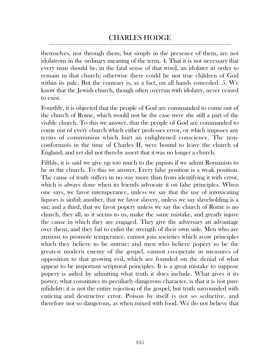themselves, nor through them, but simply in the presence of them, are not idolatrous in the ordinary meaning of the term. 4. That it is not necessary that every man should be, in the fatal sense of that word, an idolater in order to remain in that church; otherwise there could be not true children of God within its pale. But the contrary is, as a fact, on all hands conceded. 5. We know that the Jewish church, though often overrun with idolatry, never ceased to exist.

Fourthly, it is objected that the people of God are commanded to come out of the church of Rome, which would not be the case were she still a part of the visible church. To this we answer, that the people of God are commanded to come out of every church which either professes error, or which imposes any terms of communion which hurt an enlightened conscience. The nonconformists in the time of Charles II, were bound to leave the church of England, and yet did not thereby assert that it was no longer a church.

Fifthly, it is said we give up too much to the papists if we admit Romanists to be in the church. To this we answer, Every false position is a weak position. The cause of truth suffers in no way more than from identifying it with error, which is always done when its friends advocate it on false principles. When one says, we favor intemperance, unless we say that the use of intoxicating liquors is sinful; another, that we favor slavery, unless we say slaveholding is a sin; and a third, that we favor popery unless we say the church of Rome is no church, they all, as it seems to us, make the same mistake, and greatly injure the cause in which they are engaged. They give the adversary an advantage over them, and they fail to enlist the strength of their own side. Men who are anxious to promote temperance, cannot join societies which avow principles which they believe to be untrue; and men who believe popery to be the greatest modern enemy of the gospel, cannot co-operate in measures of opposition to that growing evil, which are founded on the denial of what appear to be important scriptural principles. It is a great mistake to suppose popery is aided by admitting what truth it does include. What gives it its power, what constitutes its peculiarly dangerous character, is that it is not pure infidelity; it is not the entire rejection of the gospel, but truth surrounded with enticing and destructive error. Poison by itself is not so seductive, and therefore not so dangerous, as when mixed with food. We do not believe that